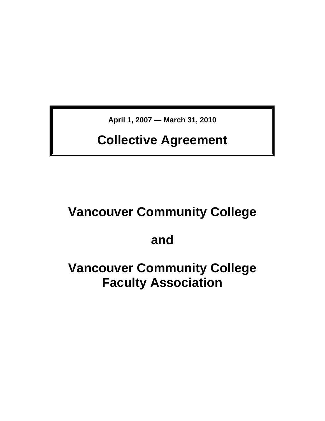**April 1, 2007 — March 31, 2010** 

# **Collective Agreement**

# **Vancouver Community College**

**and** 

# **Vancouver Community College Faculty Association**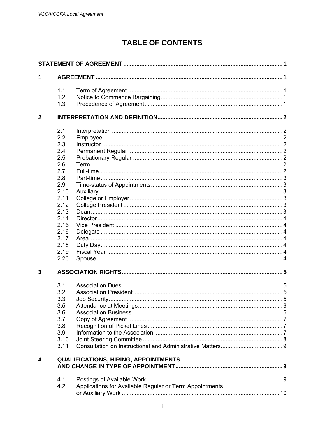# **TABLE OF CONTENTS**

| 1                       |      |                                                         |
|-------------------------|------|---------------------------------------------------------|
|                         | 1.1  |                                                         |
|                         | 1.2  |                                                         |
|                         | 1.3  |                                                         |
| $\overline{\mathbf{2}}$ |      |                                                         |
|                         | 2.1  |                                                         |
|                         | 2.2  |                                                         |
|                         | 2.3  |                                                         |
|                         | 2.4  |                                                         |
|                         | 2.5  |                                                         |
|                         | 2.6  |                                                         |
|                         | 2.7  |                                                         |
|                         | 2.8  |                                                         |
|                         | 2.9  |                                                         |
|                         | 2.10 |                                                         |
|                         | 2.11 |                                                         |
|                         | 2.12 |                                                         |
|                         | 2.13 |                                                         |
|                         | 2.14 |                                                         |
|                         | 2.15 |                                                         |
|                         | 2.16 |                                                         |
|                         | 2.17 |                                                         |
|                         | 2.18 |                                                         |
|                         | 2.19 |                                                         |
|                         | 2.20 |                                                         |
| 3                       |      |                                                         |
|                         | 3.1  |                                                         |
|                         | 3.2  |                                                         |
|                         | 3.3  |                                                         |
|                         | 3.5  |                                                         |
|                         | 3.6  |                                                         |
|                         | 3.7  |                                                         |
|                         | 3.8  |                                                         |
|                         | 3.9  |                                                         |
|                         | 3.10 |                                                         |
|                         | 3.11 |                                                         |
| 4                       |      | <b>QUALIFICATIONS, HIRING, APPOINTMENTS</b>             |
|                         | 4.1  |                                                         |
|                         | 4.2  | Applications for Available Regular or Term Appointments |
|                         |      |                                                         |
|                         |      |                                                         |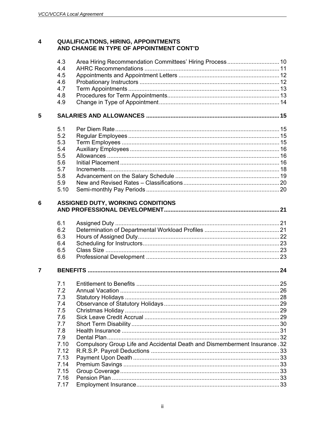#### QUALIFICATIONS, HIRING, APPOINTMENTS  $\overline{\mathbf{4}}$ AND CHANGE IN TYPE OF APPOINTMENT CONT'D

|   | 4.3          | Area Hiring Recommendation Committees' Hiring Process 10                    |  |
|---|--------------|-----------------------------------------------------------------------------|--|
|   | 4.4          |                                                                             |  |
|   | 4.5          |                                                                             |  |
|   | 4.6          |                                                                             |  |
|   | 4.7          |                                                                             |  |
|   | 4.8          |                                                                             |  |
|   | 4.9          |                                                                             |  |
| 5 |              |                                                                             |  |
|   | 5.1          |                                                                             |  |
|   | 5.2          |                                                                             |  |
|   | 5.3          |                                                                             |  |
|   | 5.4          |                                                                             |  |
|   | 5.5          |                                                                             |  |
|   | 5.6          |                                                                             |  |
|   | 5.7          |                                                                             |  |
|   | 5.8          |                                                                             |  |
|   | 5.9          |                                                                             |  |
|   | 5.10         |                                                                             |  |
| 6 |              | <b>ASSIGNED DUTY, WORKING CONDITIONS</b>                                    |  |
|   | 6.1          |                                                                             |  |
|   | 6.2          |                                                                             |  |
|   | 6.3          |                                                                             |  |
|   | 6.4          |                                                                             |  |
|   | 6.5          |                                                                             |  |
|   | 6.6          |                                                                             |  |
| 7 |              |                                                                             |  |
|   | 7.1          |                                                                             |  |
|   | 7.2          |                                                                             |  |
|   | 7.3          |                                                                             |  |
|   | 7.4          |                                                                             |  |
|   | 7.5          |                                                                             |  |
|   | 7.6          |                                                                             |  |
|   | 7.7          |                                                                             |  |
|   | 7.8          |                                                                             |  |
|   | 7.9          |                                                                             |  |
|   | 7.10         | Compulsory Group Life and Accidental Death and Dismemberment Insurance . 32 |  |
|   | 7.12         |                                                                             |  |
|   | 7.13         |                                                                             |  |
|   | 7.14         |                                                                             |  |
|   | 7.15         |                                                                             |  |
|   |              |                                                                             |  |
|   |              |                                                                             |  |
|   | 7.16<br>7.17 |                                                                             |  |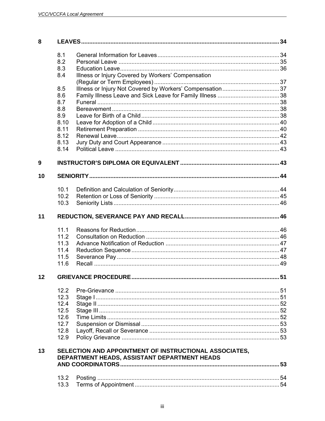| 8  |              |                                                                                                        |    |  |
|----|--------------|--------------------------------------------------------------------------------------------------------|----|--|
|    | 8.1          |                                                                                                        |    |  |
|    | 8.2          |                                                                                                        |    |  |
|    | 8.3          |                                                                                                        |    |  |
|    | 8.4          | Illness or Injury Covered by Workers' Compensation                                                     |    |  |
|    |              |                                                                                                        |    |  |
|    | 8.5          |                                                                                                        |    |  |
|    | 8.6          |                                                                                                        |    |  |
|    | 8.7          |                                                                                                        |    |  |
|    | 8.8          |                                                                                                        |    |  |
|    | 8.9          |                                                                                                        |    |  |
|    | 8.10         |                                                                                                        |    |  |
|    | 8.11<br>8.12 |                                                                                                        |    |  |
|    | 8.13         |                                                                                                        |    |  |
|    | 8.14         |                                                                                                        |    |  |
|    |              |                                                                                                        |    |  |
| 9  |              |                                                                                                        |    |  |
| 10 |              |                                                                                                        |    |  |
|    |              |                                                                                                        |    |  |
|    | 10.1         |                                                                                                        |    |  |
|    | 10.2         |                                                                                                        |    |  |
|    | 10.3         |                                                                                                        |    |  |
| 11 |              |                                                                                                        |    |  |
|    | 11.1         |                                                                                                        |    |  |
|    | 11.2         |                                                                                                        |    |  |
|    | 11.3         |                                                                                                        |    |  |
|    | 11.4         |                                                                                                        |    |  |
|    | 11.5         |                                                                                                        |    |  |
|    | 11.6         |                                                                                                        |    |  |
| 12 |              | <b>GRIEVANCE PROCEDURE</b>                                                                             | 51 |  |
|    | 12.2         |                                                                                                        |    |  |
|    | 12.3         |                                                                                                        |    |  |
|    | 12.4         |                                                                                                        |    |  |
|    | 12.5         |                                                                                                        |    |  |
|    | 12.6         |                                                                                                        |    |  |
|    | 12.7         |                                                                                                        |    |  |
|    | 12.8         |                                                                                                        |    |  |
|    | 12.9         |                                                                                                        |    |  |
| 13 |              | SELECTION AND APPOINTMENT OF INSTRUCTIONAL ASSOCIATES,<br>DEPARTMENT HEADS, ASSISTANT DEPARTMENT HEADS |    |  |
|    |              |                                                                                                        |    |  |
|    | 13.2         |                                                                                                        |    |  |
|    | 13.3         |                                                                                                        |    |  |
|    |              |                                                                                                        |    |  |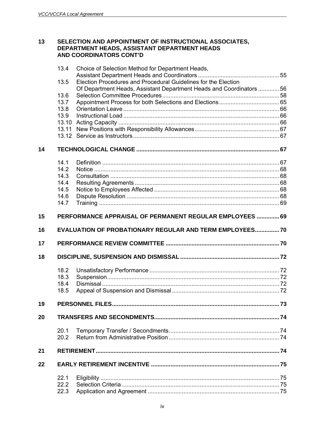# **13 SELECTION AND APPOINTMENT OF INSTRUCTIONAL ASSOCIATES, DEPARTMENT HEADS, ASSISTANT DEPARTMENT HEADS AND COORDINATORS CONT'D**

|    | 13.4                                                            | Choice of Selection Method for Department Heads,                    |  |  |  |
|----|-----------------------------------------------------------------|---------------------------------------------------------------------|--|--|--|
|    |                                                                 |                                                                     |  |  |  |
|    | 13.5                                                            | Election Procedures and Procedural Guidelines for the Election      |  |  |  |
|    |                                                                 | Of Department Heads, Assistant Department Heads and Coordinators 56 |  |  |  |
|    | 13.6                                                            |                                                                     |  |  |  |
|    | 13.7                                                            |                                                                     |  |  |  |
|    | 13.8                                                            |                                                                     |  |  |  |
|    | 13.9                                                            |                                                                     |  |  |  |
|    | 13.10                                                           |                                                                     |  |  |  |
|    | 13.11                                                           |                                                                     |  |  |  |
|    |                                                                 |                                                                     |  |  |  |
| 14 |                                                                 |                                                                     |  |  |  |
|    | 14.1                                                            |                                                                     |  |  |  |
|    | 14.2                                                            |                                                                     |  |  |  |
|    | 14.3                                                            |                                                                     |  |  |  |
|    | 14.4                                                            |                                                                     |  |  |  |
|    | 14.5                                                            |                                                                     |  |  |  |
|    | 14.6                                                            |                                                                     |  |  |  |
|    | 14.7                                                            |                                                                     |  |  |  |
| 15 |                                                                 | PERFORMANCE APPRAISAL OF PERMANENT REGULAR EMPLOYEES  69            |  |  |  |
| 16 | <b>EVALUATION OF PROBATIONARY REGULAR AND TERM EMPLOYEES 70</b> |                                                                     |  |  |  |
|    |                                                                 |                                                                     |  |  |  |
| 17 |                                                                 |                                                                     |  |  |  |
|    |                                                                 |                                                                     |  |  |  |
| 18 |                                                                 |                                                                     |  |  |  |
|    |                                                                 |                                                                     |  |  |  |
|    | 18.2<br>18.3                                                    |                                                                     |  |  |  |
|    | 18.4                                                            |                                                                     |  |  |  |
|    | 18.5                                                            |                                                                     |  |  |  |
| 19 |                                                                 |                                                                     |  |  |  |
| 20 |                                                                 |                                                                     |  |  |  |
|    |                                                                 |                                                                     |  |  |  |
|    | 20.1<br>20.2                                                    |                                                                     |  |  |  |
| 21 |                                                                 |                                                                     |  |  |  |
| 22 |                                                                 |                                                                     |  |  |  |
|    | 22.1                                                            |                                                                     |  |  |  |
|    | 22.2                                                            |                                                                     |  |  |  |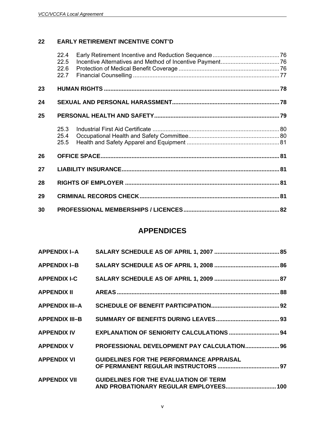# **22 EARLY RETIREMENT INCENTIVE CONT'D**

|    | 22.4<br>22.5<br>22.6<br>22.7 |  |  |
|----|------------------------------|--|--|
| 23 |                              |  |  |
| 24 |                              |  |  |
| 25 |                              |  |  |
|    | 25.3<br>25.4<br>25.5         |  |  |
| 26 |                              |  |  |
| 27 |                              |  |  |
| 28 |                              |  |  |
| 29 |                              |  |  |
| 30 |                              |  |  |

# **APPENDICES**

| <b>APPENDIX I-A</b>   |                                                                                        |  |
|-----------------------|----------------------------------------------------------------------------------------|--|
| <b>APPENDIX I-B</b>   |                                                                                        |  |
| <b>APPENDIX I-C</b>   |                                                                                        |  |
| <b>APPENDIX II</b>    |                                                                                        |  |
| <b>APPENDIX III-A</b> |                                                                                        |  |
| <b>APPENDIX III-B</b> |                                                                                        |  |
| <b>APPENDIX IV</b>    |                                                                                        |  |
| <b>APPENDIX V</b>     | PROFESSIONAL DEVELOPMENT PAY CALCULATION 96                                            |  |
| <b>APPENDIX VI</b>    | <b>GUIDELINES FOR THE PERFORMANCE APPRAISAL</b>                                        |  |
| <b>APPENDIX VII</b>   | <b>GUIDELINES FOR THE EVALUATION OF TERM</b><br>AND PROBATIONARY REGULAR EMPLOYEES 100 |  |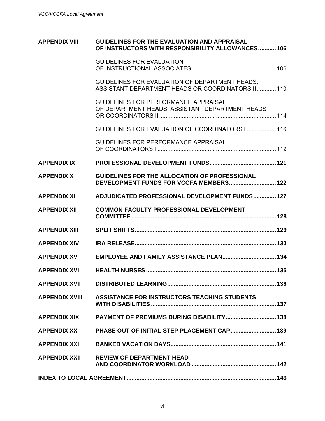| <b>APPENDIX VIII</b>  | <b>GUIDELINES FOR THE EVALUATION AND APPRAISAL</b><br>OF INSTRUCTORS WITH RESPONSIBILITY ALLOWANCES106 |
|-----------------------|--------------------------------------------------------------------------------------------------------|
|                       | <b>GUIDELINES FOR EVALUATION</b>                                                                       |
|                       | GUIDELINES FOR EVALUATION OF DEPARTMENT HEADS,<br>ASSISTANT DEPARTMENT HEADS OR COORDINATORS II 110    |
|                       | GUIDELINES FOR PERFORMANCE APPRAISAL<br>OF DEPARTMENT HEADS, ASSISTANT DEPARTMENT HEADS                |
|                       | GUIDELINES FOR EVALUATION OF COORDINATORS I  116                                                       |
|                       | GUIDELINES FOR PERFORMANCE APPRAISAL                                                                   |
| <b>APPENDIX IX</b>    |                                                                                                        |
| <b>APPENDIX X</b>     | GUIDELINES FOR THE ALLOCATION OF PROFESSIONAL<br>DEVELOPMENT FUNDS FOR VCCFA MEMBERS 122               |
| <b>APPENDIX XI</b>    | ADJUDICATED PROFESSIONAL DEVELOPMENT FUNDS 127                                                         |
| <b>APPENDIX XII</b>   | <b>COMMON FACULTY PROFESSIONAL DEVELOPMENT</b>                                                         |
| <b>APPENDIX XIII</b>  |                                                                                                        |
| <b>APPENDIX XIV</b>   |                                                                                                        |
| <b>APPENDIX XV</b>    | EMPLOYEE AND FAMILY ASSISTANCE PLAN 134                                                                |
| <b>APPENDIX XVI</b>   |                                                                                                        |
| <b>APPENDIX XVII</b>  |                                                                                                        |
| <b>APPENDIX XVIII</b> | ASSISTANCE FOR INSTRUCTORS TEACHING STUDENTS                                                           |
| <b>APPENDIX XIX</b>   | PAYMENT OF PREMIUMS DURING DISABILITY 138                                                              |
| <b>APPENDIX XX</b>    | PHASE OUT OF INITIAL STEP PLACEMENT CAP 139                                                            |
| <b>APPENDIX XXI</b>   |                                                                                                        |
| <b>APPENDIX XXII</b>  | <b>REVIEW OF DEPARTMENT HEAD</b>                                                                       |
|                       |                                                                                                        |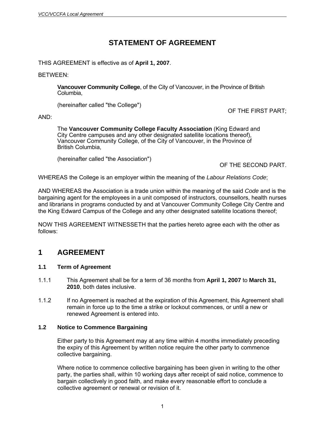# **STATEMENT OF AGREEMENT**

THIS AGREEMENT is effective as of **April 1, 2007**.

BETWEEN:

**Vancouver Community College**, of the City of Vancouver, in the Province of British Columbia,

(hereinafter called "the College")

OF THE FIRST PART;

AND:

The **Vancouver Community College Faculty Association** (King Edward and City Centre campuses and any other designated satellite locations thereof), Vancouver Community College, of the City of Vancouver, in the Province of British Columbia,

(hereinafter called "the Association")

OF THE SECOND PART.

WHEREAS the College is an employer within the meaning of the *Labour Relations Code*;

AND WHEREAS the Association is a trade union within the meaning of the said *Code* and is the bargaining agent for the employees in a unit composed of instructors, counsellors, health nurses and librarians in programs conducted by and at Vancouver Community College City Centre and the King Edward Campus of the College and any other designated satellite locations thereof;

NOW THIS AGREEMENT WITNESSETH that the parties hereto agree each with the other as follows:

# **1 AGREEMENT**

# **1.1 Term of Agreement**

- 1.1.1 This Agreement shall be for a term of 36 months from **April 1, 2007** to **March 31, 2010**, both dates inclusive.
- 1.1.2 If no Agreement is reached at the expiration of this Agreement, this Agreement shall remain in force up to the time a strike or lockout commences, or until a new or renewed Agreement is entered into.

# **1.2 Notice to Commence Bargaining**

 Either party to this Agreement may at any time within 4 months immediately preceding the expiry of this Agreement by written notice require the other party to commence collective bargaining.

 Where notice to commence collective bargaining has been given in writing to the other party, the parties shall, within 10 working days after receipt of said notice, commence to bargain collectively in good faith, and make every reasonable effort to conclude a collective agreement or renewal or revision of it.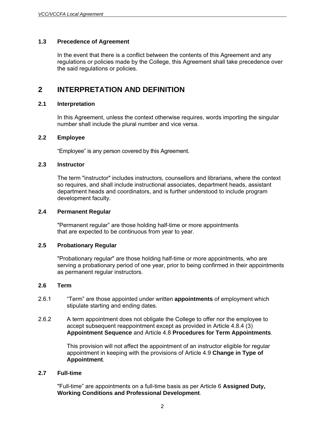# **1.3 Precedence of Agreement**

 In the event that there is a conflict between the contents of this Agreement and any regulations or policies made by the College, this Agreement shall take precedence over the said regulations or policies.

# **2 INTERPRETATION AND DEFINITION**

# **2.1 Interpretation**

 In this Agreement, unless the context otherwise requires, words importing the singular number shall include the plural number and vice versa.

# **2.2 Employee**

"Employee" is any person covered by this Agreement.

#### **2.3 Instructor**

 The term "instructor" includes instructors, counsellors and librarians, where the context so requires, and shall include instructional associates, department heads, assistant department heads and coordinators, and is further understood to include program development faculty.

# **2.4 Permanent Regular**

 "Permanent regular" are those holding half-time or more appointments that are expected to be continuous from year to year.

# **2.5 Probationary Regular**

 "Probationary regular" are those holding half-time or more appointments, who are serving a probationary period of one year, prior to being confirmed in their appointments as permanent regular instructors.

#### **2.6 Term**

- 2.6.1 "Term" are those appointed under written **appointments** of employment which stipulate starting and ending dates.
- 2.6.2 A term appointment does not obligate the College to offer nor the employee to accept subsequent reappointment except as provided in Article 4.8.4 (3) **Appointment Sequence** and Article 4.8 **Procedures for Term Appointments**.

 This provision will not affect the appointment of an instructor eligible for regular appointment in keeping with the provisions of Article 4.9 **Change in Type of Appointment***.*

#### **2.7 Full-time**

"Full-time" are appointments on a full-time basis as per Article 6 **Assigned Duty, Working Conditions and Professional Development**.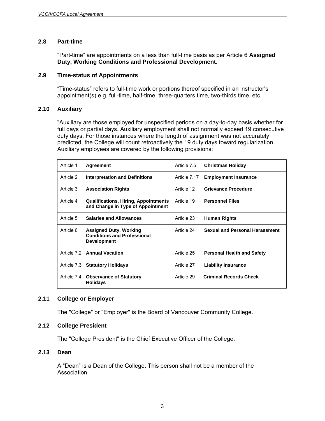# **2.8 Part-time**

 "Part-time" are appointments on a less than full-time basis as per Article 6 **Assigned Duty, Working Conditions and Professional Development**.

#### **2.9 Time-status of Appointments**

 "Time-status" refers to full-time work or portions thereof specified in an instructor's appointment(s) e.g. full-time, half-time, three-quarters time, two-thirds time, etc.

# **2.10 Auxiliary**

 "Auxiliary are those employed for unspecified periods on a day-to-day basis whether for full days or partial days. Auxiliary employment shall not normally exceed 19 consecutive duty days. For those instances where the length of assignment was not accurately predicted, the College will count retroactively the 19 duty days toward regularization. Auxiliary employees are covered by the following provisions:

| Article 1   | <b>Agreement</b>                                                                          | Article 7.5  | <b>Christmas Holiday</b>              |
|-------------|-------------------------------------------------------------------------------------------|--------------|---------------------------------------|
| Article 2   | <b>Interpretation and Definitions</b>                                                     | Article 7.17 | <b>Employment Insurance</b>           |
| Article 3   | <b>Association Rights</b>                                                                 | Article 12   | <b>Grievance Procedure</b>            |
| Article 4   | <b>Qualifications, Hiring, Appointments</b><br>and Change in Type of Appointment          | Article 19   | <b>Personnel Files</b>                |
| Article 5   | <b>Salaries and Allowances</b>                                                            | Article 23   | <b>Human Rights</b>                   |
| Article 6   | <b>Assigned Duty, Working</b><br><b>Conditions and Professional</b><br><b>Development</b> | Article 24   | <b>Sexual and Personal Harassment</b> |
|             | Article 7.2 Annual Vacation                                                               | Article 25   | <b>Personal Health and Safety</b>     |
|             | Article 7.3 Statutory Holidays                                                            | Article 27   | <b>Liability Insurance</b>            |
| Article 7.4 | <b>Observance of Statutory</b><br><b>Holidays</b>                                         | Article 29   | <b>Criminal Records Check</b>         |

# **2.11 College or Employer**

The "College" or "Employer" is the Board of Vancouver Community College.

# **2.12 College President**

The "College President" is the Chief Executive Officer of the College.

# **2.13 Dean**

 A "Dean" is a Dean of the College. This person shall not be a member of the Association.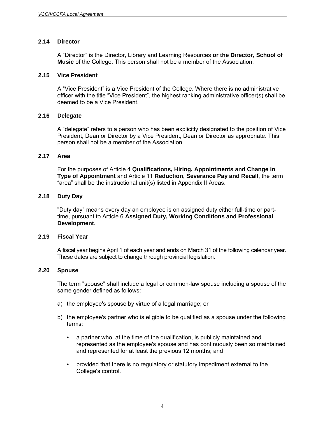# **2.14 Director**

 A "Director" is the Director, Library and Learning Resources **or the Director, School of Music** of the College. This person shall not be a member of the Association.

# **2.15 Vice President**

 A "Vice President" is a Vice President of the College. Where there is no administrative officer with the title "Vice President", the highest ranking administrative officer(s) shall be deemed to be a Vice President.

# **2.16 Delegate**

 A "delegate" refers to a person who has been explicitly designated to the position of Vice President, Dean or Director by a Vice President, Dean or Director as appropriate. This person shall not be a member of the Association.

#### **2.17 Area**

For the purposes of Article 4 **Qualifications, Hiring, Appointments and Change in Type of Appointment** and Article 11 **Reduction, Severance Pay and Recall**, the term "area" shall be the instructional unit(s) listed in Appendix II Areas.

#### **2.18 Duty Day**

 "Duty day" means every day an employee is on assigned duty either full-time or parttime, pursuant to Article 6 **Assigned Duty, Working Conditions and Professional Development***.* 

# **2.19 Fiscal Year**

 A fiscal year begins April 1 of each year and ends on March 31 of the following calendar year. These dates are subject to change through provincial legislation.

#### **2.20 Spouse**

 The term "spouse" shall include a legal or common-law spouse including a spouse of the same gender defined as follows:

- a) the employee's spouse by virtue of a legal marriage; or
- b) the employee's partner who is eligible to be qualified as a spouse under the following terms:
	- a partner who, at the time of the qualification, is publicly maintained and represented as the employee's spouse and has continuously been so maintained and represented for at least the previous 12 months; and
	- provided that there is no regulatory or statutory impediment external to the College's control.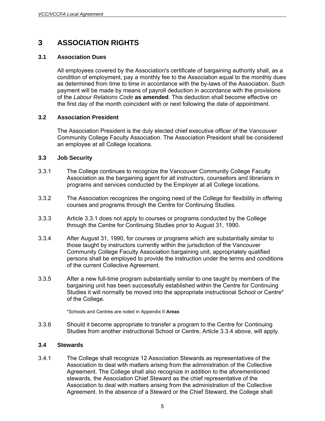# **3 ASSOCIATION RIGHTS**

# **3.1 Association Dues**

 All employees covered by the Association's certificate of bargaining authority shall, as a condition of employment, pay a monthly fee to the Association equal to the monthly dues as determined from time to time in accordance with the by-laws of the Association. Such payment will be made by means of payroll deduction in accordance with the provisions of the *Labour Relations Code* **as amended**. This deduction shall become effective on the first day of the month coincident with or next following the date of appointment.

# **3.2 Association President**

 The Association President is the duly elected chief executive officer of the Vancouver Community College Faculty Association. The Association President shall be considered an employee at all College locations.

# **3.3 Job Security**

- 3.3.1 The College continues to recognize the Vancouver Community College Faculty Association as the bargaining agent for all instructors, counsellors and librarians in programs and services conducted by the Employer at all College locations.
- 3.3.2 The Association recognizes the ongoing need of the College for flexibility in offering courses and programs through the Centre for Continuing Studies.
- 3.3.3 Article 3.3.1 does not apply to courses or programs conducted by the College through the Centre for Continuing Studies prior to August 31, 1990.
- 3.3.4 After August 31, 1990, for courses or programs which are substantially similar to those taught by instructors currently within the jurisdiction of the Vancouver Community College Faculty Association bargaining unit, appropriately qualified persons shall be employed to provide the instruction under the terms and conditions of the current Collective Agreement.
- 3.3.5 After a new full-time program substantially similar to one taught by members of the bargaining unit has been successfully established within the Centre for Continuing Studies it will normally be moved into the appropriate instructional School or Centre\* of the College.

\*Schools and Centres are noted in Appendix II **Areas**

3.3.6 Should it become appropriate to transfer a program to the Centre for Continuing Studies from another instructional School or Centre, Article 3.3.4 above, will apply.

# **3.4 Stewards**

3.4.1 The College shall recognize 12 Association Stewards as representatives of the Association to deal with matters arising from the administration of the Collective Agreement. The College shall also recognize in addition to the aforementioned stewards, the Association Chief Steward as the chief representative of the Association to deal with matters arising from the administration of the Collective Agreement. In the absence of a Steward or the Chief Steward, the College shall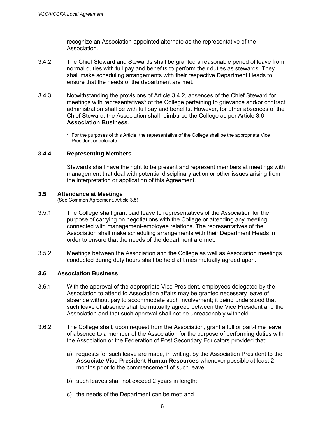recognize an Association-appointed alternate as the representative of the Association.

- 3.4.2 The Chief Steward and Stewards shall be granted a reasonable period of leave from normal duties with full pay and benefits to perform their duties as stewards. They shall make scheduling arrangements with their respective Department Heads to ensure that the needs of the department are met.
- 3.4.3 Notwithstanding the provisions of Article 3.4.2, absences of the Chief Steward for meetings with representatives**\*** of the College pertaining to grievance and/or contract administration shall be with full pay and benefits. However, for other absences of the Chief Steward, the Association shall reimburse the College as per Article 3.6 **Association Business**.
	- **\*** For the purposes of this Article, the representative of the College shall be the appropriate Vice President or delegate.

# **3.4.4 Representing Members**

 Stewards shall have the right to be present and represent members at meetings with management that deal with potential disciplinary action or other issues arising from the interpretation or application of this Agreement.

#### **3.5 Attendance at Meetings**

(See Common Agreement, Article 3.5)

- 3.5.1 The College shall grant paid leave to representatives of the Association for the purpose of carrying on negotiations with the College or attending any meeting connected with management-employee relations. The representatives of the Association shall make scheduling arrangements with their Department Heads in order to ensure that the needs of the department are met.
- 3.5.2 Meetings between the Association and the College as well as Association meetings conducted during duty hours shall be held at times mutually agreed upon.

# **3.6 Association Business**

- 3.6.1 With the approval of the appropriate Vice President, employees delegated by the Association to attend to Association affairs may be granted necessary leave of absence without pay to accommodate such involvement; it being understood that such leave of absence shall be mutually agreed between the Vice President and the Association and that such approval shall not be unreasonably withheld.
- 3.6.2 The College shall, upon request from the Association, grant a full or part-time leave of absence to a member of the Association for the purpose of performing duties with the Association or the Federation of Post Secondary Educators provided that:
	- a) requests for such leave are made, in writing, by the Association President to the **Associate Vice President Human Resources** whenever possible at least 2 months prior to the commencement of such leave;
	- b) such leaves shall not exceed 2 years in length;
	- c) the needs of the Department can be met; and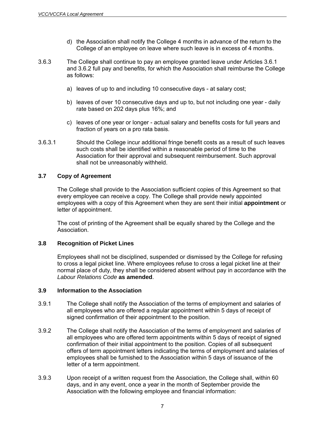- d) the Association shall notify the College 4 months in advance of the return to the College of an employee on leave where such leave is in excess of 4 months.
- 3.6.3 The College shall continue to pay an employee granted leave under Articles 3.6.1 and 3.6.2 full pay and benefits, for which the Association shall reimburse the College as follows:
	- a) leaves of up to and including 10 consecutive days at salary cost;
	- b) leaves of over 10 consecutive days and up to, but not including one year daily rate based on 202 days plus 16%; and
	- c) leaves of one year or longer actual salary and benefits costs for full years and fraction of years on a pro rata basis.
- 3.6.3.1 Should the College incur additional fringe benefit costs as a result of such leaves such costs shall be identified within a reasonable period of time to the Association for their approval and subsequent reimbursement. Such approval shall not be unreasonably withheld.

#### **3.7 Copy of Agreement**

 The College shall provide to the Association sufficient copies of this Agreement so that every employee can receive a copy. The College shall provide newly appointed employees with a copy of this Agreement when they are sent their initial **appointment** or letter of appointment.

 The cost of printing of the Agreement shall be equally shared by the College and the Association.

# **3.8 Recognition of Picket Lines**

 Employees shall not be disciplined, suspended or dismissed by the College for refusing to cross a legal picket line. Where employees refuse to cross a legal picket line at their normal place of duty, they shall be considered absent without pay in accordance with the *Labour Relations Code* **as amended**.

#### **3.9 Information to the Association**

- 3.9.1 The College shall notify the Association of the terms of employment and salaries of all employees who are offered a regular appointment within 5 days of receipt of signed confirmation of their appointment to the position.
- 3.9.2 The College shall notify the Association of the terms of employment and salaries of all employees who are offered term appointments within 5 days of receipt of signed confirmation of their initial appointment to the position. Copies of all subsequent offers of term appointment letters indicating the terms of employment and salaries of employees shall be furnished to the Association within 5 days of issuance of the letter of a term appointment.
- 3.9.3 Upon receipt of a written request from the Association, the College shall, within 60 days, and in any event, once a year in the month of September provide the Association with the following employee and financial information: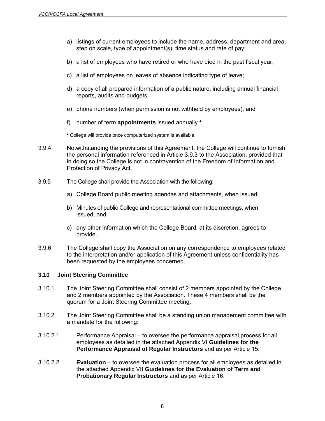- a) listings of current employees to include the name, address, department and area, step on scale, type of appointment(s), time status and rate of pay;
- b) a list of employees who have retired or who have died in the past fiscal year;
- c) a list of employees on leaves of absence indicating type of leave;
- d) a copy of all prepared information of a public nature, including annual financial reports, audits and budgets;
- e) phone numbers (when permission is not withheld by employees); and
- f) number of term **appointments** issued annually.**\***

 **\*** College will provide once computerized system is available.

- 3.9.4 Notwithstanding the provisions of this Agreement, the College will continue to furnish the personal information referenced in Article 3.9.3 to the Association, provided that in doing so the College is not in contravention of the Freedom of Information and Protection of Privacy Act.
- 3.9.5 The College shall provide the Association with the following:
	- a) College Board public meeting agendas and attachments, when issued;
	- b) Minutes of public College and representational committee meetings, when issued; and
	- c) any other information which the College Board, at its discretion, agrees to provide.
- 3.9.6 The College shall copy the Association on any correspondence to employees related to the interpretation and/or application of this Agreement unless confidentiality has been requested by the employees concerned.

# **3.10 Joint Steering Committee**

- 3.10.1 The Joint Steering Committee shall consist of 2 members appointed by the College and 2 members appointed by the Association. These 4 members shall be the quorum for a Joint Steering Committee meeting.
- 3.10.2 The Joint Steering Committee shall be a standing union management committee with a mandate for the following:
- 3.10.2.1 Performance Appraisal to oversee the performance appraisal process for all employees as detailed in the attached Appendix VI **Guidelines for the Performance Appraisal of Regular Instructors** and as per Article 15.
- 3.10.2.2 **Evaluation** to oversee the evaluation process for all employees as detailed in the attached Appendix VII **Guidelines for the Evaluation of Term and Probationary Regular Instructors** and as per Article 16.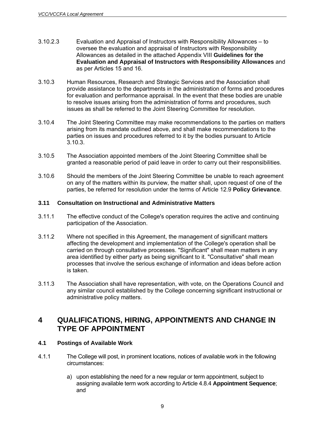- 3.10.2.3 Evaluation and Appraisal of Instructors with Responsibility Allowances to oversee the evaluation and appraisal of Instructors with Responsibility Allowances as detailed in the attached Appendix VIII **Guidelines for the Evaluation and Appraisal of Instructors with Responsibility Allowances** and as per Articles 15 and 16.
- 3.10.3 Human Resources, Research and Strategic Services and the Association shall provide assistance to the departments in the administration of forms and procedures for evaluation and performance appraisal. In the event that these bodies are unable to resolve issues arising from the administration of forms and procedures, such issues as shall be referred to the Joint Steering Committee for resolution.
- 3.10.4 The Joint Steering Committee may make recommendations to the parties on matters arising from its mandate outlined above, and shall make recommendations to the parties on issues and procedures referred to it by the bodies pursuant to Article 3.10.3.
- 3.10.5 The Association appointed members of the Joint Steering Committee shall be granted a reasonable period of paid leave in order to carry out their responsibilities.
- 3.10.6 Should the members of the Joint Steering Committee be unable to reach agreement on any of the matters within its purview, the matter shall, upon request of one of the parties, be referred for resolution under the terms of Article 12.9 **Policy Grievance**.

# **3.11 Consultation on Instructional and Administrative Matters**

- 3.11.1 The effective conduct of the College's operation requires the active and continuing participation of the Association.
- 3.11.2 Where not specified in this Agreement, the management of significant matters affecting the development and implementation of the College's operation shall be carried on through consultative processes. "Significant" shall mean matters in any area identified by either party as being significant to it. "Consultative" shall mean processes that involve the serious exchange of information and ideas before action is taken.
- 3.11.3 The Association shall have representation, with vote, on the Operations Council and any similar council established by the College concerning significant instructional or administrative policy matters.

# **4 QUALIFICATIONS, HIRING, APPOINTMENTS AND CHANGE IN TYPE OF APPOINTMENT**

# **4.1 Postings of Available Work**

- 4.1.1 The College will post, in prominent locations, notices of available work in the following circumstances:
	- a) upon establishing the need for a new regular or term appointment, subject to assigning available term work according to Article 4.8.4 **Appointment Sequence**; and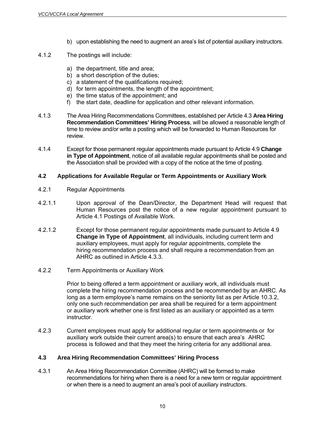- b) upon establishing the need to augment an area's list of potential auxiliary instructors.
- 4.1.2 The postings will include:
	- a) the department, title and area;
	- b) a short description of the duties;
	- c) a statement of the qualifications required;
	- d) for term appointments, the length of the appointment;
	- e) the time status of the appointment; and
	- f) the start date, deadline for application and other relevant information.
- 4.1.3 The Area Hiring Recommendations Committees, established per Article 4.3 **Area Hiring Recommendation Committees' Hiring Process**, will be allowed a reasonable length of time to review and/or write a posting which will be forwarded to Human Resources for review.
- 4.1.4 Except for those permanent regular appointments made pursuant to Article 4.9 **Change in Type of Appointment**, notice of all available regular appointments shall be posted and the Association shall be provided with a copy of the notice at the time of posting.

# **4.2 Applications for Available Regular or Term Appointments or Auxiliary Work**

- 4.2.1 Regular Appointments
- 4.2.1.1 Upon approval of the Dean/Director, the Department Head will request that Human Resources post the notice of a new regular appointment pursuant to Article 4.1 Postings of Available Work.
- 4.2.1.2 Except for those permanent regular appointments made pursuant to Article 4.9 **Change in Type of Appointment**, all individuals, including current term and auxiliary employees, must apply for regular appointments, complete the hiring recommendation process and shall require a recommendation from an AHRC as outlined in Article 4.3.3.
- 4.2.2 Term Appointments or Auxiliary Work

 Prior to being offered a term appointment or auxiliary work, all individuals must complete the hiring recommendation process and be recommended by an AHRC. As long as a term employee's name remains on the seniority list as per Article 10.3.2, only one such recommendation per area shall be required for a term appointment or auxiliary work whether one is first listed as an auxiliary or appointed as a term instructor.

4.2.3 Current employees must apply for additional regular or term appointments or for auxiliary work outside their current area(s) to ensure that each area's AHRC process is followed and that they meet the hiring criteria for any additional area.

# **4.3 Area Hiring Recommendation Committees' Hiring Process**

4.3.1 An Area Hiring Recommendation Committee (AHRC) will be formed to make recommendations for hiring when there is a need for a new term or regular appointment or when there is a need to augment an area's pool of auxiliary instructors.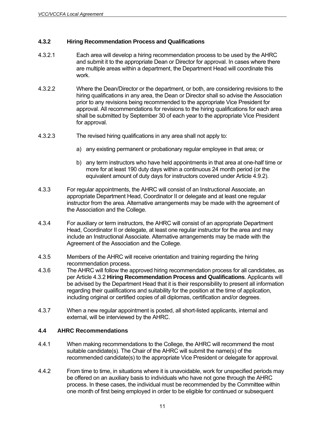# **4.3.2 Hiring Recommendation Process and Qualifications**

- 4.3.2.1 Each area will develop a hiring recommendation process to be used by the AHRC and submit it to the appropriate Dean or Director for approval. In cases where there are multiple areas within a department, the Department Head will coordinate this work.
- 4.3.2.2 Where the Dean/Director or the department, or both, are considering revisions to the hiring qualifications in any area, the Dean or Director shall so advise the Association prior to any revisions being recommended to the appropriate Vice President for approval. All recommendations for revisions to the hiring qualifications for each area shall be submitted by September 30 of each year to the appropriate Vice President for approval.
- 4.3.2.3 The revised hiring qualifications in any area shall not apply to:
	- a) any existing permanent or probationary regular employee in that area; or
	- b) any term instructors who have held appointments in that area at one-half time or more for at least 190 duty days within a continuous 24 month period (or the equivalent amount of duty days for instructors covered under Article 4.9.2).
- 4.3.3 For regular appointments, the AHRC will consist of an Instructional Associate, an appropriate Department Head, Coordinator II or delegate and at least one regular instructor from the area. Alternative arrangements may be made with the agreement of the Association and the College.
- 4.3.4 For auxiliary or term instructors, the AHRC will consist of an appropriate Department Head, Coordinator II or delegate, at least one regular instructor for the area and may include an Instructional Associate. Alternative arrangements may be made with the Agreement of the Association and the College.
- 4.3.5 Members of the AHRC will receive orientation and training regarding the hiring recommendation process.
- 4.3.6 The AHRC will follow the approved hiring recommendation process for all candidates, as per Article 4.3.2 **Hiring Recommendation Process and Qualifications**. Applicants will be advised by the Department Head that it is their responsibility to present all information regarding their qualifications and suitability for the position at the time of application, including original or certified copies of all diplomas, certification and/or degrees.
- 4.3.7 When a new regular appointment is posted, all short-listed applicants, internal and external, will be interviewed by the AHRC.

# **4.4 AHRC Recommendations**

- 4.4.1 When making recommendations to the College, the AHRC will recommend the most suitable candidate(s). The Chair of the AHRC will submit the name(s) of the recommended candidate(s) to the appropriate Vice President or delegate for approval.
- 4.4.2 From time to time, in situations where it is unavoidable, work for unspecified periods may be offered on an auxiliary basis to individuals who have not gone through the AHRC process. In these cases, the individual must be recommended by the Committee within one month of first being employed in order to be eligible for continued or subsequent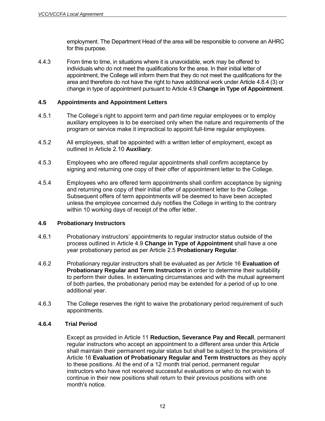employment. The Department Head of the area will be responsible to convene an AHRC for this purpose.

4.4.3 From time to time, in situations where it is unavoidable, work may be offered to individuals who do not meet the qualifications for the area. In their initial letter of appointment, the College will inform them that they do not meet the qualifications for the area and therefore do not have the right to have additional work under Article 4.8.4 (3) or change in type of appointment pursuant to Article 4.9 **Change in Type of Appointment**.

# **4.5 Appointments and Appointment Letters**

- 4.5.1 The College's right to appoint term and part-time regular employees or to employ auxiliary employees is to be exercised only when the nature and requirements of the program or service make it impractical to appoint full-time regular employees.
- 4.5.2 All employees, shall be appointed with a written letter of employment, except as outlined in Article 2.10 **Auxiliary**.
- 4.5.3 Employees who are offered regular appointments shall confirm acceptance by signing and returning one copy of their offer of appointment letter to the College.
- 4.5.4 Employees who are offered term appointments shall confirm acceptance by signing and returning one copy of their initial offer of appointment letter to the College. Subsequent offers of term appointments will be deemed to have been accepted unless the employee concerned duly notifies the College in writing to the contrary within 10 working days of receipt of the offer letter.

# **4.6 Probationary Instructors**

- 4.6.1 Probationary instructors' appointments to regular instructor status outside of the process outlined in Article 4.9 **Change in Type of Appointment** shall have a one year probationary period as per Article 2.5 **Probationary Regular***.*
- 4.6.2 Probationary regular instructors shall be evaluated as per Article 16 **Evaluation of Probationary Regular and Term Instructors** in order to determine their suitability to perform their duties. In extenuating circumstances and with the mutual agreement of both parties, the probationary period may be extended for a period of up to one additional year.
- 4.6.3 The College reserves the right to waive the probationary period requirement of such appointments.

# **4.6.4 Trial Period**

 Except as provided in Article 11 **Reduction, Severance Pay and Recall**, permanent regular instructors who accept an appointment to a different area under this Article shall maintain their permanent regular status but shall be subject to the provisions of Article 16 **Evaluation of Probationary Regular and Term Instructors** as they apply to these positions. At the end of a 12 month trial period, permanent regular instructors who have not received successful evaluations or who do not wish to continue in their new positions shall return to their previous positions with one month's notice.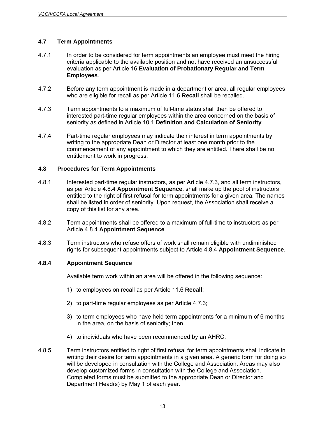# **4.7 Term Appointments**

- 4.7.1 In order to be considered for term appointments an employee must meet the hiring criteria applicable to the available position and not have received an unsuccessful evaluation as per Article 16 **Evaluation of Probationary Regular and Term Employees**.
- 4.7.2 Before any term appointment is made in a department or area, all regular employees who are eligible for recall as per Article 11.6 **Recall** shall be recalled.
- 4.7.3 Term appointments to a maximum of full-time status shall then be offered to interested part-time regular employees within the area concerned on the basis of seniority as defined in Article 10.1 **Definition and Calculation of Seniority***.*
- 4.7.4 Part-time regular employees may indicate their interest in term appointments by writing to the appropriate Dean or Director at least one month prior to the commencement of any appointment to which they are entitled. There shall be no entitlement to work in progress.

# **4.8 Procedures for Term Appointments**

- 4.8.1 Interested part-time regular instructors, as per Article 4.7.3, and all term instructors, as per Article 4.8.4 **Appointment Sequence**, shall make up the pool of instructors entitled to the right of first refusal for term appointments for a given area. The names shall be listed in order of seniority. Upon request, the Association shall receive a copy of this list for any area.
- 4.8.2 Term appointments shall be offered to a maximum of full-time to instructors as per Article 4.8.4 **Appointment Sequence**.
- 4.8.3 Term instructors who refuse offers of work shall remain eligible with undiminished rights for subsequent appointments subject to Article 4.8.4 **Appointment Sequence**.

# **4.8.4 Appointment Sequence**

Available term work within an area will be offered in the following sequence:

- 1) to employees on recall as per Article 11.6 **Recall**;
- 2) to part-time regular employees as per Article 4.7.3;
- 3) to term employees who have held term appointments for a minimum of 6 months in the area, on the basis of seniority; then
- 4) to individuals who have been recommended by an AHRC.
- 4.8.5 Term instructors entitled to right of first refusal for term appointments shall indicate in writing their desire for term appointments in a given area. A generic form for doing so will be developed in consultation with the College and Association. Areas may also develop customized forms in consultation with the College and Association. Completed forms must be submitted to the appropriate Dean or Director and Department Head(s) by May 1 of each year.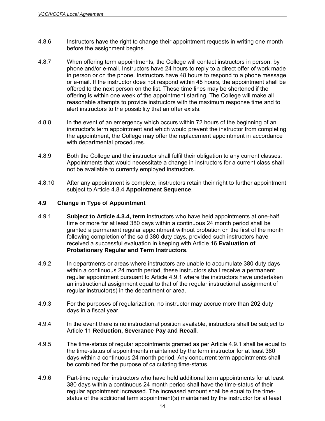- 4.8.6 Instructors have the right to change their appointment requests in writing one month before the assignment begins.
- 4.8.7 When offering term appointments, the College will contact instructors in person, by phone and/or e-mail. Instructors have 24 hours to reply to a direct offer of work made in person or on the phone. Instructors have 48 hours to respond to a phone message or e-mail. If the instructor does not respond within 48 hours, the appointment shall be offered to the next person on the list. These time lines may be shortened if the offering is within one week of the appointment starting. The College will make all reasonable attempts to provide instructors with the maximum response time and to alert instructors to the possibility that an offer exists.
- 4.8.8 In the event of an emergency which occurs within 72 hours of the beginning of an instructor's term appointment and which would prevent the instructor from completing the appointment, the College may offer the replacement appointment in accordance with departmental procedures.
- 4.8.9 Both the College and the instructor shall fulfil their obligation to any current classes. Appointments that would necessitate a change in instructors for a current class shall not be available to currently employed instructors.
- 4.8.10 After any appointment is complete, instructors retain their right to further appointment subject to Article 4.8.4 **Appointment Sequence**.

# **4.9 Change in Type of Appointment**

- 4.9.1 **Subject to Article 4.3.4, term** instructors who have held appointments at one-half time or more for at least 380 days within a continuous 24 month period shall be granted a permanent regular appointment without probation on the first of the month following completion of the said 380 duty days, provided such instructors have received a successful evaluation in keeping with Article 16 **Evaluation of Probationary Regular and Term Instructors***.*
- 4.9.2 In departments or areas where instructors are unable to accumulate 380 duty days within a continuous 24 month period, these instructors shall receive a permanent regular appointment pursuant to Article 4.9.1 where the instructors have undertaken an instructional assignment equal to that of the regular instructional assignment of regular instructor(s) in the department or area.
- 4.9.3 For the purposes of regularization, no instructor may accrue more than 202 duty days in a fiscal year.
- 4.9.4 In the event there is no instructional position available, instructors shall be subject to Article 11 **Reduction, Severance Pay and Recall***.*
- 4.9.5 The time-status of regular appointments granted as per Article 4.9.1 shall be equal to the time-status of appointments maintained by the term instructor for at least 380 days within a continuous 24 month period. Any concurrent term appointments shall be combined for the purpose of calculating time-status.
- 4.9.6 Part-time regular instructors who have held additional term appointments for at least 380 days within a continuous 24 month period shall have the time-status of their regular appointment increased. The increased amount shall be equal to the timestatus of the additional term appointment(s) maintained by the instructor for at least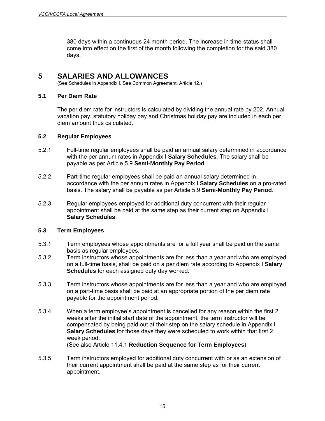380 days within a continuous 24 month period. The increase in time-status shall come into effect on the first of the month following the completion for the said 380 days.

# **5 SALARIES AND ALLOWANCES**

(See Schedules in Appendix I. See Common Agreement, Article 12.)

# **5.1 Per Diem Rate**

 The per diem rate for instructors is calculated by dividing the annual rate by 202. Annual vacation pay, statutory holiday pay and Christmas holiday pay are included in each per diem amount thus calculated.

#### **5.2 Regular Employees**

- 5.2.1 Full-time regular employees shall be paid an annual salary determined in accordance with the per annum rates in Appendix I **Salary Schedules**. The salary shall be payable as per Article 5.9 **Semi-Monthly Pay Period**.
- 5.2.2 Part-time regular employees shall be paid an annual salary determined in accordance with the per annum rates in Appendix I **Salary Schedules** on a pro-rated basis. The salary shall be payable as per Article 5.9 **Semi-Monthly Pay Period**.
- 5.2.3 Regular employees employed for additional duty concurrent with their regular appointment shall be paid at the same step as their current step on Appendix I **Salary Schedules**.

# **5.3 Term Employees**

- 5.3.1 Term employees whose appointments are for a full year shall be paid on the same basis as regular employees.
- 5.3.2 Term instructors whose appointments are for less than a year and who are employed on a full-time basis, shall be paid on a per diem rate according to Appendix I **Salary Schedules** for each assigned duty day worked.
- 5.3.3 Term instructors whose appointments are for less than a year and who are employed on a part-time basis shall be paid at an appropriate portion of the per diem rate payable for the appointment period.
- 5.3.4 When a term employee's appointment is cancelled for any reason within the first 2 weeks after the initial start date of the appointment, the term instructor will be compensated by being paid out at their step on the salary schedule in Appendix I **Salary Schedules** for those days they were scheduled to work within that first 2 week period.

(See also Article 11.4.1 **Reduction Sequence for Term Employees**)

5.3.5 Term instructors employed for additional duty concurrent with or as an extension of their current appointment shall be paid at the same step as for their current appointment.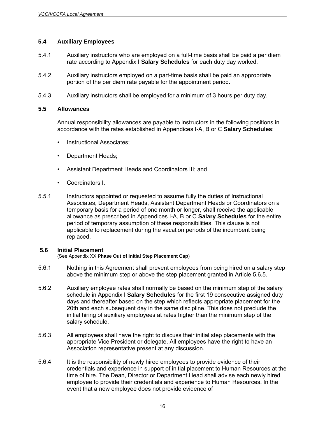# **5.4 Auxiliary Employees**

- 5.4.1 Auxiliary instructors who are employed on a full-time basis shall be paid a per diem rate according to Appendix I **Salary Schedules** for each duty day worked.
- 5.4.2 Auxiliary instructors employed on a part-time basis shall be paid an appropriate portion of the per diem rate payable for the appointment period.
- 5.4.3 Auxiliary instructors shall be employed for a minimum of 3 hours per duty day.

# **5.5 Allowances**

 Annual responsibility allowances are payable to instructors in the following positions in accordance with the rates established in Appendices I-A, B or C **Salary Schedules**:

- Instructional Associates;
- Department Heads;
- Assistant Department Heads and Coordinators III; and
- Coordinators I.
- 5.5.1 Instructors appointed or requested to assume fully the duties of Instructional Associates, Department Heads, Assistant Department Heads or Coordinators on a temporary basis for a period of one month or longer, shall receive the applicable allowance as prescribed in Appendices I-A, B or C **Salary Schedules** for the entire period of temporary assumption of these responsibilities. This clause is not applicable to replacement during the vacation periods of the incumbent being replaced.

# **5.6 Initial Placement**

(See Appendix XX **Phase Out of Initial Step Placement Cap**)

- 5.6.1 Nothing in this Agreement shall prevent employees from being hired on a salary step above the minimum step or above the step placement granted in Article 5.6.5.
- 5.6.2 Auxiliary employee rates shall normally be based on the minimum step of the salary schedule in Appendix I **Salary Schedules** for the first 19 consecutive assigned duty days and thereafter based on the step which reflects appropriate placement for the 20th and each subsequent day in the same discipline. This does not preclude the initial hiring of auxiliary employees at rates higher than the minimum step of the salary schedule.
- 5.6.3 All employees shall have the right to discuss their initial step placements with the appropriate Vice President or delegate. All employees have the right to have an Association representative present at any discussion.
- 5.6.4 It is the responsibility of newly hired employees to provide evidence of their credentials and experience in support of initial placement to Human Resources at the time of hire. The Dean, Director or Department Head shall advise each newly hired employee to provide their credentials and experience to Human Resources. In the event that a new employee does not provide evidence of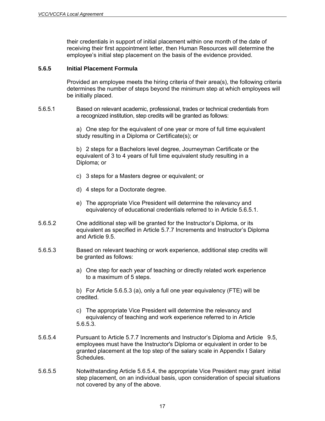their credentials in support of initial placement within one month of the date of receiving their first appointment letter, then Human Resources will determine the employee's initial step placement on the basis of the evidence provided.

#### **5.6.5 Initial Placement Formula**

 Provided an employee meets the hiring criteria of their area(s), the following criteria determines the number of steps beyond the minimum step at which employees will be initially placed.

5.6.5.1 Based on relevant academic, professional, trades or technical credentials from a recognized institution, step credits will be granted as follows:

> a) One step for the equivalent of one year or more of full time equivalent study resulting in a Diploma or Certificate(s); or

b) 2 steps for a Bachelors level degree, Journeyman Certificate or the equivalent of 3 to 4 years of full time equivalent study resulting in a Diploma; or

- c) 3 steps for a Masters degree or equivalent; or
- d) 4 steps for a Doctorate degree.
- e) The appropriate Vice President will determine the relevancy and equivalency of educational credentials referred to in Article 5.6.5.1.
- 5.6.5.2 One additional step will be granted for the Instructor's Diploma, or its equivalent as specified in Article 5.7.7 Increments and Instructor's Diploma and Article 9.5.
- 5.6.5.3 Based on relevant teaching or work experience, additional step credits will be granted as follows:
	- a) One step for each year of teaching or directly related work experience to a maximum of 5 steps.

 b) For Article 5.6.5.3 (a), only a full one year equivalency (FTE) will be credited.

- c) The appropriate Vice President will determine the relevancy and equivalency of teaching and work experience referred to in Article 5.6.5.3.
- 5.6.5.4 Pursuant to Article 5.7.7 Increments and Instructor's Diploma and Article 9.5, employees must have the Instructor's Diploma or equivalent in order to be granted placement at the top step of the salary scale in Appendix I Salary Schedules.
- 5.6.5.5 Notwithstanding Article 5.6.5.4, the appropriate Vice President may grant initial step placement, on an individual basis, upon consideration of special situations not covered by any of the above.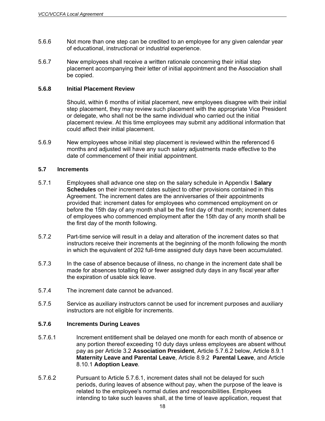- 5.6.6 Not more than one step can be credited to an employee for any given calendar year of educational, instructional or industrial experience.
- 5.6.7 New employees shall receive a written rationale concerning their initial step placement accompanying their letter of initial appointment and the Association shall be copied.

#### **5.6.8 Initial Placement Review**

 Should, within 6 months of initial placement, new employees disagree with their initial step placement, they may review such placement with the appropriate Vice President or delegate, who shall not be the same individual who carried out the initial placement review. At this time employees may submit any additional information that could affect their initial placement.

5.6.9 New employees whose initial step placement is reviewed within the referenced 6 months and adjusted will have any such salary adjustments made effective to the date of commencement of their initial appointment.

#### **5.7 Increments**

- 5.7.1 Employees shall advance one step on the salary schedule in Appendix I **Salary Schedules** on their increment dates subject to other provisions contained in this Agreement. The increment dates are the anniversaries of their appointments provided that: increment dates for employees who commenced employment on or before the 15th day of any month shall be the first day of that month; increment dates of employees who commenced employment after the 15th day of any month shall be the first day of the month following.
- 5.7.2 Part-time service will result in a delay and alteration of the increment dates so that instructors receive their increments at the beginning of the month following the month in which the equivalent of 202 full-time assigned duty days have been accumulated.
- 5.7.3 In the case of absence because of illness, no change in the increment date shall be made for absences totalling 60 or fewer assigned duty days in any fiscal year after the expiration of usable sick leave.
- 5.7.4 The increment date cannot be advanced.
- 5.7.5 Service as auxiliary instructors cannot be used for increment purposes and auxiliary instructors are not eligible for increments.

# **5.7.6 Increments During Leaves**

- 5.7.6.1 Increment entitlement shall be delayed one month for each month of absence or any portion thereof exceeding 10 duty days unless employees are absent without pay as per Article 3.2 **Association President**, Article 5.7.6.2 below, Article 8.9.1 **Maternity Leave and Parental Leave**, Article 8.9.2 **Parental Leave**, and Article 8.10.1 **Adoption Leave***.*
- 5.7.6.2 Pursuant to Article 5.7.6.1, increment dates shall not be delayed for such periods, during leaves of absence without pay, when the purpose of the leave is related to the employee's normal duties and responsibilities. Employees intending to take such leaves shall, at the time of leave application, request that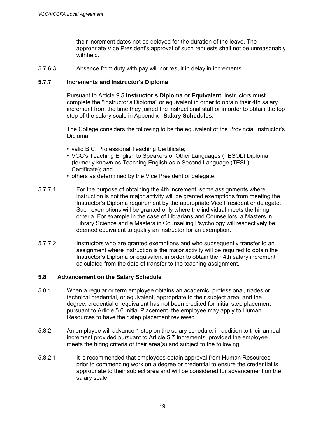their increment dates not be delayed for the duration of the leave. The appropriate Vice President's approval of such requests shall not be unreasonably withheld.

5.7.6.3 Absence from duty with pay will not result in delay in increments.

# **5.7.7 Increments and Instructor's Diploma**

 Pursuant to Article 9.5 **Instructor's Diploma or Equivalent**, instructors must complete the "Instructor's Diploma" or equivalent in order to obtain their 4th salary increment from the time they joined the instructional staff or in order to obtain the top step of the salary scale in Appendix I **Salary Schedules**.

 The College considers the following to be the equivalent of the Provincial Instructor's Diploma:

- valid B.C. Professional Teaching Certificate;
- VCC's Teaching English to Speakers of Other Languages (TESOL) Diploma (formerly known as Teaching English as a Second Language (TESL) Certificate); and
- others as determined by the Vice President or delegate.
- 5.7.7.1 For the purpose of obtaining the 4th increment, some assignments where instruction is not the major activity will be granted exemptions from meeting the Instructor's Diploma requirement by the appropriate Vice President or delegate. Such exemptions will be granted only where the individual meets the hiring criteria. For example in the case of Librarians and Counsellors, a Masters in Library Science and a Masters in Counselling Psychology will respectively be deemed equivalent to qualify an instructor for an exemption.
- 5.7.7.2 Instructors who are granted exemptions and who subsequently transfer to an assignment where instruction is the major activity will be required to obtain the Instructor's Diploma or equivalent in order to obtain their 4th salary increment calculated from the date of transfer to the teaching assignment.

# **5.8 Advancement on the Salary Schedule**

- 5.8.1 When a regular or term employee obtains an academic, professional, trades or technical credential, or equivalent, appropriate to their subject area, and the degree, credential or equivalent has not been credited for initial step placement pursuant to Article 5.6 Initial Placement, the employee may apply to Human Resources to have their step placement reviewed.
- 5.8.2 An employee will advance 1 step on the salary schedule, in addition to their annual increment provided pursuant to Article 5.7 Increments, provided the employee meets the hiring criteria of their area(s) and subject to the following:
- 5.8.2.1 It is recommended that employees obtain approval from Human Resources prior to commencing work on a degree or credential to ensure the credential is appropriate to their subject area and will be considered for advancement on the salary scale.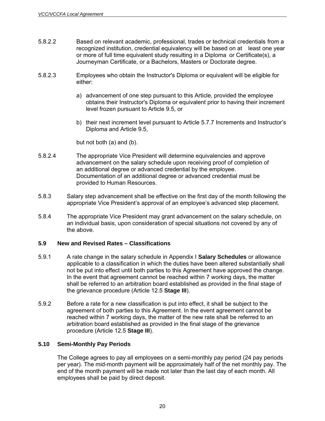- 5.8.2.2 Based on relevant academic, professional, trades or technical credentials from a recognized institution, credential equivalency will be based on at least one year or more of full time equivalent study resulting in a Diploma or Certificate(s), a Journeyman Certificate, or a Bachelors, Masters or Doctorate degree.
- 5.8.2.3 Employees who obtain the Instructor's Diploma or equivalent will be eligible for either:
	- a) advancement of one step pursuant to this Article, provided the employee obtains their Instructor's Diploma or equivalent prior to having their increment level frozen pursuant to Article 9.5, or
	- b) their next increment level pursuant to Article 5.7.7 Increments and Instructor's Diploma and Article 9.5,

#### but not both (a) and (b).

- 5.8.2.4 The appropriate Vice President will determine equivalencies and approve advancement on the salary schedule upon receiving proof of completion of an additional degree or advanced credential by the employee. Documentation of an additional degree or advanced credential must be provided to Human Resources.
- 5.8.3 Salary step advancement shall be effective on the first day of the month following the appropriate Vice President's approval of an employee's advanced step placement.
- 5.8.4 The appropriate Vice President may grant advancement on the salary schedule, on an individual basis, upon consideration of special situations not covered by any of the above.

# **5.9 New and Revised Rates – Classifications**

- 5.9.1 A rate change in the salary schedule in Appendix I **Salary Schedules** or allowance applicable to a classification in which the duties have been altered substantially shall not be put into effect until both parties to this Agreement have approved the change. In the event that agreement cannot be reached within 7 working days, the matter shall be referred to an arbitration board established as provided in the final stage of the grievance procedure (Article 12.5 **Stage III**).
- 5.9.2 Before a rate for a new classification is put into effect, it shall be subject to the agreement of both parties to this Agreement. In the event agreement cannot be reached within 7 working days, the matter of the new rate shall be referred to an arbitration board established as provided in the final stage of the grievance procedure (Article 12.5 **Stage III**).

# **5.10 Semi-Monthly Pay Periods**

 The College agrees to pay all employees on a semi-monthly pay period (24 pay periods per year). The mid-month payment will be approximately half of the net monthly pay. The end of the month payment will be made not later than the last day of each month. All employees shall be paid by direct deposit.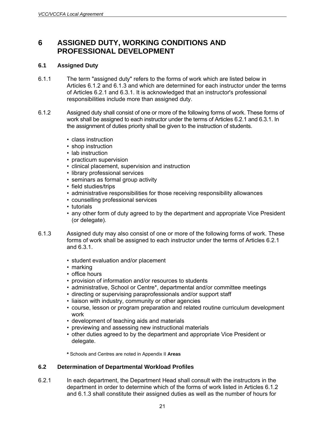# **6 ASSIGNED DUTY, WORKING CONDITIONS AND PROFESSIONAL DEVELOPMENT**

# **6.1 Assigned Duty**

- 6.1.1 The term "assigned duty" refers to the forms of work which are listed below in Articles 6.1.2 and 6.1.3 and which are determined for each instructor under the terms of Articles 6.2.1 and 6.3.1. It is acknowledged that an instructor's professional responsibilities include more than assigned duty.
- 6.1.2 Assigned duty shall consist of one or more of the following forms of work. These forms of work shall be assigned to each instructor under the terms of Articles 6.2.1 and 6.3.1. In the assignment of duties priority shall be given to the instruction of students.
	- class instruction
	- shop instruction
	- lab instruction
	- practicum supervision
	- clinical placement, supervision and instruction
	- library professional services
	- seminars as formal group activity
	- field studies/trips
	- administrative responsibilities for those receiving responsibility allowances
	- counselling professional services
	- tutorials
	- any other form of duty agreed to by the department and appropriate Vice President (or delegate).
- 6.1.3 Assigned duty may also consist of one or more of the following forms of work. These forms of work shall be assigned to each instructor under the terms of Articles 6.2.1 and 6.3.1.
	- student evaluation and/or placement
	- marking
	- office hours
	- provision of information and/or resources to students
	- administrative, School or Centre\*, departmental and/or committee meetings
	- directing or supervising paraprofessionals and/or support staff
	- liaison with industry, community or other agencies
	- course, lesson or program preparation and related routine curriculum development work
	- development of teaching aids and materials
	- previewing and assessing new instructional materials
	- other duties agreed to by the department and appropriate Vice President or delegate.

**\*** Schools and Centres are noted in Appendix II **Areas**

# **6.2 Determination of Departmental Workload Profiles**

6.2.1 In each department, the Department Head shall consult with the instructors in the department in order to determine which of the forms of work listed in Articles 6.1.2 and 6.1.3 shall constitute their assigned duties as well as the number of hours for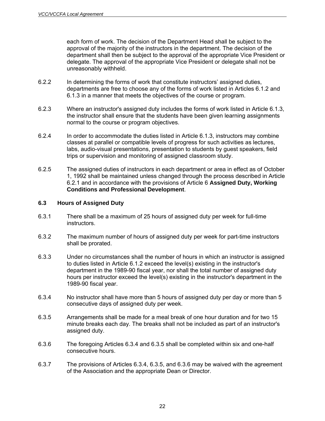each form of work. The decision of the Department Head shall be subject to the approval of the majority of the instructors in the department. The decision of the department shall then be subject to the approval of the appropriate Vice President or delegate. The approval of the appropriate Vice President or delegate shall not be unreasonably withheld.

- 6.2.2 In determining the forms of work that constitute instructors' assigned duties, departments are free to choose any of the forms of work listed in Articles 6.1.2 and 6.1.3 in a manner that meets the objectives of the course or program.
- 6.2.3 Where an instructor's assigned duty includes the forms of work listed in Article 6.1.3, the instructor shall ensure that the students have been given learning assignments normal to the course or program objectives.
- 6.2.4 In order to accommodate the duties listed in Article 6.1.3, instructors may combine classes at parallel or compatible levels of progress for such activities as lectures, labs, audio-visual presentations, presentation to students by guest speakers, field trips or supervision and monitoring of assigned classroom study.
- 6.2.5 The assigned duties of instructors in each department or area in effect as of October 1, 1992 shall be maintained unless changed through the process described in Article 6.2.1 and in accordance with the provisions of Article 6 **Assigned Duty, Working Conditions and Professional Development**.

# **6.3 Hours of Assigned Duty**

- 6.3.1 There shall be a maximum of 25 hours of assigned duty per week for full-time instructors.
- 6.3.2 The maximum number of hours of assigned duty per week for part-time instructors shall be prorated.
- 6.3.3 Under no circumstances shall the number of hours in which an instructor is assigned to duties listed in Article 6.1.2 exceed the level(s) existing in the instructor's department in the 1989-90 fiscal year, nor shall the total number of assigned duty hours per instructor exceed the level(s) existing in the instructor's department in the 1989-90 fiscal year.
- 6.3.4 No instructor shall have more than 5 hours of assigned duty per day or more than 5 consecutive days of assigned duty per week.
- 6.3.5 Arrangements shall be made for a meal break of one hour duration and for two 15 minute breaks each day. The breaks shall not be included as part of an instructor's assigned duty.
- 6.3.6 The foregoing Articles 6.3.4 and 6.3.5 shall be completed within six and one-half consecutive hours.
- 6.3.7 The provisions of Articles 6.3.4, 6.3.5, and 6.3.6 may be waived with the agreement of the Association and the appropriate Dean or Director.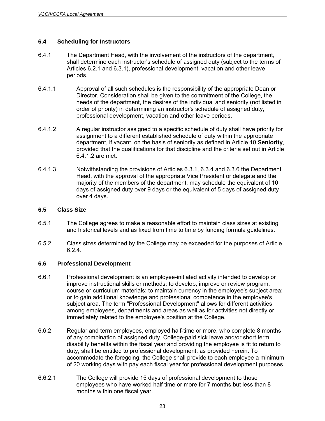# **6.4 Scheduling for Instructors**

- 6.4.1 The Department Head, with the involvement of the instructors of the department, shall determine each instructor's schedule of assigned duty (subject to the terms of Articles 6.2.1 and 6.3.1), professional development, vacation and other leave periods.
- 6.4.1.1 Approval of all such schedules is the responsibility of the appropriate Dean or Director. Consideration shall be given to the commitment of the College, the needs of the department, the desires of the individual and seniority (not listed in order of priority) in determining an instructor's schedule of assigned duty, professional development, vacation and other leave periods.
- 6.4.1.2 A regular instructor assigned to a specific schedule of duty shall have priority for assignment to a different established schedule of duty within the appropriate department, if vacant, on the basis of seniority as defined in Article 10 **Seniority**, provided that the qualifications for that discipline and the criteria set out in Article 6.4.1.2 are met.
- 6.4.1.3 Notwithstanding the provisions of Articles 6.3.1, 6.3.4 and 6.3.6 the Department Head, with the approval of the appropriate Vice President or delegate and the majority of the members of the department, may schedule the equivalent of 10 days of assigned duty over 9 days or the equivalent of 5 days of assigned duty over 4 days.

# **6.5 Class Size**

- 6.5.1 The College agrees to make a reasonable effort to maintain class sizes at existing and historical levels and as fixed from time to time by funding formula guidelines.
- 6.5.2 Class sizes determined by the College may be exceeded for the purposes of Article 6.2.4.

# **6.6 Professional Development**

- 6.6.1 Professional development is an employee-initiated activity intended to develop or improve instructional skills or methods; to develop, improve or review program, course or curriculum materials; to maintain currency in the employee's subject area; or to gain additional knowledge and professional competence in the employee's subject area. The term "Professional Development" allows for different activities among employees, departments and areas as well as for activities not directly or immediately related to the employee's position at the College.
- 6.6.2 Regular and term employees, employed half-time or more, who complete 8 months of any combination of assigned duty, College-paid sick leave and/or short term disability benefits within the fiscal year and providing the employee is fit to return to duty, shall be entitled to professional development, as provided herein. To accommodate the foregoing, the College shall provide to each employee a minimum of 20 working days with pay each fiscal year for professional development purposes.
- 6.6.2.1 The College will provide 15 days of professional development to those employees who have worked half time or more for 7 months but less than 8 months within one fiscal year.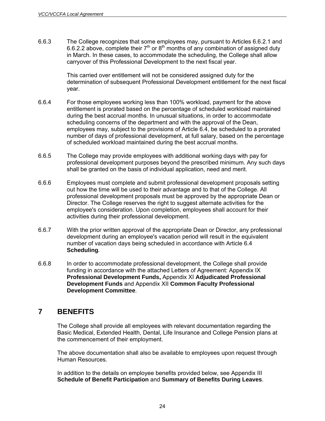6.6.3 The College recognizes that some employees may, pursuant to Articles 6.6.2.1 and 6.6.2.2 above, complete their  $7<sup>th</sup>$  or  $8<sup>th</sup>$  months of any combination of assigned duty in March. In these cases, to accommodate the scheduling, the College shall allow carryover of this Professional Development to the next fiscal year.

> This carried over entitlement will not be considered assigned duty for the determination of subsequent Professional Development entitlement for the next fiscal year.

- 6.6.4 For those employees working less than 100% workload, payment for the above entitlement is prorated based on the percentage of scheduled workload maintained during the best accrual months. In unusual situations, in order to accommodate scheduling concerns of the department and with the approval of the Dean, employees may, subject to the provisions of Article 6.4, be scheduled to a prorated number of days of professional development, at full salary, based on the percentage of scheduled workload maintained during the best accrual months.
- 6.6.5 The College may provide employees with additional working days with pay for professional development purposes beyond the prescribed minimum. Any such days shall be granted on the basis of individual application, need and merit.
- 6.6.6 Employees must complete and submit professional development proposals setting out how the time will be used to their advantage and to that of the College. All professional development proposals must be approved by the appropriate Dean or Director. The College reserves the right to suggest alternate activities for the employee's consideration. Upon completion, employees shall account for their activities during their professional development.
- 6.6.7 With the prior written approval of the appropriate Dean or Director, any professional development during an employee's vacation period will result in the equivalent number of vacation days being scheduled in accordance with Article 6.4 **Scheduling***.*
- 6.6.8 In order to accommodate professional development, the College shall provide funding in accordance with the attached Letters of Agreement: Appendix IX **Professional Development Funds,** Appendix XI **Adjudicated Professional Development Funds** and Appendix XII **Common Faculty Professional Development Committee**.

# **7 BENEFITS**

 The College shall provide all employees with relevant documentation regarding the Basic Medical, Extended Health, Dental, Life Insurance and College Pension plans at the commencement of their employment.

 The above documentation shall also be available to employees upon request through Human Resources.

 In addition to the details on employee benefits provided below, see Appendix III **Schedule of Benefit Participation** and **Summary of Benefits During Leaves**.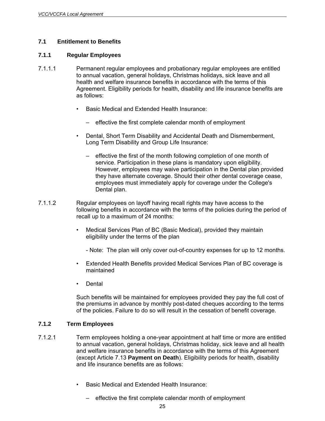# **7.1 Entitlement to Benefits**

#### **7.1.1 Regular Employees**

- 7.1.1.1 Permanent regular employees and probationary regular employees are entitled to annual vacation, general holidays, Christmas holidays, sick leave and all health and welfare insurance benefits in accordance with the terms of this Agreement. Eligibility periods for health, disability and life insurance benefits are as follows:
	- Basic Medical and Extended Health Insurance:
		- effective the first complete calendar month of employment
	- Dental, Short Term Disability and Accidental Death and Dismemberment, Long Term Disability and Group Life Insurance:
		- effective the first of the month following completion of one month of service. Participation in these plans is mandatory upon eligibility. However, employees may waive participation in the Dental plan provided they have alternate coverage. Should their other dental coverage cease, employees must immediately apply for coverage under the College's Dental plan.
- 7.1.1.2 Regular employees on layoff having recall rights may have access to the following benefits in accordance with the terms of the policies during the period of recall up to a maximum of 24 months:
	- Medical Services Plan of BC (Basic Medical), provided they maintain eligibility under the terms of the plan
		- Note: The plan will only cover out-of-country expenses for up to 12 months.
	- Extended Health Benefits provided Medical Services Plan of BC coverage is maintained
	- **Dental**

 Such benefits will be maintained for employees provided they pay the full cost of the premiums in advance by monthly post-dated cheques according to the terms of the policies. Failure to do so will result in the cessation of benefit coverage.

# **7.1.2 Term Employees**

- 7.1.2.1 Term employees holding a one-year appointment at half time or more are entitled to annual vacation, general holidays, Christmas holiday, sick leave and all health and welfare insurance benefits in accordance with the terms of this Agreement (except Article 7.13 **Payment on Death**). Eligibility periods for health, disability and life insurance benefits are as follows:
	- Basic Medical and Extended Health Insurance:
		- effective the first complete calendar month of employment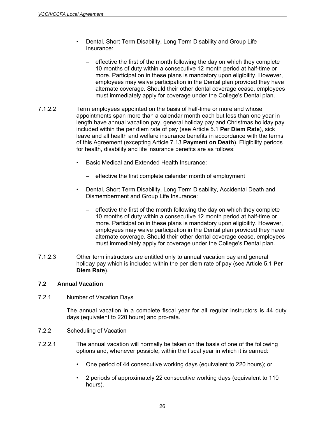- Dental, Short Term Disability, Long Term Disability and Group Life Insurance:
	- effective the first of the month following the day on which they complete 10 months of duty within a consecutive 12 month period at half-time or more. Participation in these plans is mandatory upon eligibility. However, employees may waive participation in the Dental plan provided they have alternate coverage. Should their other dental coverage cease, employees must immediately apply for coverage under the College's Dental plan.
- 7.1.2.2 Term employees appointed on the basis of half-time or more and whose appointments span more than a calendar month each but less than one year in length have annual vacation pay, general holiday pay and Christmas holiday pay included within the per diem rate of pay (see Article 5.1 **Per Diem Rate**), sick leave and all health and welfare insurance benefits in accordance with the terms of this Agreement (excepting Article 7.13 **Payment on Death**). Eligibility periods for health, disability and life insurance benefits are as follows:
	- Basic Medical and Extended Health Insurance:
		- effective the first complete calendar month of employment
	- Dental, Short Term Disability, Long Term Disability, Accidental Death and Dismemberment and Group Life Insurance:
		- effective the first of the month following the day on which they complete 10 months of duty within a consecutive 12 month period at half-time or more. Participation in these plans is mandatory upon eligibility. However, employees may waive participation in the Dental plan provided they have alternate coverage. Should their other dental coverage cease, employees must immediately apply for coverage under the College's Dental plan.
- 7.1.2.3 Other term instructors are entitled only to annual vacation pay and general holiday pay which is included within the per diem rate of pay (see Article 5.1 **Per Diem Rate**).

# **7.2 Annual Vacation**

7.2.1 Number of Vacation Days

 The annual vacation in a complete fiscal year for all regular instructors is 44 duty days (equivalent to 220 hours) and pro-rata.

- 7.2.2 Scheduling of Vacation
- 7.2.2.1 The annual vacation will normally be taken on the basis of one of the following options and, whenever possible, within the fiscal year in which it is earned:
	- One period of 44 consecutive working days (equivalent to 220 hours); or
	- 2 periods of approximately 22 consecutive working days (equivalent to 110 hours).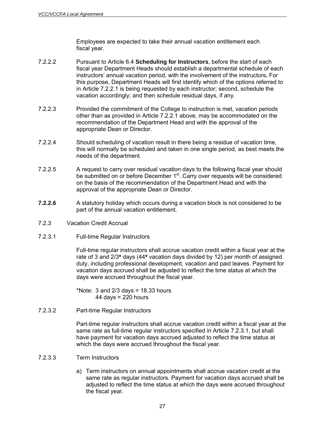Employees are expected to take their annual vacation entitlement each fiscal year.

- 7.2.2.2 Pursuant to Article 6.4 **Scheduling for Instructors**, before the start of each fiscal year Department Heads should establish a departmental schedule of each instructors' annual vacation period, with the involvement of the instructors**.** For this purpose, Department Heads will first identify which of the options referred to in Article 7.2.2.1 is being requested by each instructor; second, schedule the vacation accordingly; and then schedule residual days, if any.
- 7.2.2.3 Provided the commitment of the College to instruction is met, vacation periods other than as provided in Article 7.2.2.1 above, may be accommodated on the recommendation of the Department Head and with the approval of the appropriate Dean or Director.
- 7.2.2.4 Should scheduling of vacation result in there being a residue of vacation time, this will normally be scheduled and taken in one single period, as best meets the needs of the department.
- 7.2.2.5 A request to carry over residual vacation days to the following fiscal year should be submitted on or before December 1<sup>st</sup>. Carry over requests will be considered on the basis of the recommendation of the Department Head and with the approval of the appropriate Dean or Director.
- **7.2.2.6** A statutory holiday which occurs during a vacation block is not considered to be part of the annual vacation entitlement.
- 7.2.3 Vacation Credit Accrual
- 7.2.3.1 Full-time Regular Instructors

 Full-time regular instructors shall accrue vacation credit within a fiscal year at the rate of 3 and 2/3**\*** days (44**\*** vacation days divided by 12) per month of assigned duty, including professional development, vacation and paid leaves. Payment for vacation days accrued shall be adjusted to reflect the time status at which the days were accrued throughout the fiscal year.

\*Note: 3 and  $2/3$  days = 18.33 hours 44 days = 220 hours

7.2.3.2 Part-time Regular Instructors

 Part-time regular instructors shall accrue vacation credit within a fiscal year at the same rate as full-time regular instructors specified in Article 7.2.3.1, but shall have payment for vacation days accrued adjusted to reflect the time status at which the days were accrued throughout the fiscal year.

- 7.2.3.3 Term Instructors
	- a) Term instructors on annual appointments shall accrue vacation credit at the same rate as regular instructors. Payment for vacation days accrued shall be adjusted to reflect the time status at which the days were accrued throughout the fiscal year.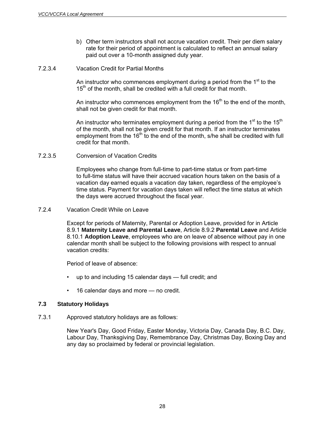- b) Other term instructors shall not accrue vacation credit. Their per diem salary rate for their period of appointment is calculated to reflect an annual salary paid out over a 10-month assigned duty year.
- 7.2.3.4 Vacation Credit for Partial Months

An instructor who commences employment during a period from the  $1<sup>st</sup>$  to the  $15<sup>th</sup>$  of the month, shall be credited with a full credit for that month.

An instructor who commences employment from the  $16<sup>th</sup>$  to the end of the month, shall not be given credit for that month.

An instructor who terminates employment during a period from the  $1<sup>st</sup>$  to the  $15<sup>th</sup>$ of the month, shall not be given credit for that month. If an instructor terminates employment from the  $16<sup>th</sup>$  to the end of the month, s/he shall be credited with full credit for that month.

7.2.3.5 Conversion of Vacation Credits

Employees who change from full-time to part-time status or from part-time to full-time status will have their accrued vacation hours taken on the basis of a vacation day earned equals a vacation day taken, regardless of the employee's time status. Payment for vacation days taken will reflect the time status at which the days were accrued throughout the fiscal year.

7.2.4 Vacation Credit While on Leave

 Except for periods of Maternity, Parental or Adoption Leave, provided for in Article 8.9.1 **Maternity Leave and Parental Leave**, Article 8.9.2 **Parental Leave** and Article 8.10.1 **Adoption Leave**, employees who are on leave of absence without pay in one calendar month shall be subject to the following provisions with respect to annual vacation credits:

Period of leave of absence:

- up to and including 15 calendar days full credit; and
- 16 calendar days and more no credit.

# **7.3 Statutory Holidays**

7.3.1 Approved statutory holidays are as follows:

 New Year's Day, Good Friday, Easter Monday, Victoria Day, Canada Day, B.C. Day, Labour Day, Thanksgiving Day, Remembrance Day, Christmas Day, Boxing Day and any day so proclaimed by federal or provincial legislation.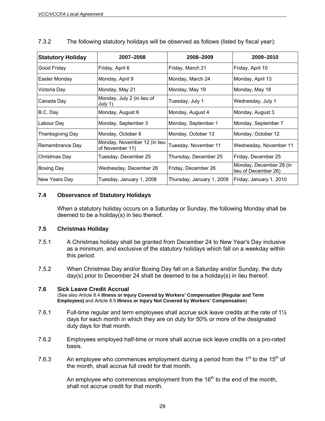| <b>Statutory Holiday</b> | 2007-2008                                       | 2008-2009                 | 2009-2010                                       |
|--------------------------|-------------------------------------------------|---------------------------|-------------------------------------------------|
| Good Friday              | Friday, April 6                                 | Friday, March 21          | Friday, April 10                                |
| Easter Monday            | Monday, April 9                                 | Monday, March 24          | Monday, April 13                                |
| Victoria Day             | Monday, May 21                                  | Monday, May 19            | Monday, May 18                                  |
| Canada Day               | Monday, July 2 (in lieu of<br>July 1)           | Tuesday, July 1           | Wednesday, July 1                               |
| B.C. Day                 | Monday, August 6                                | Monday, August 4          | Monday, August 3                                |
| Labour Day               | Monday, September 3                             | Monday, September 1       | Monday, September 7                             |
| Thanksgiving Day         | Monday, October 8                               | Monday, October 13        | Monday, October 12                              |
| Remembrance Day          | Monday, November 12 (in lieu<br>of November 11) | Tuesday, November 11      | Wednesday, November 11                          |
| Christmas Day            | Tuesday, December 25                            | Thursday, December 25     | Friday, December 25                             |
| <b>Boxing Day</b>        | Wednesday, December 26                          | Friday, December 26       | Monday, December 28 (in<br>lieu of December 26) |
| New Years Day            | Tuesday, January 1, 2008                        | Thursday, January 1, 2009 | Friday, January 1, 2010                         |

| 7.3.2 | The following statutory holidays will be observed as follows (listed by fiscal year): |  |  |  |  |
|-------|---------------------------------------------------------------------------------------|--|--|--|--|
|-------|---------------------------------------------------------------------------------------|--|--|--|--|

# **7.4 Observance of Statutory Holidays**

When a statutory holiday occurs on a Saturday or Sunday, the following Monday shall be deemed to be a holiday(s) in lieu thereof.

# **7.5 Christmas Holiday**

- 7.5.1 A Christmas holiday shall be granted from December 24 to New Year's Day inclusive as a minimum, and exclusive of the statutory holidays which fall on a weekday within this period.
- 7.5.2 When Christmas Day and/or Boxing Day fall on a Saturday and/or Sunday, the duty day(s) prior to December 24 shall be deemed to be a holiday(s) in lieu thereof.

# **7.6 Sick Leave Credit Accrual**

(See also Article 8.4 **Illness or Injury Covered by Workers' Compensation (Regular and Term Employees)** and Article 8.5 **Illness or Injury Not Covered by Workers' Compensation**)

- 7.6.1 Full-time regular and term employees shall accrue sick leave credits at the rate of 1<sup>1/2</sup> days for each month in which they are on duty for 50% or more of the designated duty days for that month.
- 7.6.2 Employees employed half-time or more shall accrue sick leave credits on a pro-rated basis.
- 7.6.3 An employee who commences employment during a period from the  $1<sup>st</sup>$  to the 15<sup>th</sup> of the month, shall accrue full credit for that month.

An employee who commences employment from the  $16<sup>th</sup>$  to the end of the month, shall not accrue credit for that month.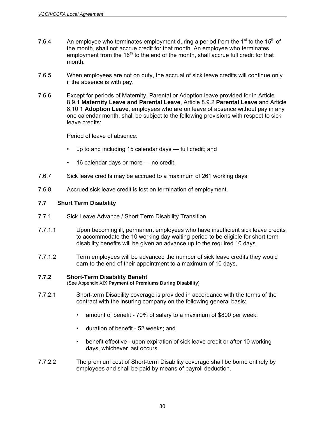- 7.6.4 An employee who terminates employment during a period from the 1<sup>st</sup> to the 15<sup>th</sup> of the month, shall not accrue credit for that month. An employee who terminates employment from the  $16<sup>th</sup>$  to the end of the month, shall accrue full credit for that month.
- 7.6.5 When employees are not on duty, the accrual of sick leave credits will continue only if the absence is with pay.
- 7.6.6 Except for periods of Maternity, Parental or Adoption leave provided for in Article 8.9.1 **Maternity Leave and Parental Leave**, Article 8.9.2 **Parental Leave** and Article 8.10.1 **Adoption Leave**, employees who are on leave of absence without pay in any one calendar month, shall be subject to the following provisions with respect to sick leave credits:

Period of leave of absence:

- up to and including 15 calendar days full credit; and
- 16 calendar days or more no credit.
- 7.6.7 Sick leave credits may be accrued to a maximum of 261 working days.
- 7.6.8 Accrued sick leave credit is lost on termination of employment.

#### **7.7 Short Term Disability**

- 7.7.1 Sick Leave Advance / Short Term Disability Transition
- 7.7.1.1 Upon becoming ill, permanent employees who have insufficient sick leave credits to accommodate the 10 working day waiting period to be eligible for short term disability benefits will be given an advance up to the required 10 days.
- 7.7.1.2 Term employees will be advanced the number of sick leave credits they would earn to the end of their appointment to a maximum of 10 days.

#### **7.7.2 Short-Term Disability Benefit**

(See Appendix XIX **Payment of Premiums During Disability**)

- 7.7.2.1 Short-term Disability coverage is provided in accordance with the terms of the contract with the insuring company on the following general basis:
	- amount of benefit 70% of salary to a maximum of \$800 per week;
	- duration of benefit 52 weeks; and
	- benefit effective upon expiration of sick leave credit or after 10 working days, whichever last occurs.
- 7.7.2.2 The premium cost of Short-term Disability coverage shall be borne entirely by employees and shall be paid by means of payroll deduction.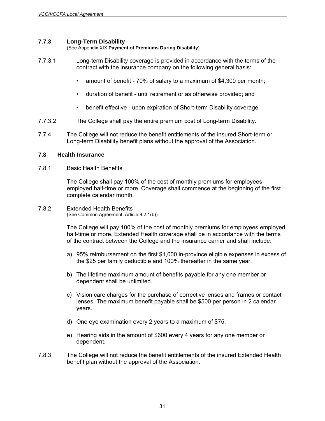### **7.7.3 Long-Term Disability**

(See Appendix XIX **Payment of Premiums During Disability**)

- 7.7.3.1 Long-term Disability coverage is provided in accordance with the terms of the contract with the insurance company on the following general basis:
	- amount of benefit 70% of salary to a maximum of \$4,300 per month;
	- duration of benefit until retirement or as otherwise provided; and
	- benefit effective upon expiration of Short-term Disability coverage.
- 7.7.3.2 The College shall pay the entire premium cost of Long-term Disability.
- 7.7.4 The College will not reduce the benefit entitlements of the insured Short-term or Long-term Disability benefit plans without the approval of the Association.

#### **7.8 Health Insurance**

7.8.1 Basic Health Benefits

 The College shall pay 100% of the cost of monthly premiums for employees employed half-time or more. Coverage shall commence at the beginning of the first complete calendar month.

7.8.2 Extended Health Benefits (See Common Agreement, Article 9.2.1(b))

> The College will pay 100% of the cost of monthly premiums for employees employed half-time or more. Extended Health coverage shall be in accordance with the terms of the contract between the College and the insurance carrier and shall include:

- a) 95% reimbursement on the first \$1,000 in-province eligible expenses in excess of the \$25 per family deductible and 100% thereafter in the same year.
- b) The lifetime maximum amount of benefits payable for any one member or dependent shall be unlimited.
- c) Vision care charges for the purchase of corrective lenses and frames or contact lenses. The maximum benefit payable shall be \$500 per person in 2 calendar years.
- d) One eye examination every 2 years to a maximum of \$75.
- e) Hearing aids in the amount of \$600 every 4 years for any one member or dependent.
- 7.8.3 The College will not reduce the benefit entitlements of the insured Extended Health benefit plan without the approval of the Association.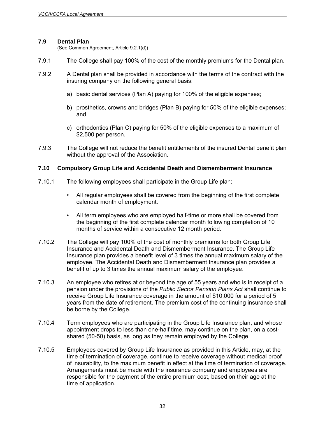#### **7.9 Dental Plan**

(See Common Agreement, Article 9.2.1(d))

- 7.9.1 The College shall pay 100% of the cost of the monthly premiums for the Dental plan.
- 7.9.2 A Dental plan shall be provided in accordance with the terms of the contract with the insuring company on the following general basis:
	- a) basic dental services (Plan A) paying for 100% of the eligible expenses;
	- b) prosthetics, crowns and bridges (Plan B) paying for 50% of the eligible expenses; and
	- c) orthodontics (Plan C) paying for 50% of the eligible expenses to a maximum of \$2,500 per person.
- 7.9.3 The College will not reduce the benefit entitlements of the insured Dental benefit plan without the approval of the Association.

#### **7.10 Compulsory Group Life and Accidental Death and Dismemberment Insurance**

- 7.10.1 The following employees shall participate in the Group Life plan:
	- All regular employees shall be covered from the beginning of the first complete calendar month of employment.
	- All term employees who are employed half-time or more shall be covered from the beginning of the first complete calendar month following completion of 10 months of service within a consecutive 12 month period.
- 7.10.2 The College will pay 100% of the cost of monthly premiums for both Group Life Insurance and Accidental Death and Dismemberment Insurance. The Group Life Insurance plan provides a benefit level of 3 times the annual maximum salary of the employee. The Accidental Death and Dismemberment Insurance plan provides a benefit of up to 3 times the annual maximum salary of the employee.
- 7.10.3 An employee who retires at or beyond the age of 55 years and who is in receipt of a pension under the provisions of the *Public Sector Pension Plans Act* shall continue to receive Group Life Insurance coverage in the amount of \$10,000 for a period of 5 years from the date of retirement. The premium cost of the continuing insurance shall be borne by the College.
- 7.10.4 Term employees who are participating in the Group Life Insurance plan, and whose appointment drops to less than one-half time, may continue on the plan, on a costshared (50-50) basis, as long as they remain employed by the College.
- 7.10.5 Employees covered by Group Life Insurance as provided in this Article, may, at the time of termination of coverage, continue to receive coverage without medical proof of insurability, to the maximum benefit in effect at the time of termination of coverage. Arrangements must be made with the insurance company and employees are responsible for the payment of the entire premium cost, based on their age at the time of application.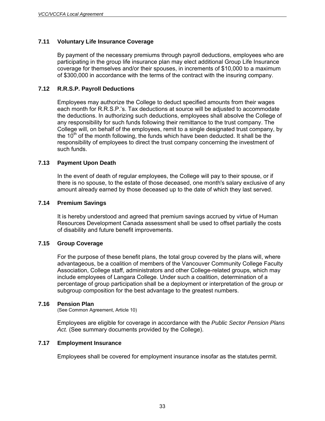# **7.11 Voluntary Life Insurance Coverage**

 By payment of the necessary premiums through payroll deductions, employees who are participating in the group life insurance plan may elect additional Group Life Insurance coverage for themselves and/or their spouses, in increments of \$10,000 to a maximum of \$300,000 in accordance with the terms of the contract with the insuring company.

## **7.12 R.R.S.P. Payroll Deductions**

 Employees may authorize the College to deduct specified amounts from their wages each month for R.R.S.P.'s. Tax deductions at source will be adjusted to accommodate the deductions. In authorizing such deductions, employees shall absolve the College of any responsibility for such funds following their remittance to the trust company. The College will, on behalf of the employees, remit to a single designated trust company, by the  $10<sup>th</sup>$  of the month following, the funds which have been deducted. It shall be the responsibility of employees to direct the trust company concerning the investment of such funds.

## **7.13 Payment Upon Death**

 In the event of death of regular employees, the College will pay to their spouse, or if there is no spouse, to the estate of those deceased, one month's salary exclusive of any amount already earned by those deceased up to the date of which they last served.

#### **7.14 Premium Savings**

 It is hereby understood and agreed that premium savings accrued by virtue of Human Resources Development Canada assessment shall be used to offset partially the costs of disability and future benefit improvements.

# **7.15 Group Coverage**

 For the purpose of these benefit plans, the total group covered by the plans will, where advantageous, be a coalition of members of the Vancouver Community College Faculty Association, College staff, administrators and other College-related groups, which may include employees of Langara College. Under such a coalition, determination of a percentage of group participation shall be a deployment or interpretation of the group or subgroup composition for the best advantage to the greatest numbers.

#### **7.16 Pension Plan**

(See Common Agreement, Article 10)

 Employees are eligible for coverage in accordance with the *Public Sector Pension Plans Act.* (See summary documents provided by the College).

#### **7.17 Employment Insurance**

Employees shall be covered for employment insurance insofar as the statutes permit.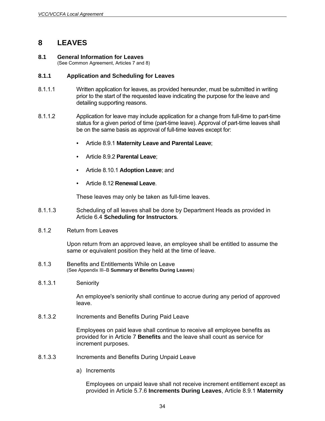# **8 LEAVES**

#### **8.1 General Information for Leaves**

(See Common Agreement, Articles 7 and 8)

## **8.1.1 Application and Scheduling for Leaves**

- 8.1.1.1 Written application for leaves, as provided hereunder, must be submitted in writing prior to the start of the requested leave indicating the purpose for the leave and detailing supporting reasons.
- 8.1.1.2 Application for leave may include application for a change from full-time to part-time status for a given period of time (part-time leave). Approval of part-time leaves shall be on the same basis as approval of full-time leaves except for:
	- Article 8.9.1 **Maternity Leave and Parental Leave**;
	- Article 8.9.2 **Parental Leave**;
	- Article 8.10.1 **Adoption Leave**; and
	- Article 8.12 **Renewal Leave**.

These leaves may only be taken as full-time leaves.

- 8.1.1.3 Scheduling of all leaves shall be done by Department Heads as provided in Article 6.4 **Scheduling for Instructors***.*
- 8.1.2 Return from Leaves

 Upon return from an approved leave, an employee shall be entitled to assume the same or equivalent position they held at the time of leave.

- 8.1.3 Benefits and Entitlements While on Leave (See Appendix III–B **Summary of Benefits During Leaves**)
- 8.1.3.1 Seniority

An employee's seniority shall continue to accrue during any period of approved leave.

8.1.3.2 Increments and Benefits During Paid Leave

Employees on paid leave shall continue to receive all employee benefits as provided for in Article 7 **Benefits** and the leave shall count as service for increment purposes.

- 8.1.3.3 Increments and Benefits During Unpaid Leave
	- a) Increments

 Employees on unpaid leave shall not receive increment entitlement except as provided in Article 5.7.6 **Increments During Leaves**, Article 8.9.1 **Maternity**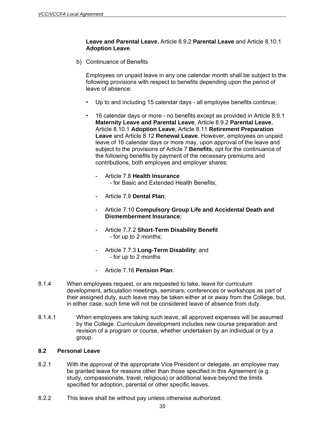### **Leave and Parental Leave**, Article 8.9.2 **Parental Leave** and Article 8.10.1 **Adoption Leave**.

b) Continuance of Benefits

 Employees on unpaid leave in any one calendar month shall be subject to the following provisions with respect to benefits depending upon the period of leave of absence:

- Up to and including 15 calendar days all employee benefits continue;
- 16 calendar days or more no benefits except as provided in Article 8.9.1 **Maternity Leave and Parental Leave**, Article 8.9.2 **Parental Leave**, Article 8.10.1 **Adoption Leave**, Article 8.11 **Retirement Preparation Leave** and Article 8.12 **Renewal Leave**. However, employees on unpaid leave of 16 calendar days or more may, upon approval of the leave and subject to the provisions of Article 7 **Benefits**, opt for the continuance of the following benefits by payment of the necessary premiums and contributions, both employee and employer shares:
	- Article 7.8 **Health Insurance** - for Basic and Extended Health Benefits;
	- Article 7.9 **Dental Plan**;
	- Article 7.10 **Compulsory Group Life and Accidental Death and Dismemberment Insurance**;
	- Article 7.7.2 **Short-Term Disability Benefit** - for up to 2 months;
	- Article 7.7.3 **Long-Term Disability**; and - for up to 2 months
	- Article 7.16 **Pension Plan**.
- 8.1.4 When employees request, or are requested to take, leave for curriculum development, articulation meetings, seminars, conferences or workshops as part of their assigned duty, such leave may be taken either at or away from the College, but, in either case, such time will not be considered leave of absence from duty.
- 8.1.4.1 When employees are taking such leave, all approved expenses will be assumed by the College. Curriculum development includes new course preparation and revision of a program or course, whether undertaken by an individual or by a group.

# **8.2 Personal Leave**

- 8.2.1 With the approval of the appropriate Vice President or delegate, an employee may be granted leave for reasons other than those specified in this Agreement (e.g. study, compassionate, travel, religious) or additional leave beyond the limits specified for adoption, parental or other specific leaves.
- 8.2.2 This leave shall be without pay unless otherwise authorized.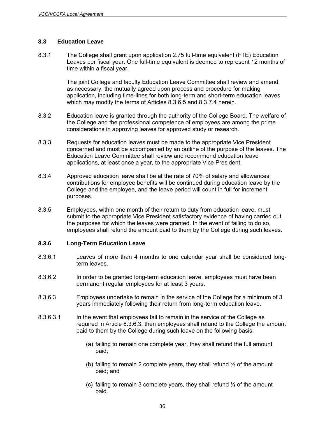# **8.3 Education Leave**

8.3.1 The College shall grant upon application 2.75 full-time equivalent (FTE) Education Leaves per fiscal year. One full-time equivalent is deemed to represent 12 months of time within a fiscal year.

> The joint College and faculty Education Leave Committee shall review and amend, as necessary, the mutually agreed upon process and procedure for making application, including time-lines for both long-term and short-term education leaves which may modify the terms of Articles 8.3.6.5 and 8.3.7.4 herein.

- 8.3.2 Education leave is granted through the authority of the College Board. The welfare of the College and the professional competence of employees are among the prime considerations in approving leaves for approved study or research.
- 8.3.3 Requests for education leaves must be made to the appropriate Vice President concerned and must be accompanied by an outline of the purpose of the leaves. The Education Leave Committee shall review and recommend education leave applications, at least once a year, to the appropriate Vice President.
- 8.3.4 Approved education leave shall be at the rate of 70% of salary and allowances; contributions for employee benefits will be continued during education leave by the College and the employee, and the leave period will count in full for increment purposes.
- 8.3.5 Employees, within one month of their return to duty from education leave, must submit to the appropriate Vice President satisfactory evidence of having carried out the purposes for which the leaves were granted. In the event of failing to do so, employees shall refund the amount paid to them by the College during such leaves.

#### **8.3.6 Long-Term Education Leave**

- 8.3.6.1 Leaves of more than 4 months to one calendar year shall be considered long term leaves.
- 8.3.6.2 In order to be granted long-term education leave, employees must have been permanent regular employees for at least 3 years.
- 8.3.6.3 Employees undertake to remain in the service of the College for a minimum of 3 years immediately following their return from long-term education leave.
- 8.3.6.3.1 In the event that employees fail to remain in the service of the College as required in Article 8.3.6.3, then employees shall refund to the College the amount paid to them by the College during such leave on the following basis:
	- (a) failing to remain one complete year, they shall refund the full amount paid;
	- (b) failing to remain 2 complete years, they shall refund ⅔ of the amount paid; and
	- (c) failing to remain 3 complete years, they shall refund ⅓ of the amount paid.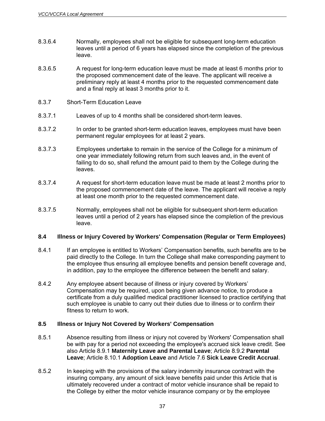- 8.3.6.4 Normally, employees shall not be eligible for subsequent long-term education leaves until a period of 6 years has elapsed since the completion of the previous leave.
- 8.3.6.5 A request for long-term education leave must be made at least 6 months prior to the proposed commencement date of the leave. The applicant will receive a preliminary reply at least 4 months prior to the requested commencement date and a final reply at least 3 months prior to it.
- 8.3.7 Short-Term Education Leave
- 8.3.7.1 Leaves of up to 4 months shall be considered short-term leaves.
- 8.3.7.2 In order to be granted short-term education leaves, employees must have been permanent regular employees for at least 2 years.
- 8.3.7.3 Employees undertake to remain in the service of the College for a minimum of one year immediately following return from such leaves and, in the event of failing to do so, shall refund the amount paid to them by the College during the leaves.
- 8.3.7.4 A request for short-term education leave must be made at least 2 months prior to the proposed commencement date of the leave. The applicant will receive a reply at least one month prior to the requested commencement date.
- 8.3.7.5 Normally, employees shall not be eligible for subsequent short-term education leaves until a period of 2 years has elapsed since the completion of the previous leave.

#### **8.4 Illness or Injury Covered by Workers' Compensation (Regular or Term Employees)**

- 8.4.1 If an employee is entitled to Workers' Compensation benefits, such benefits are to be paid directly to the College. In turn the College shall make corresponding payment to the employee thus ensuring all employee benefits and pension benefit coverage and, in addition, pay to the employee the difference between the benefit and salary.
- 8.4.2 Any employee absent because of illness or injury covered by Workers' Compensation may be required, upon being given advance notice, to produce a certificate from a duly qualified medical practitioner licensed to practice certifying that such employee is unable to carry out their duties due to illness or to confirm their fitness to return to work.

#### **8.5 Illness or Injury Not Covered by Workers' Compensation**

- 8.5.1 Absence resulting from illness or injury not covered by Workers' Compensation shall be with pay for a period not exceeding the employee's accrued sick leave credit. See also Article 8.9.1 **Maternity Leave and Parental Leave**; Article 8.9.2 **Parental Leave**; Article 8.10.1 **Adoption Leave** and Article 7.6 **Sick Leave Credit Accrual**.
- 8.5.2 In keeping with the provisions of the salary indemnity insurance contract with the insuring company, any amount of sick leave benefits paid under this Article that is ultimately recovered under a contract of motor vehicle insurance shall be repaid to the College by either the motor vehicle insurance company or by the employee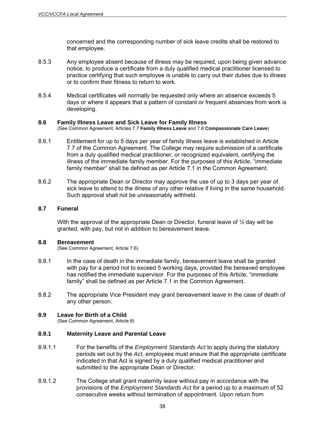concerned and the corresponding number of sick leave credits shall be restored to that employee.

- 8.5.3 Any employee absent because of illness may be required, upon being given advance notice, to produce a certificate from a duly qualified medical practitioner licensed to practice certifying that such employee is unable to carry out their duties due to illness or to confirm their fitness to return to work.
- 8.5.4 Medical certificates will normally be requested only where an absence exceeds 5 days or where it appears that a pattern of constant or frequent absences from work is developing.

#### **8.6 Family Illness Leave and Sick Leave for Family Illness**

(See Common Agreement, Articles 7.7 **Family Illness Leave** and 7.8 **Compassionate Care Leave**)

- 8.6.1 Entitlement for up to 5 days per year of family illness leave is established in Article 7.7 of the Common Agreement. The College may require submission of a certificate from a duly qualified medical practitioner, or recognized equivalent, certifying the illness of the immediate family member. For the purposes of this Article, "immediate family member" shall be defined as per Article 7.1 in the Common Agreement.
- 8.6.2 The appropriate Dean or Director may approve the use of up to 3 days per year of sick leave to attend to the illness of any other relative if living in the same household. Such approval shall not be unreasonably withheld.

#### **8.7 Funeral**

With the approval of the appropriate Dean or Director, funeral leave of  $\frac{1}{2}$  day will be granted, with pay, but not in addition to bereavement leave.

#### **8.8 Bereavement**

(See Common Agreement, Article 7.6)

- 8.8.1In the case of death in the immediate family, bereavement leave shall be granted with pay for a period not to exceed 5 working days, provided the bereaved employee has notified the immediate supervisor. For the purposes of this Article, "immediate family" shall be defined as per Article 7.1 in the Common Agreement.
- 8.8.2 The appropriate Vice President may grant bereavement leave in the case of death of any other person.

#### **8.9 Leave for Birth of a Child**

(See Common Agreement, Article 8)

## **8.9.1 Maternity Leave and Parental Leave**

- 8.9.1.1 For the benefits of the *Employment Standards Act* to apply during the statutory periods set out by the *Act*, employees must ensure that the appropriate certificate indicated in that Act is signed by a duly qualified medical practitioner and submitted to the appropriate Dean or Director.
- 8.9.1.2 The College shall grant maternity leave without pay in accordance with the provisions of the *Employment Standards Act* for a period up to a maximum of 52 consecutive weeks without termination of appointment. Upon return from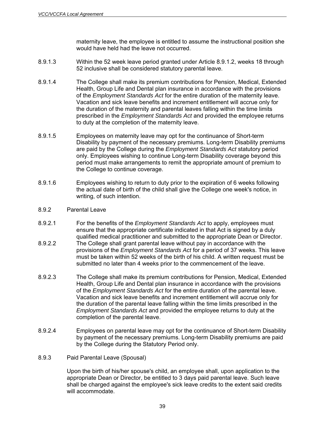maternity leave, the employee is entitled to assume the instructional position she would have held had the leave not occurred.

- 8.9.1.3 Within the 52 week leave period granted under Article 8.9.1.2, weeks 18 through 52 inclusive shall be considered statutory parental leave.
- 8.9.1.4 The College shall make its premium contributions for Pension, Medical, Extended Health, Group Life and Dental plan insurance in accordance with the provisions of the *Employment Standards Act* for the entire duration of the maternity leave. Vacation and sick leave benefits and increment entitlement will accrue only for the duration of the maternity and parental leaves falling within the time limits prescribed in the *Employment Standards Act* and provided the employee returns to duty at the completion of the maternity leave.
- 8.9.1.5 Employees on maternity leave may opt for the continuance of Short-term Disability by payment of the necessary premiums. Long-term Disability premiums are paid by the College during the *Employment Standards Act* statutory period only. Employees wishing to continue Long-term Disability coverage beyond this period must make arrangements to remit the appropriate amount of premium to the College to continue coverage.
- 8.9.1.6 Employees wishing to return to duty prior to the expiration of 6 weeks following the actual date of birth of the child shall give the College one week's notice, in writing, of such intention.
- 8.9.2 Parental Leave
- 8.9.2.1 For the benefits of the *Employment Standards Act* to apply, employees must ensure that the appropriate certificate indicated in that Act is signed by a duly qualified medical practitioner and submitted to the appropriate Dean or Director.
- 8.9.2.2 The College shall grant parental leave without pay in accordance with the provisions of the *Employment Standards Act* for a period of 37 weeks. This leave must be taken within 52 weeks of the birth of his child. A written request must be submitted no later than 4 weeks prior to the commencement of the leave.
- 8.9.2.3 The College shall make its premium contributions for Pension, Medical, Extended Health, Group Life and Dental plan insurance in accordance with the provisions of the *Employment Standards Act* for the entire duration of the parental leave. Vacation and sick leave benefits and increment entitlement will accrue only for the duration of the parental leave falling within the time limits prescribed in the *Employment Standards Act* and provided the employee returns to duty at the completion of the parental leave.
- 8.9.2.4 Employees on parental leave may opt for the continuance of Short-term Disability by payment of the necessary premiums. Long-term Disability premiums are paid by the College during the Statutory Period only.
- 8.9.3Paid Parental Leave (Spousal)

 Upon the birth of his/her spouse's child, an employee shall, upon application to the appropriate Dean or Director, be entitled to 3 days paid parental leave. Such leave shall be charged against the employee's sick leave credits to the extent said credits will accommodate.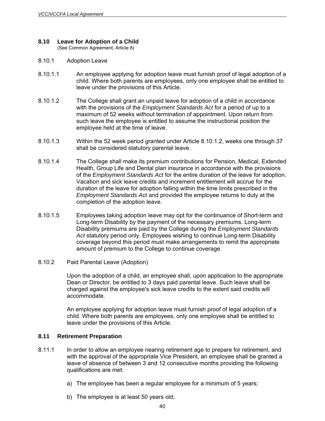## **8.10 Leave for Adoption of a Child**

(See Common Agreement, Article 8)

- 8.10.1 Adoption Leave
- 8.10.1.1 An employee applying for adoption leave must furnish proof of legal adoption of a child. Where both parents are employees, only one employee shall be entitled to leave under the provisions of this Article.
- 8.10.1.2 The College shall grant an unpaid leave for adoption of a child in accordance with the provisions of the *Employment Standards Act* for a period of up to a maximum of 52 weeks without termination of appointment. Upon return from such leave the employee is entitled to assume the instructional position the employee held at the time of leave.
- 8.10.1.3 Within the 52 week period granted under Article 8.10.1.2, weeks one through 37 shall be considered statutory parental leave.
- 8.10.1.4 The College shall make its premium contributions for Pension, Medical, Extended Health, Group Life and Dental plan insurance in accordance with the provisions of the *Employment Standards Act* for the entire duration of the leave for adoption. Vacation and sick leave credits and increment entitlement will accrue for the duration of the leave for adoption falling within the time limits prescribed in the *Employment Standards Act* and provided the employee returns to duty at the completion of the adoption leave.
- 8.10.1.5 Employees taking adoption leave may opt for the continuance of Short-term and Long-term Disability by the payment of the necessary premiums. Long-term Disability premiums are paid by the College during the *Employment Standards Act* statutory period only. Employees wishing to continue Long-term Disability coverage beyond this period must make arrangements to remit the appropriate amount of premium to the College to continue coverage.
- 8.10.2Paid Parental Leave (Adoption)

 Upon the adoption of a child, an employee shall, upon application to the appropriate Dean or Director, be entitled to 3 days paid parental leave. Such leave shall be charged against the employee's sick leave credits to the extent said credits will accommodate.

 An employee applying for adoption leave must furnish proof of legal adoption of a child. Where both parents are employees, only one employee shall be entitled to leave under the provisions of this Article.

#### **8.11 Retirement Preparation**

- 8.11.1 In order to allow an employee nearing retirement age to prepare for retirement, and with the approval of the appropriate Vice President, an employee shall be granted a leave of absence of between 3 and 12 consecutive months providing the following qualifications are met:
	- a) The employee has been a regular employee for a minimum of 5 years;
	- b) The employee is at least 50 years old;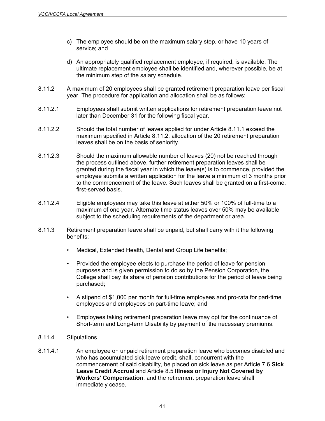- c) The employee should be on the maximum salary step, or have 10 years of service; and
- d) An appropriately qualified replacement employee, if required, is available. The ultimate replacement employee shall be identified and, wherever possible, be at the minimum step of the salary schedule.
- 8.11.2 A maximum of 20 employees shall be granted retirement preparation leave per fiscal year. The procedure for application and allocation shall be as follows:
- 8.11.2.1 Employees shall submit written applications for retirement preparation leave not later than December 31 for the following fiscal year.
- 8.11.2.2 Should the total number of leaves applied for under Article 8.11.1 exceed the maximum specified in Article 8.11.2, allocation of the 20 retirement preparation leaves shall be on the basis of seniority.
- 8.11.2.3 Should the maximum allowable number of leaves (20) not be reached through the process outlined above, further retirement preparation leaves shall be granted during the fiscal year in which the leave(s) is to commence, provided the employee submits a written application for the leave a minimum of 3 months prior to the commencement of the leave. Such leaves shall be granted on a first-come, first-served basis.
- 8.11.2.4 Eligible employees may take this leave at either 50% or 100% of full-time to a maximum of one year. Alternate time status leaves over 50% may be available subject to the scheduling requirements of the department or area.
- 8.11.3 Retirement preparation leave shall be unpaid, but shall carry with it the following benefits:
	- Medical, Extended Health, Dental and Group Life benefits;
	- Provided the employee elects to purchase the period of leave for pension purposes and is given permission to do so by the Pension Corporation, the College shall pay its share of pension contributions for the period of leave being purchased;
	- A stipend of \$1,000 per month for full-time employees and pro-rata for part-time employees and employees on part-time leave; and
	- Employees taking retirement preparation leave may opt for the continuance of Short-term and Long-term Disability by payment of the necessary premiums.
- 8.11.4Stipulations
- 8.11.4.1 An employee on unpaid retirement preparation leave who becomes disabled and who has accumulated sick leave credit, shall, concurrent with the commencement of said disability, be placed on sick leave as per Article 7.6 **Sick Leave Credit Accrual** and Article 8.5 **Illness or Injury Not Covered by Workers' Compensation**, and the retirement preparation leave shall immediately cease.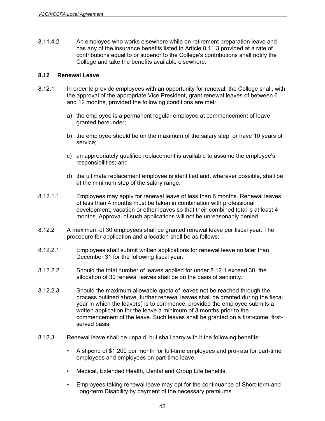8.11.4.2 An employee who works elsewhere while on retirement preparation leave and has any of the insurance benefits listed in Article 8.11.3 provided at a rate of contributions equal to or superior to the College's contributions shall notify the College and take the benefits available elsewhere.

#### **8.12 Renewal Leave**

- 8.12.1 In order to provide employees with an opportunity for renewal, the College shall, with the approval of the appropriate Vice President, grant renewal leaves of between 6 and 12 months, provided the following conditions are met:
	- a) the employee is a permanent regular employee at commencement of leave granted hereunder;
	- b) the employee should be on the maximum of the salary step, or have 10 years of service;
	- c) an appropriately qualified replacement is available to assume the employee's responsibilities; and
	- d) the ultimate replacement employee is identified and, wherever possible, shall be at the minimum step of the salary range.
- 8.12.1.1 Employees may apply for renewal leave of less than 6 months. Renewal leaves of less than 4 months must be taken in combination with professional development, vacation or other leaves so that their combined total is at least 4 months. Approval of such applications will not be unreasonably denied.
- 8.12.2 A maximum of 30 employees shall be granted renewal leave per fiscal year. The procedure for application and allocation shall be as follows:
- 8.12.2.1 Employees shall submit written applications for renewal leave no later than December 31 for the following fiscal year.
- 8.12.2.2 Should the total number of leaves applied for under 8.12.1 exceed 30, the allocation of 30 renewal leaves shall be on the basis of seniority.
- 8.12.2.3 Should the maximum allowable quota of leaves not be reached through the process outlined above, further renewal leaves shall be granted during the fiscal year in which the leave(s) is to commence, provided the employee submits a written application for the leave a minimum of 3 months prior to the commencement of the leave. Such leaves shall be granted on a first-come, firstserved basis.
- 8.12.3 Renewal leave shall be unpaid, but shall carry with it the following benefits:
	- A stipend of \$1,200 per month for full-time employees and pro-rata for part-time employees and employees on part-time leave.
	- Medical, Extended Health, Dental and Group Life benefits.
	- Employees taking renewal leave may opt for the continuance of Short-term and Long-term Disability by payment of the necessary premiums.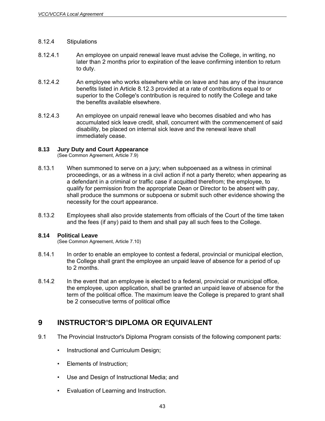## 8.12.4 Stipulations

- 8.12.4.1 An employee on unpaid renewal leave must advise the College, in writing, no later than 2 months prior to expiration of the leave confirming intention to return to duty.
- 8.12.4.2 An employee who works elsewhere while on leave and has any of the insurance benefits listed in Article 8.12.3 provided at a rate of contributions equal to or superior to the College's contribution is required to notify the College and take the benefits available elsewhere.
- 8.12.4.3 An employee on unpaid renewal leave who becomes disabled and who has accumulated sick leave credit, shall, concurrent with the commencement of said disability, be placed on internal sick leave and the renewal leave shall immediately cease.

## **8.13 Jury Duty and Court Appearance**

(See Common Agreement, Article 7.9)

- 8.13.1 When summoned to serve on a jury; when subpoenaed as a witness in criminal proceedings, or as a witness in a civil action if not a party thereto; when appearing as a defendant in a criminal or traffic case if acquitted therefrom; the employee, to qualify for permission from the appropriate Dean or Director to be absent with pay, shall produce the summons or subpoena or submit such other evidence showing the necessity for the court appearance.
- 8.13.2 Employees shall also provide statements from officials of the Court of the time taken and the fees (if any) paid to them and shall pay all such fees to the College.

# **8.14 Political Leave**

(See Common Agreement, Article 7.10)

- 8.14.1 In order to enable an employee to contest a federal, provincial or municipal election, the College shall grant the employee an unpaid leave of absence for a period of up to 2 months.
- 8.14.2 In the event that an employee is elected to a federal, provincial or municipal office, the employee, upon application, shall be granted an unpaid leave of absence for the term of the political office. The maximum leave the College is prepared to grant shall be 2 consecutive terms of political office

# **9 INSTRUCTOR'S DIPLOMA OR EQUIVALENT**

- 9.1 The Provincial Instructor's Diploma Program consists of the following component parts:
	- Instructional and Curriculum Design;
	- Elements of Instruction;
	- Use and Design of Instructional Media; and
	- Evaluation of Learning and Instruction.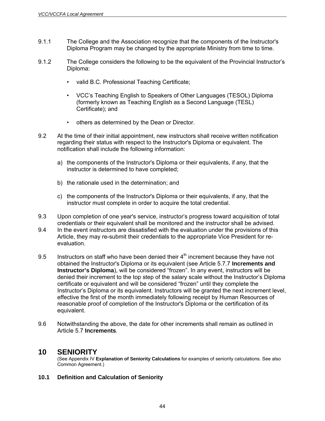- 9.1.1 The College and the Association recognize that the components of the Instructor's Diploma Program may be changed by the appropriate Ministry from time to time.
- 9.1.2 The College considers the following to be the equivalent of the Provincial Instructor's Diploma:
	- valid B.C. Professional Teaching Certificate;
	- VCC's Teaching English to Speakers of Other Languages (TESOL) Diploma (formerly known as Teaching English as a Second Language (TESL) Certificate); and
	- others as determined by the Dean or Director.
- 9.2 At the time of their initial appointment, new instructors shall receive written notification regarding their status with respect to the Instructor's Diploma or equivalent. The notification shall include the following information:
	- a) the components of the Instructor's Diploma or their equivalents, if any, that the instructor is determined to have completed;
	- b) the rationale used in the determination; and
	- c) the components of the Instructor's Diploma or their equivalents, if any, that the instructor must complete in order to acquire the total credential.
- 9.3 Upon completion of one year's service, instructor's progress toward acquisition of total credentials or their equivalent shall be monitored and the instructor shall be advised.
- 9.4 In the event instructors are dissatisfied with the evaluation under the provisions of this Article, they may re-submit their credentials to the appropriate Vice President for reevaluation.
- 9.5 Instructors on staff who have been denied their  $4<sup>th</sup>$  increment because they have not obtained the Instructor's Diploma or its equivalent (see Article 5.7.7 **Increments and Instructor's Diploma**), will be considered "frozen". In any event, instructors will be denied their increment to the top step of the salary scale without the Instructor's Diploma certificate or equivalent and will be considered "frozen" until they complete the Instructor's Diploma or its equivalent. Instructors will be granted the next increment level, effective the first of the month immediately following receipt by Human Resources of reasonable proof of completion of the Instructor's Diploma or the certification of its equivalent.
- 9.6 Notwithstanding the above, the date for other increments shall remain as outlined in Article 5.7 **Increments***.*

# **10 SENIORITY**

(See Appendix IV **Explanation of Seniority Calculations** for examples of seniority calculations. See also Common Agreement.)

**10.1 Definition and Calculation of Seniority**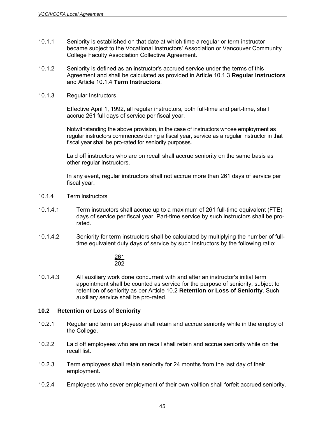- 10.1.1 Seniority is established on that date at which time a regular or term instructor became subject to the Vocational Instructors' Association or Vancouver Community College Faculty Association Collective Agreement.
- 10.1.2 Seniority is defined as an instructor's accrued service under the terms of this Agreement and shall be calculated as provided in Article 10.1.3 **Regular Instructors** and Article 10.1.4 **Term Instructors**.
- 10.1.3 Regular Instructors

 Effective April 1, 1992, all regular instructors, both full-time and part-time, shall accrue 261 full days of service per fiscal year.

 Notwithstanding the above provision, in the case of instructors whose employment as regular instructors commences during a fiscal year, service as a regular instructor in that fiscal year shall be pro-rated for seniority purposes.

 Laid off instructors who are on recall shall accrue seniority on the same basis as other regular instructors.

 In any event, regular instructors shall not accrue more than 261 days of service per fiscal year.

- 10.1.4 Term Instructors
- 10.1.4.1 Term instructors shall accrue up to a maximum of 261 full-time equivalent (FTE) days of service per fiscal year. Part-time service by such instructors shall be prorated.
- 10.1.4.2 Seniority for term instructors shall be calculated by multiplying the number of fulltime equivalent duty days of service by such instructors by the following ratio:

$$
\frac{261}{202}
$$

10.1.4.3 All auxiliary work done concurrent with and after an instructor's initial term appointment shall be counted as service for the purpose of seniority, subject to retention of seniority as per Article 10.2 **Retention or Loss of Seniority**. Such auxiliary service shall be pro-rated.

#### **10.2 Retention or Loss of Seniority**

- 10.2.1 Regular and term employees shall retain and accrue seniority while in the employ of the College.
- 10.2.2 Laid off employees who are on recall shall retain and accrue seniority while on the recall list.
- 10.2.3 Term employees shall retain seniority for 24 months from the last day of their employment.
- 10.2.4 Employees who sever employment of their own volition shall forfeit accrued seniority.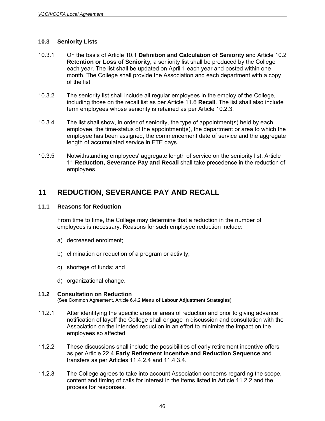### **10.3 Seniority Lists**

- 10.3.1 On the basis of Article 10.1 **Definition and Calculation of Seniority** and Article 10.2 **Retention or Loss of Seniority,** a seniority list shall be produced by the College each year. The list shall be updated on April 1 each year and posted within one month. The College shall provide the Association and each department with a copy of the list.
- 10.3.2 The seniority list shall include all regular employees in the employ of the College, including those on the recall list as per Article 11.6 **Recall**. The list shall also include term employees whose seniority is retained as per Article 10.2.3.
- 10.3.4 The list shall show, in order of seniority, the type of appointment(s) held by each employee, the time-status of the appointment(s), the department or area to which the employee has been assigned, the commencement date of service and the aggregate length of accumulated service in FTE days.
- 10.3.5 Notwithstanding employees' aggregate length of service on the seniority list, Article 11 **Reduction, Severance Pay and Recall** shall take precedence in the reduction of employees.

# **11 REDUCTION, SEVERANCE PAY AND RECALL**

#### **11.1 Reasons for Reduction**

 From time to time, the College may determine that a reduction in the number of employees is necessary. Reasons for such employee reduction include:

- a) decreased enrolment;
- b) elimination or reduction of a program or activity;
- c) shortage of funds; and
- d) organizational change.

#### **11.2 Consultation on Reduction**

(See Common Agreement, Article 6.4.2 **Menu of Labour Adjustment Strategies**)

- 11.2.1 After identifying the specific area or areas of reduction and prior to giving advance notification of layoff the College shall engage in discussion and consultation with the Association on the intended reduction in an effort to minimize the impact on the employees so affected.
- 11.2.2 These discussions shall include the possibilities of early retirement incentive offers as per Article 22.4 **Early Retirement Incentive and Reduction Sequence** and transfers as per Articles 11.4.2.4 and 11.4.3.4.
- 11.2.3 The College agrees to take into account Association concerns regarding the scope, content and timing of calls for interest in the items listed in Article 11.2.2 and the process for responses.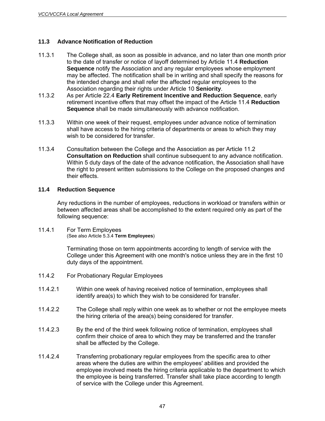## **11.3 Advance Notification of Reduction**

- 11.3.1 The College shall, as soon as possible in advance, and no later than one month prior to the date of transfer or notice of layoff determined by Article 11.4 **Reduction Sequence** notify the Association and any regular employees whose employment may be affected. The notification shall be in writing and shall specify the reasons for the intended change and shall refer the affected regular employees to the Association regarding their rights under Article 10 **Seniority**.
- 11.3.2 As per Article 22.4 **Early Retirement Incentive and Reduction Sequence**, early retirement incentive offers that may offset the impact of the Article 11.4 **Reduction Sequence** shall be made simultaneously with advance notification.
- 11.3.3 Within one week of their request, employees under advance notice of termination shall have access to the hiring criteria of departments or areas to which they may wish to be considered for transfer.
- 11.3.4 Consultation between the College and the Association as per Article 11.2 **Consultation on Reduction** shall continue subsequent to any advance notification. Within 5 duty days of the date of the advance notification, the Association shall have the right to present written submissions to the College on the proposed changes and their effects.

#### **11.4 Reduction Sequence**

 Any reductions in the number of employees, reductions in workload or transfers within or between affected areas shall be accomplished to the extent required only as part of the following sequence:

11.4.1 For Term Employees (See also Article 5.3.4 **Term Employees**)

> Terminating those on term appointments according to length of service with the College under this Agreement with one month's notice unless they are in the first 10 duty days of the appointment.

- 11.4.2 For Probationary Regular Employees
- 11.4.2.1 Within one week of having received notice of termination, employees shall identify area(s) to which they wish to be considered for transfer.
- 11.4.2.2 The College shall reply within one week as to whether or not the employee meets the hiring criteria of the area(s) being considered for transfer.
- 11.4.2.3 By the end of the third week following notice of termination, employees shall confirm their choice of area to which they may be transferred and the transfer shall be affected by the College.
- 11.4.2.4 Transferring probationary regular employees from the specific area to other areas where the duties are within the employees' abilities and provided the employee involved meets the hiring criteria applicable to the department to which the employee is being transferred. Transfer shall take place according to length of service with the College under this Agreement.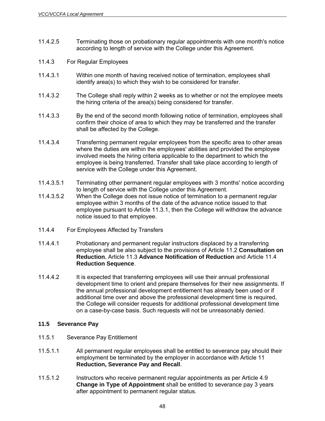- 11.4.2.5 Terminating those on probationary regular appointments with one month's notice according to length of service with the College under this Agreement.
- 11.4.3 For Regular Employees
- 11.4.3.1 Within one month of having received notice of termination, employees shall identify area(s) to which they wish to be considered for transfer.
- 11.4.3.2 The College shall reply within 2 weeks as to whether or not the employee meets the hiring criteria of the area(s) being considered for transfer.
- 11.4.3.3 By the end of the second month following notice of termination, employees shall confirm their choice of area to which they may be transferred and the transfer shall be affected by the College.
- 11.4.3.4 Transferring permanent regular employees from the specific area to other areas where the duties are within the employees' abilities and provided the employee involved meets the hiring criteria applicable to the department to which the employee is being transferred. Transfer shall take place according to length of service with the College under this Agreement.
- 11.4.3.5.1 Terminating other permanent regular employees with 3 months' notice according to length of service with the College under this Agreement.
- 11.4.3.5.2 When the College does not issue notice of termination to a permanent regular employee within 3 months of the date of the advance notice issued to that employee pursuant to Article 11.3.1, then the College will withdraw the advance notice issued to that employee.
- 11.4.4 For Employees Affected by Transfers
- 11.4.4.1 Probationary and permanent regular instructors displaced by a transferring employee shall be also subject to the provisions of Article 11.2 **Consultation on Reduction**, Article 11.3 **Advance Notification of Reduction** and Article 11.4 **Reduction Sequence**.
- 11.4.4.2 It is expected that transferring employees will use their annual professional development time to orient and prepare themselves for their new assignments. If the annual professional development entitlement has already been used or if additional time over and above the professional development time is required, the College will consider requests for additional professional development time on a case-by-case basis. Such requests will not be unreasonably denied.

# **11.5 Severance Pay**

- 11.5.1 Severance Pay Entitlement
- 11.5.1.1 All permanent regular employees shall be entitled to severance pay should their employment be terminated by the employer in accordance with Article 11 **Reduction, Severance Pay and Recall**.
- 11.5.1.2 Instructors who receive permanent regular appointments as per Article 4.9 **Change in Type of Appointment** shall be entitled to severance pay 3 years after appointment to permanent regular status.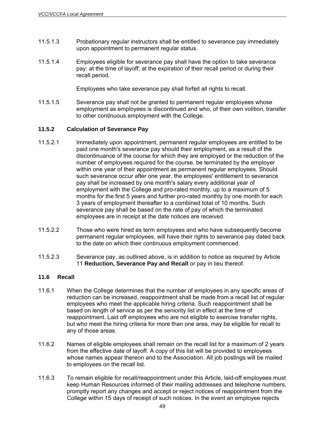- 11.5.1.3 Probationary regular instructors shall be entitled to severance pay immediately upon appointment to permanent regular status.
- 11.5.1.4 Employees eligible for severance pay shall have the option to take severance pay: at the time of layoff; at the expiration of their recall period or during their recall period.

Employees who take severance pay shall forfeit all rights to recall.

11.5.1.5 Severance pay shall not be granted to permanent regular employees whose employment as employees is discontinued and who, of their own volition, transfer to other continuous employment with the College.

## **11.5.2 Calculation of Severance Pay**

- 11.5.2.1 Immediately upon appointment, permanent regular employees are entitled to be paid one month's severance pay should their employment, as a result of the discontinuance of the course for which they are employed or the reduction of the number of employees required for the course, be terminated by the employer within one year of their appointment as permanent regular employees. Should such severance occur after one year, the employees' entitlement to severance pay shall be increased by one month's salary every additional year of employment with the College and pro-rated monthly, up to a maximum of 5 months for the first 5 years and further pro-rated monthly by one month for each 3 years of employment thereafter to a combined total of 10 months. Such severance pay shall be based on the rate of pay of which the terminated employees are in receipt at the date notices are received.
- 11.5.2.2 Those who were hired as term employees and who have subsequently become permanent regular employees, will have their rights to severance pay dated back to the date on which their continuous employment commenced.
- 11.5.2.3 Severance pay, as outlined above, is in addition to notice as required by Article 11 **Reduction, Severance Pay and Recall** or pay in lieu thereof.

#### **11.6 Recall**

- 11.6.1 When the College determines that the number of employees in any specific areas of reduction can be increased, reappointment shall be made from a recall list of regular employees who meet the applicable hiring criteria. Such reappointment shall be based on length of service as per the seniority list in effect at the time of reappointment. Laid off employees who are not eligible to exercise transfer rights, but who meet the hiring criteria for more than one area, may be eligible for recall to any of those areas.
- 11.6.2 Names of eligible employees shall remain on the recall list for a maximum of 2 years from the effective date of layoff. A copy of this list will be provided to employees whose names appear thereon and to the Association. All job postings will be mailed to employees on the recall list.
- 11.6.3 To remain eligible for recall/reappointment under this Article, laid-off employees must keep Human Resources informed of their mailing addresses and telephone numbers, promptly report any changes and accept or reject notices of reappointment from the College within 15 days of receipt of such notices. In the event an employee rejects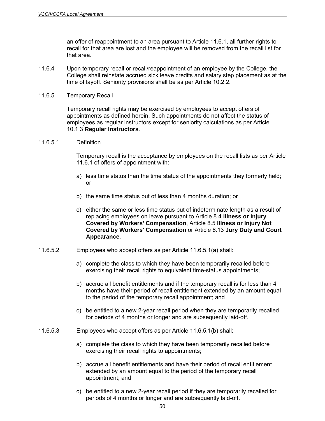an offer of reappointment to an area pursuant to Article 11.6.1, all further rights to recall for that area are lost and the employee will be removed from the recall list for that area.

- 11.6.4 Upon temporary recall or recall/reappointment of an employee by the College, the College shall reinstate accrued sick leave credits and salary step placement as at the time of layoff. Seniority provisions shall be as per Article 10.2.2.
- 11.6.5 Temporary Recall

 Temporary recall rights may be exercised by employees to accept offers of appointments as defined herein. Such appointments do not affect the status of employees as regular instructors except for seniority calculations as per Article 10.1.3 **Regular Instructors**.

11.6.5.1 Definition

 Temporary recall is the acceptance by employees on the recall lists as per Article 11.6.1 of offers of appointment with:

- a) less time status than the time status of the appointments they formerly held; or
- b) the same time status but of less than 4 months duration; or
- c) either the same or less time status but of indeterminate length as a result of replacing employees on leave pursuant to Article 8.4 **Illness or Injury Covered by Workers' Compensation**, Article 8.5 **Illness or Injury Not Covered by Workers' Compensation** or Article 8.13 **Jury Duty and Court Appearance**.
- 11.6.5.2 Employees who accept offers as per Article 11.6.5.1(a) shall:
	- a) complete the class to which they have been temporarily recalled before exercising their recall rights to equivalent time-status appointments;
	- b) accrue all benefit entitlements and if the temporary recall is for less than 4 months have their period of recall entitlement extended by an amount equal to the period of the temporary recall appointment; and
	- c) be entitled to a new 2-year recall period when they are temporarily recalled for periods of 4 months or longer and are subsequently laid-off.
- 11.6.5.3 Employees who accept offers as per Article 11.6.5.1(b) shall:
	- a) complete the class to which they have been temporarily recalled before exercising their recall rights to appointments;
	- b) accrue all benefit entitlements and have their period of recall entitlement extended by an amount equal to the period of the temporary recall appointment; and
	- c) be entitled to a new 2-year recall period if they are temporarily recalled for periods of 4 months or longer and are subsequently laid-off.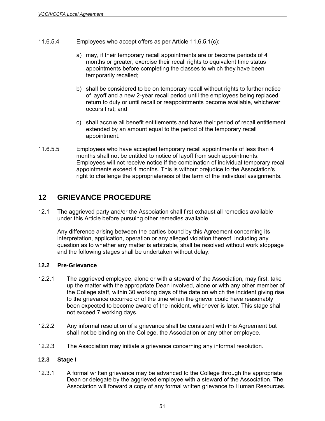- 11.6.5.4 Employees who accept offers as per Article 11.6.5.1(c):
	- a) may, if their temporary recall appointments are or become periods of 4 months or greater, exercise their recall rights to equivalent time status appointments before completing the classes to which they have been temporarily recalled;
	- b) shall be considered to be on temporary recall without rights to further notice of layoff and a new 2-year recall period until the employees being replaced return to duty or until recall or reappointments become available, whichever occurs first; and
	- c) shall accrue all benefit entitlements and have their period of recall entitlement extended by an amount equal to the period of the temporary recall appointment.
- 11.6.5.5 Employees who have accepted temporary recall appointments of less than 4 months shall not be entitled to notice of layoff from such appointments. Employees will not receive notice if the combination of individual temporary recall appointments exceed 4 months. This is without prejudice to the Association's right to challenge the appropriateness of the term of the individual assignments.

# **12 GRIEVANCE PROCEDURE**

12.1 The aggrieved party and/or the Association shall first exhaust all remedies available under this Article before pursuing other remedies available.

 Any difference arising between the parties bound by this Agreement concerning its interpretation, application, operation or any alleged violation thereof, including any question as to whether any matter is arbitrable, shall be resolved without work stoppage and the following stages shall be undertaken without delay:

#### **12.2 Pre-Grievance**

- 12.2.1 The aggrieved employee, alone or with a steward of the Association, may first, take up the matter with the appropriate Dean involved, alone or with any other member of the College staff, within 30 working days of the date on which the incident giving rise to the grievance occurred or of the time when the grievor could have reasonably been expected to become aware of the incident, whichever is later. This stage shall not exceed 7 working days.
- 12.2.2 Any informal resolution of a grievance shall be consistent with this Agreement but shall not be binding on the College, the Association or any other employee.
- 12.2.3 The Association may initiate a grievance concerning any informal resolution.

## **12.3 Stage I**

12.3.1 A formal written grievance may be advanced to the College through the appropriate Dean or delegate by the aggrieved employee with a steward of the Association. The Association will forward a copy of any formal written grievance to Human Resources.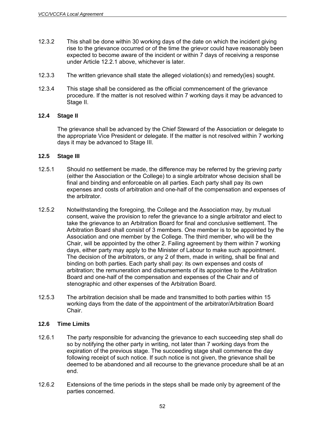- 12.3.2 This shall be done within 30 working days of the date on which the incident giving rise to the grievance occurred or of the time the grievor could have reasonably been expected to become aware of the incident or within 7 days of receiving a response under Article 12.2.1 above, whichever is later.
- 12.3.3 The written grievance shall state the alleged violation(s) and remedy(ies) sought.
- 12.3.4 This stage shall be considered as the official commencement of the grievance procedure. If the matter is not resolved within 7 working days it may be advanced to Stage II.

#### **12.4 Stage II**

 The grievance shall be advanced by the Chief Steward of the Association or delegate to the appropriate Vice President or delegate. If the matter is not resolved within 7 working days it may be advanced to Stage III.

#### **12.5 Stage III**

- 12.5.1 Should no settlement be made, the difference may be referred by the grieving party (either the Association or the College) to a single arbitrator whose decision shall be final and binding and enforceable on all parties. Each party shall pay its own expenses and costs of arbitration and one-half of the compensation and expenses of the arbitrator.
- 12.5.2 Notwithstanding the foregoing, the College and the Association may, by mutual consent, waive the provision to refer the grievance to a single arbitrator and elect to take the grievance to an Arbitration Board for final and conclusive settlement. The Arbitration Board shall consist of 3 members. One member is to be appointed by the Association and one member by the College. The third member, who will be the Chair, will be appointed by the other 2. Failing agreement by them within 7 working days, either party may apply to the Minister of Labour to make such appointment. The decision of the arbitrators, or any 2 of them, made in writing, shall be final and binding on both parties. Each party shall pay: its own expenses and costs of arbitration; the remuneration and disbursements of its appointee to the Arbitration Board and one-half of the compensation and expenses of the Chair and of stenographic and other expenses of the Arbitration Board.
- 12.5.3 The arbitration decision shall be made and transmitted to both parties within 15 working days from the date of the appointment of the arbitrator/Arbitration Board Chair.

## **12.6 Time Limits**

- 12.6.1 The party responsible for advancing the grievance to each succeeding step shall do so by notifying the other party in writing, not later than 7 working days from the expiration of the previous stage. The succeeding stage shall commence the day following receipt of such notice. If such notice is not given, the grievance shall be deemed to be abandoned and all recourse to the grievance procedure shall be at an end.
- 12.6.2 Extensions of the time periods in the steps shall be made only by agreement of the parties concerned.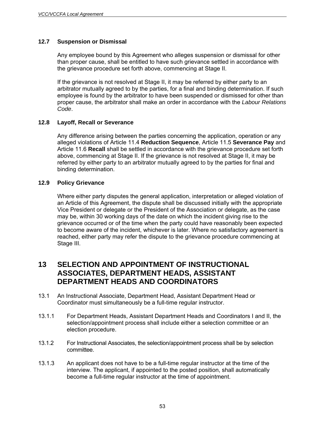# **12.7 Suspension or Dismissal**

 Any employee bound by this Agreement who alleges suspension or dismissal for other than proper cause, shall be entitled to have such grievance settled in accordance with the grievance procedure set forth above, commencing at Stage II.

 If the grievance is not resolved at Stage II, it may be referred by either party to an arbitrator mutually agreed to by the parties, for a final and binding determination. If such employee is found by the arbitrator to have been suspended or dismissed for other than proper cause, the arbitrator shall make an order in accordance with the *Labour Relations Code*.

## **12.8 Layoff, Recall or Severance**

 Any difference arising between the parties concerning the application, operation or any alleged violations of Article 11.4 **Reduction Sequence**, Article 11.5 **Severance Pay** and Article 11.6 **Recall** shall be settled in accordance with the grievance procedure set forth above, commencing at Stage II. If the grievance is not resolved at Stage II, it may be referred by either party to an arbitrator mutually agreed to by the parties for final and binding determination.

## **12.9 Policy Grievance**

 Where either party disputes the general application, interpretation or alleged violation of an Article of this Agreement, the dispute shall be discussed initially with the appropriate Vice President or delegate or the President of the Association or delegate, as the case may be, within 30 working days of the date on which the incident giving rise to the grievance occurred or of the time when the party could have reasonably been expected to become aware of the incident, whichever is later. Where no satisfactory agreement is reached, either party may refer the dispute to the grievance procedure commencing at Stage III.

# **13 SELECTION AND APPOINTMENT OF INSTRUCTIONAL ASSOCIATES, DEPARTMENT HEADS, ASSISTANT DEPARTMENT HEADS AND COORDINATORS**

- 13.1 An Instructional Associate, Department Head, Assistant Department Head or Coordinator must simultaneously be a full-time regular instructor.
- 13.1.1 For Department Heads, Assistant Department Heads and Coordinators I and II, the selection/appointment process shall include either a selection committee or an election procedure.
- 13.1.2 For Instructional Associates, the selection/appointment process shall be by selection committee.
- 13.1.3 An applicant does not have to be a full-time regular instructor at the time of the interview. The applicant, if appointed to the posted position, shall automatically become a full-time regular instructor at the time of appointment.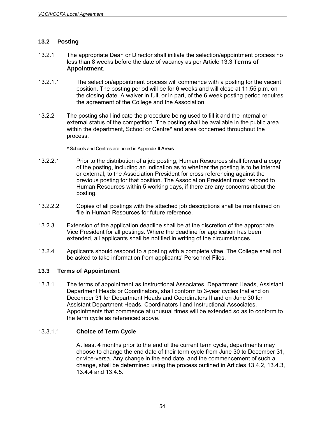# **13.2 Posting**

- 13.2.1 The appropriate Dean or Director shall initiate the selection/appointment process no less than 8 weeks before the date of vacancy as per Article 13.3 **Terms of Appointment**.
- 13.2.1.1 The selection/appointment process will commence with a posting for the vacant position. The posting period will be for 6 weeks and will close at 11:55 p.m. on the closing date. A waiver in full, or in part, of the 6 week posting period requires the agreement of the College and the Association.
- 13.2.2 The posting shall indicate the procedure being used to fill it and the internal or external status of the competition. The posting shall be available in the public area within the department, School or Centre\* and area concerned throughout the process.

#### **\*** Schools and Centres are noted in Appendix II **Areas**

- 13.2.2.1 Prior to the distribution of a job posting, Human Resources shall forward a copy of the posting, including an indication as to whether the posting is to be internal or external, to the Association President for cross referencing against the previous posting for that position. The Association President must respond to Human Resources within 5 working days, if there are any concerns about the posting.
- 13.2.2.2 Copies of all postings with the attached job descriptions shall be maintained on file in Human Resources for future reference.
- 13.2.3 Extension of the application deadline shall be at the discretion of the appropriate Vice President for all postings. Where the deadline for application has been extended, all applicants shall be notified in writing of the circumstances.
- 13.2.4 Applicants should respond to a posting with a complete vitae. The College shall not be asked to take information from applicants' Personnel Files.

# **13.3 Terms of Appointment**

13.3.1 The terms of appointment as Instructional Associates, Department Heads, Assistant Department Heads or Coordinators, shall conform to 3-year cycles that end on December 31 for Department Heads and Coordinators II and on June 30 for Assistant Department Heads, Coordinators I and Instructional Associates. Appointments that commence at unusual times will be extended so as to conform to the term cycle as referenced above.

# 13.3.1.1 **Choice of Term Cycle**

 At least 4 months prior to the end of the current term cycle, departments may choose to change the end date of their term cycle from June 30 to December 31, or vice-versa. Any change in the end date, and the commencement of such a change, shall be determined using the process outlined in Articles 13.4.2, 13.4.3, 13.4.4 and 13.4.5.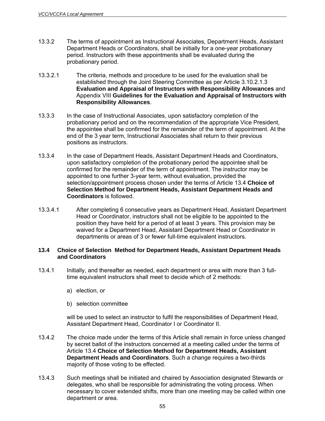- 13.3.2 The terms of appointment as Instructional Associates, Department Heads, Assistant Department Heads or Coordinators, shall be initially for a one-year probationary period. Instructors with these appointments shall be evaluated during the probationary period.
- 13.3.2.1 The criteria, methods and procedure to be used for the evaluation shall be established through the Joint Steering Committee as per Article 3.10.2.1.3 **Evaluation and Appraisal of Instructors with Responsibility Allowances** and Appendix VIII **Guidelines for the Evaluation and Appraisal of Instructors with Responsibility Allowances**.
- 13.3.3 In the case of Instructional Associates, upon satisfactory completion of the probationary period and on the recommendation of the appropriate Vice President, the appointee shall be confirmed for the remainder of the term of appointment. At the end of the 3 year term, Instructional Associates shall return to their previous positions as instructors.
- 13.3.4 In the case of Department Heads, Assistant Department Heads and Coordinators, upon satisfactory completion of the probationary period the appointee shall be confirmed for the remainder of the term of appointment. The instructor may be appointed to one further 3-year term, without evaluation, provided the selection/appointment process chosen under the terms of Article 13.4 **Choice of Selection Method for Department Heads, Assistant Department Heads and Coordinators** is followed.
- 13.3.4.1 After completing 6 consecutive years as Department Head, Assistant Department Head or Coordinator, instructors shall not be eligible to be appointed to the position they have held for a period of at least 3 years. This provision may be waived for a Department Head, Assistant Department Head or Coordinator in departments or areas of 3 or fewer full-time equivalent instructors.

## **13.4 Choice of Selection Method for Department Heads, Assistant Department Heads and Coordinators**

- 13.4.1 Initially, and thereafter as needed, each department or area with more than 3 fulltime equivalent instructors shall meet to decide which of 2 methods:
	- a) election, or
	- b) selection committee

 will be used to select an instructor to fulfil the responsibilities of Department Head, Assistant Department Head, Coordinator I or Coordinator II.

- 13.4.2 The choice made under the terms of this Article shall remain in force unless changed by secret ballot of the instructors concerned at a meeting called under the terms of Article 13.4 **Choice of Selection Method for Department Heads, Assistant Department Heads and Coordinators**. Such a change requires a two-thirds majority of those voting to be effected.
- 13.4.3 Such meetings shall be initiated and chaired by Association designated Stewards or delegates, who shall be responsible for administrating the voting process. When necessary to cover extended shifts, more than one meeting may be called within one department or area.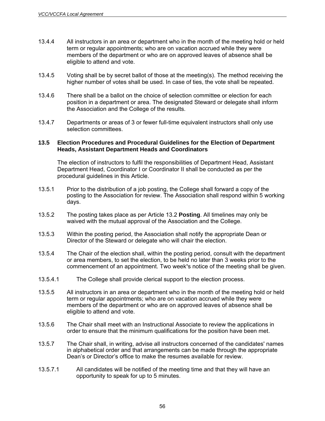- 13.4.4 All instructors in an area or department who in the month of the meeting hold or held term or regular appointments; who are on vacation accrued while they were members of the department or who are on approved leaves of absence shall be eligible to attend and vote.
- 13.4.5 Voting shall be by secret ballot of those at the meeting(s). The method receiving the higher number of votes shall be used. In case of ties, the vote shall be repeated.
- 13.4.6 There shall be a ballot on the choice of selection committee or election for each position in a department or area. The designated Steward or delegate shall inform the Association and the College of the results.
- 13.4.7 Departments or areas of 3 or fewer full-time equivalent instructors shall only use selection committees.

### **13.5 Election Procedures and Procedural Guidelines for the Election of Department Heads, Assistant Department Heads and Coordinators**

 The election of instructors to fulfil the responsibilities of Department Head, Assistant Department Head, Coordinator I or Coordinator II shall be conducted as per the procedural guidelines in this Article.

- 13.5.1 Prior to the distribution of a job posting, the College shall forward a copy of the posting to the Association for review. The Association shall respond within 5 working days.
- 13.5.2 The posting takes place as per Article 13.2 **Posting**. All timelines may only be waived with the mutual approval of the Association and the College.
- 13.5.3 Within the posting period, the Association shall notify the appropriate Dean or Director of the Steward or delegate who will chair the election.
- 13.5.4 The Chair of the election shall, within the posting period, consult with the department or area members, to set the election, to be held no later than 3 weeks prior to the commencement of an appointment. Two week**'**s notice of the meeting shall be given.
- 13.5.4.1 The College shall provide clerical support to the election process.
- 13.5.5 All instructors in an area or department who in the month of the meeting hold or held term or regular appointments; who are on vacation accrued while they were members of the department or who are on approved leaves of absence shall be eligible to attend and vote.
- 13.5.6 The Chair shall meet with an Instructional Associate to review the applications in order to ensure that the minimum qualifications for the position have been met.
- 13.5.7 The Chair shall, in writing, advise all instructors concerned of the candidates' names in alphabetical order and that arrangements can be made through the appropriate Dean's or Director's office to make the resumes available for review.
- 13.5.7.1 All candidates will be notified of the meeting time and that they will have an opportunity to speak for up to 5 minutes.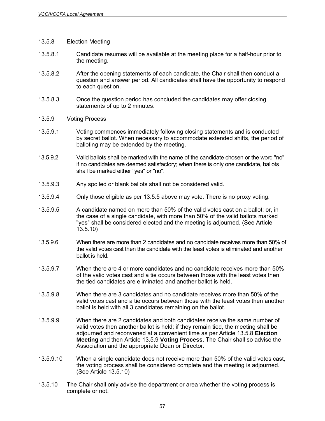## 13.5.8 Election Meeting

- 13.5.8.1 Candidate resumes will be available at the meeting place for a half-hour prior to the meeting.
- 13.5.8.2 After the opening statements of each candidate, the Chair shall then conduct a question and answer period. All candidates shall have the opportunity to respond to each question.
- 13.5.8.3 Once the question period has concluded the candidates may offer closing statements of up to 2 minutes.
- 13.5.9 Voting Process
- 13.5.9.1 Voting commences immediately following closing statements and is conducted by secret ballot. When necessary to accommodate extended shifts, the period of balloting may be extended by the meeting.
- 13.5.9.2 Valid ballots shall be marked with the name of the candidate chosen or the word "no" if no candidates are deemed satisfactory; when there is only one candidate, ballots shall be marked either "yes" or "no".
- 13.5.9.3 Any spoiled or blank ballots shall not be considered valid.
- 13.5.9.4 Only those eligible as per 13.5.5 above may vote. There is no proxy voting.
- 13.5.9.5 A candidate named on more than 50% of the valid votes cast on a ballot; or, in the case of a single candidate, with more than 50% of the valid ballots marked "yes" shall be considered elected and the meeting is adjourned. (See Article 13.5.10)
- 13.5.9.6 When there are more than 2 candidates and no candidate receives more than 50% of the valid votes cast then the candidate with the least votes is eliminated and another ballot is held.
- 13.5.9.7 When there are 4 or more candidates and no candidate receives more than 50% of the valid votes cast and a tie occurs between those with the least votes then the tied candidates are eliminated and another ballot is held.
- 13.5.9.8 When there are 3 candidates and no candidate receives more than 50% of the valid votes cast and a tie occurs between those with the least votes then another ballot is held with all 3 candidates remaining on the ballot.
- 13.5.9.9 When there are 2 candidates and both candidates receive the same number of valid votes then another ballot is held; if they remain tied, the meeting shall be adjourned and reconvened at a convenient time as per Article 13.5.8 **Election Meeting** and then Article 13.5.9 **Voting Process**. The Chair shall so advise the Association and the appropriate Dean or Director.
- 13.5.9.10 When a single candidate does not receive more than 50% of the valid votes cast, the voting process shall be considered complete and the meeting is adjourned. (See Article 13.5.10)
- 13.5.10 The Chair shall only advise the department or area whether the voting process is complete or not.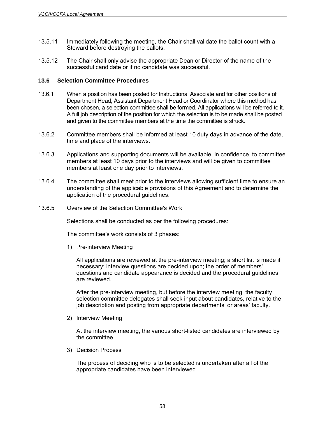- 13.5.11 Immediately following the meeting, the Chair shall validate the ballot count with a Steward before destroying the ballots.
- 13.5.12 The Chair shall only advise the appropriate Dean or Director of the name of the successful candidate or if no candidate was successful.

#### **13.6 Selection Committee Procedures**

- 13.6.1 When a position has been posted for Instructional Associate and for other positions of Department Head, Assistant Department Head or Coordinator where this method has been chosen, a selection committee shall be formed. All applications will be referred to it. A full job description of the position for which the selection is to be made shall be posted and given to the committee members at the time the committee is struck.
- 13.6.2 Committee members shall be informed at least 10 duty days in advance of the date, time and place of the interviews.
- 13.6.3 Applications and supporting documents will be available, in confidence, to committee members at least 10 days prior to the interviews and will be given to committee members at least one day prior to interviews.
- 13.6.4 The committee shall meet prior to the interviews allowing sufficient time to ensure an understanding of the applicable provisions of this Agreement and to determine the application of the procedural guidelines.
- 13.6.5 Overview of the Selection Committee's Work

Selections shall be conducted as per the following procedures:

The committee's work consists of 3 phases:

1) Pre-interview Meeting

 All applications are reviewed at the pre-interview meeting; a short list is made if necessary; interview questions are decided upon; the order of members' questions and candidate appearance is decided and the procedural guidelines are reviewed.

 After the pre-interview meeting, but before the interview meeting, the faculty selection committee delegates shall seek input about candidates, relative to the job description and posting from appropriate departments' or areas' faculty.

2) Interview Meeting

 At the interview meeting, the various short-listed candidates are interviewed by the committee.

3) Decision Process

 The process of deciding who is to be selected is undertaken after all of the appropriate candidates have been interviewed.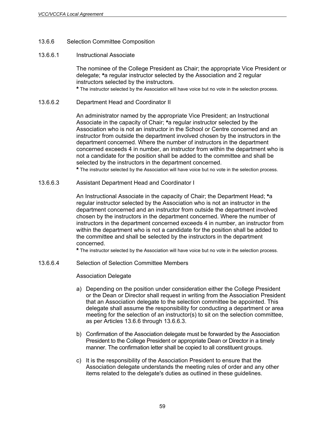#### 13.6.6 Selection Committee Composition

#### 13.6.6.1 Instructional Associate

 The nominee of the College President as Chair; the appropriate Vice President or delegate; **\***a regular instructor selected by the Association and 2 regular instructors selected by the instructors.

 **\*** The instructor selected by the Association will have voice but no vote in the selection process.

13.6.6.2 Department Head and Coordinator II

 An administrator named by the appropriate Vice President; an Instructional Associate in the capacity of Chair; **\***a regular instructor selected by the Association who is not an instructor in the School or Centre concerned and an instructor from outside the department involved chosen by the instructors in the department concerned. Where the number of instructors in the department concerned exceeds 4 in number, an instructor from within the department who is not a candidate for the position shall be added to the committee and shall be selected by the instructors in the department concerned.

 **\*** The instructor selected by the Association will have voice but no vote in the selection process.

13.6.6.3 Assistant Department Head and Coordinator I

 An Instructional Associate in the capacity of Chair; the Department Head; **\***a regular instructor selected by the Association who is not an instructor in the department concerned and an instructor from outside the department involved chosen by the instructors in the department concerned. Where the number of instructors in the department concerned exceeds 4 in number, an instructor from within the department who is not a candidate for the position shall be added to the committee and shall be selected by the instructors in the department concerned.

 **\*** The instructor selected by the Association will have voice but no vote in the selection process.

13.6.6.4 Selection of Selection Committee Members

Association Delegate

- a) Depending on the position under consideration either the College President or the Dean or Director shall request in writing from the Association President that an Association delegate to the selection committee be appointed. This delegate shall assume the responsibility for conducting a department or area meeting for the selection of an instructor(s) to sit on the selection committee, as per Articles 13.6.6 through 13.6.6.3.
- b) Confirmation of the Association delegate must be forwarded by the Association President to the College President or appropriate Dean or Director in a timely manner. The confirmation letter shall be copied to all constituent groups.
- c) It is the responsibility of the Association President to ensure that the Association delegate understands the meeting rules of order and any other items related to the delegate's duties as outlined in these guidelines.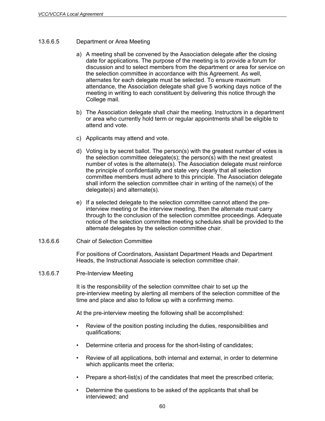## 13.6.6.5 Department or Area Meeting

- a) A meeting shall be convened by the Association delegate after the closing date for applications. The purpose of the meeting is to provide a forum for discussion and to select members from the department or area for service on the selection committee in accordance with this Agreement. As well, alternates for each delegate must be selected. To ensure maximum attendance, the Association delegate shall give 5 working days notice of the meeting in writing to each constituent by delivering this notice through the College mail.
- b) The Association delegate shall chair the meeting. Instructors in a department or area who currently hold term or regular appointments shall be eligible to attend and vote.
- c) Applicants may attend and vote.
- d) Voting is by secret ballot. The person(s) with the greatest number of votes is the selection committee delegate(s); the person(s) with the next greatest number of votes is the alternate(s). The Association delegate must reinforce the principle of confidentiality and state very clearly that all selection committee members must adhere to this principle. The Association delegate shall inform the selection committee chair in writing of the name(s) of the delegate(s) and alternate(s).
- e) If a selected delegate to the selection committee cannot attend the preinterview meeting or the interview meeting, then the alternate must carry through to the conclusion of the selection committee proceedings. Adequate notice of the selection committee meeting schedules shall be provided to the alternate delegates by the selection committee chair.
- 13.6.6.6 Chair of Selection Committee

 For positions of Coordinators, Assistant Department Heads and Department Heads, the Instructional Associate is selection committee chair.

#### 13.6.6.7 Pre-Interview Meeting

 It is the responsibility of the selection committee chair to set up the pre-interview meeting by alerting all members of the selection committee of the time and place and also to follow up with a confirming memo.

At the pre-interview meeting the following shall be accomplished:

- Review of the position posting including the duties, responsibilities and qualifications;
- Determine criteria and process for the short-listing of candidates;
- Review of all applications, both internal and external, in order to determine which applicants meet the criteria;
- Prepare a short-list(s) of the candidates that meet the prescribed criteria;
- Determine the questions to be asked of the applicants that shall be interviewed; and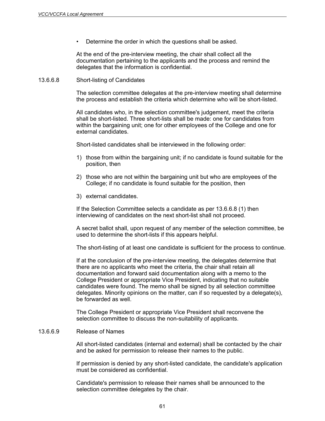Determine the order in which the questions shall be asked.

 At the end of the pre-interview meeting, the chair shall collect all the documentation pertaining to the applicants and the process and remind the delegates that the information is confidential.

13.6.6.8 Short-listing of Candidates

 The selection committee delegates at the pre-interview meeting shall determine the process and establish the criteria which determine who will be short-listed.

 All candidates who, in the selection committee's judgement, meet the criteria shall be short-listed. Three short-lists shall be made: one for candidates from within the bargaining unit; one for other employees of the College and one for external candidates.

Short-listed candidates shall be interviewed in the following order:

- 1) those from within the bargaining unit; if no candidate is found suitable for the position, then
- 2) those who are not within the bargaining unit but who are employees of the College; if no candidate is found suitable for the position, then
- 3) external candidates.

 If the Selection Committee selects a candidate as per 13.6.6.8 (1) then interviewing of candidates on the next short-list shall not proceed.

 A secret ballot shall, upon request of any member of the selection committee, be used to determine the short-lists if this appears helpful.

The short-listing of at least one candidate is sufficient for the process to continue.

 If at the conclusion of the pre-interview meeting, the delegates determine that there are no applicants who meet the criteria, the chair shall retain all documentation and forward said documentation along with a memo to the College President or appropriate Vice President, indicating that no suitable candidates were found. The memo shall be signed by all selection committee delegates. Minority opinions on the matter, can if so requested by a delegate(s), be forwarded as well.

 The College President or appropriate Vice President shall reconvene the selection committee to discuss the non-suitability of applicants.

#### 13.6.6.9 Release of Names

 All short-listed candidates (internal and external) shall be contacted by the chair and be asked for permission to release their names to the public.

 If permission is denied by any short-listed candidate, the candidate's application must be considered as confidential.

 Candidate's permission to release their names shall be announced to the selection committee delegates by the chair.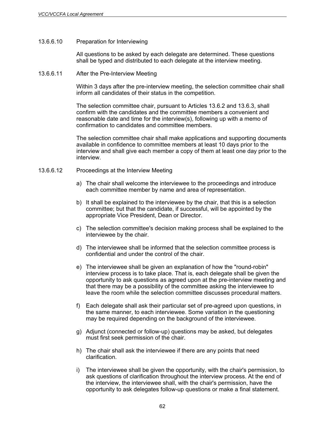#### 13.6.6.10 Preparation for Interviewing

 All questions to be asked by each delegate are determined. These questions shall be typed and distributed to each delegate at the interview meeting.

#### 13.6.6.11 After the Pre-Interview Meeting

 Within 3 days after the pre-interview meeting, the selection committee chair shall inform all candidates of their status in the competition.

 The selection committee chair, pursuant to Articles 13.6.2 and 13.6.3, shall confirm with the candidates and the committee members a convenient and reasonable date and time for the interview(s), following up with a memo of confirmation to candidates and committee members.

 The selection committee chair shall make applications and supporting documents available in confidence to committee members at least 10 days prior to the interview and shall give each member a copy of them at least one day prior to the interview.

- 13.6.6.12 Proceedings at the Interview Meeting
	- a) The chair shall welcome the interviewee to the proceedings and introduce each committee member by name and area of representation.
	- b) It shall be explained to the interviewee by the chair, that this is a selection committee; but that the candidate, if successful, will be appointed by the appropriate Vice President, Dean or Director.
	- c) The selection committee's decision making process shall be explained to the interviewee by the chair.
	- d) The interviewee shall be informed that the selection committee process is confidential and under the control of the chair.
	- e) The interviewee shall be given an explanation of how the "round-robin" interview process is to take place. That is, each delegate shall be given the opportunity to ask questions as agreed upon at the pre-interview meeting and that there may be a possibility of the committee asking the interviewee to leave the room while the selection committee discusses procedural matters.
	- f) Each delegate shall ask their particular set of pre-agreed upon questions, in the same manner, to each interviewee. Some variation in the questioning may be required depending on the background of the interviewee.
	- g) Adjunct (connected or follow-up) questions may be asked, but delegates must first seek permission of the chair.
	- h) The chair shall ask the interviewee if there are any points that need clarification.
	- i) The interviewee shall be given the opportunity, with the chair's permission, to ask questions of clarification throughout the interview process. At the end of the interview, the interviewee shall, with the chair's permission, have the opportunity to ask delegates follow-up questions or make a final statement.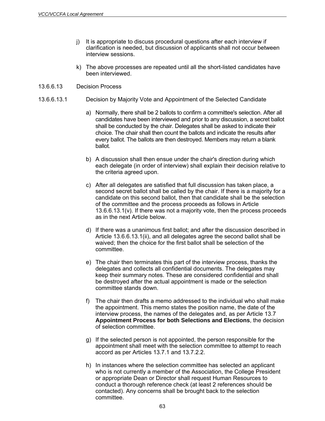- j) It is appropriate to discuss procedural questions after each interview if clarification is needed, but discussion of applicants shall not occur between interview sessions.
- k) The above processes are repeated until all the short-listed candidates have been interviewed.
- 13.6.6.13 Decision Process
- 13.6.6.13.1 Decision by Majority Vote and Appointment of the Selected Candidate
	- a) Normally, there shall be 2 ballots to confirm a committee's selection. After all candidates have been interviewed and prior to any discussion, a secret ballot shall be conducted by the chair. Delegates shall be asked to indicate their choice. The chair shall then count the ballots and indicate the results after every ballot. The ballots are then destroyed. Members may return a blank ballot.
	- b) A discussion shall then ensue under the chair's direction during which each delegate (in order of interview) shall explain their decision relative to the criteria agreed upon.
	- c) After all delegates are satisfied that full discussion has taken place, a second secret ballot shall be called by the chair. If there is a majority for a candidate on this second ballot, then that candidate shall be the selection of the committee and the process proceeds as follows in Article 13.6.6.13.1(v). If there was not a majority vote, then the process proceeds as in the next Article below.
	- d) If there was a unanimous first ballot; and after the discussion described in Article 13.6.6.13.1(ii), and all delegates agree the second ballot shall be waived; then the choice for the first ballot shall be selection of the committee.
	- e) The chair then terminates this part of the interview process, thanks the delegates and collects all confidential documents. The delegates may keep their summary notes. These are considered confidential and shall be destroyed after the actual appointment is made or the selection committee stands down.
	- f) The chair then drafts a memo addressed to the individual who shall make the appointment. This memo states the position name, the date of the interview process, the names of the delegates and, as per Article 13.7 **Appointment Process for both Selections and Elections**, the decision of selection committee.
	- g) If the selected person is not appointed, the person responsible for the appointment shall meet with the selection committee to attempt to reach accord as per Articles 13.7.1 and 13.7.2.2.
	- h) In instances where the selection committee has selected an applicant who is not currently a member of the Association, the College President or appropriate Dean or Director shall request Human Resources to conduct a thorough reference check (at least 2 references should be contacted). Any concerns shall be brought back to the selection committee.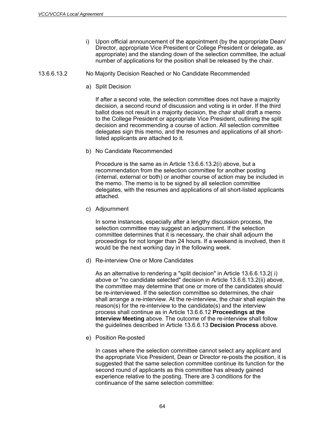- i) Upon official announcement of the appointment (by the appropriate Dean/ Director, appropriate Vice President or College President or delegate, as appropriate) and the standing down of the selection committee, the actual number of applications for the position shall be released by the chair.
- 13.6.6.13.2 No Majority Decision Reached or No Candidate Recommended
	- a) Split Decision

 If after a second vote, the selection committee does not have a majority decision, a second round of discussion and voting is in order. If the third ballot does not result in a majority decision, the chair shall draft a memo to the College President or appropriate Vice President, outlining the split decision and recommending a course of action. All selection committee delegates sign this memo, and the resumes and applications of all shortlisted applicants are attached to it.

b) No Candidate Recommended

 Procedure is the same as in Article 13.6.6.13.2(i) above, but a recommendation from the selection committee for another posting (internal, external or both) or another course of action may be included in the memo. The memo is to be signed by all selection committee delegates, with the resumes and applications of all short-listed applicants attached.

c) Adjournment

 In some instances, especially after a lengthy discussion process, the selection committee may suggest an adjournment. If the selection committee determines that it is necessary, the chair shall adjourn the proceedings for not longer than 24 hours. If a weekend is involved, then it would be the next working day in the following week.

d) Re-interview One or More Candidates

 As an alternative to rendering a "split decision" in Article 13.6.6.13.2( i) above or "no candidate selected" decision in Article 13.6.6.13.2(ii) above, the committee may determine that one or more of the candidates should be re-interviewed. If the selection committee so determines, the chair shall arrange a re-interview. At the re-interview, the chair shall explain the reason(s) for the re-interview to the candidate(s) and the interview process shall continue as in Article 13.6.6.12 **Proceedings at the Interview Meeting** above. The outcome of the re-interview shall follow the guidelines described in Article 13.6.6.13 **Decision Process** above.

e) Position Re-posted

 In cases where the selection committee cannot select any applicant and the appropriate Vice President, Dean or Director re-posts the position, it is suggested that the same selection committee continue its function for the second round of applicants as this committee has already gained experience relative to the posting. There are 3 conditions for the continuance of the same selection committee: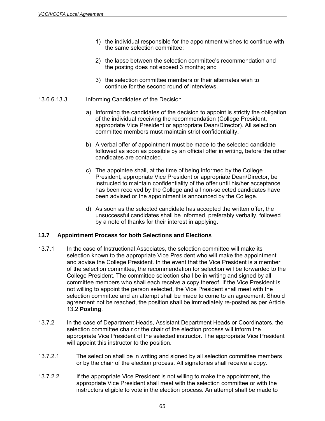- 1) the individual responsible for the appointment wishes to continue with the same selection committee;
- 2) the lapse between the selection committee's recommendation and the posting does not exceed 3 months; and
- 3) the selection committee members or their alternates wish to continue for the second round of interviews.
- 13.6.6.13.3 Informing Candidates of the Decision
	- a) Informing the candidates of the decision to appoint is strictly the obligation of the individual receiving the recommendation (College President, appropriate Vice President or appropriate Dean/Director). All selection committee members must maintain strict confidentiality.
	- b) A verbal offer of appointment must be made to the selected candidate followed as soon as possible by an official offer in writing, before the other candidates are contacted.
	- c) The appointee shall, at the time of being informed by the College President**,** appropriate Vice President or appropriate Dean/Director, be instructed to maintain confidentiality of the offer until his/her acceptance has been received by the College and all non-selected candidates have been advised or the appointment is announced by the College.
	- d) As soon as the selected candidate has accepted the written offer, the unsuccessful candidates shall be informed, preferably verbally, followed by a note of thanks for their interest in applying.

#### **13.7 Appointment Process for both Selections and Elections**

- 13.7.1 In the case of Instructional Associates, the selection committee will make its selection known to the appropriate Vice President who will make the appointment and advise the College President. In the event that the Vice President is a member of the selection committee, the recommendation for selection will be forwarded to the College President. The committee selection shall be in writing and signed by all committee members who shall each receive a copy thereof. If the Vice President is not willing to appoint the person selected, the Vice President shall meet with the selection committee and an attempt shall be made to come to an agreement. Should agreement not be reached, the position shall be immediately re-posted as per Article 13.2 **Posting**.
- 13.7.2 In the case of Department Heads, Assistant Department Heads or Coordinators, the selection committee chair or the chair of the election process will inform the appropriate Vice President of the selected instructor. The appropriate Vice President will appoint this instructor to the position.
- 13.7.2.1 The selection shall be in writing and signed by all selection committee members or by the chair of the election process. All signatories shall receive a copy.
- 13.7.2.2 If the appropriate Vice President is not willing to make the appointment, the appropriate Vice President shall meet with the selection committee or with the instructors eligible to vote in the election process. An attempt shall be made to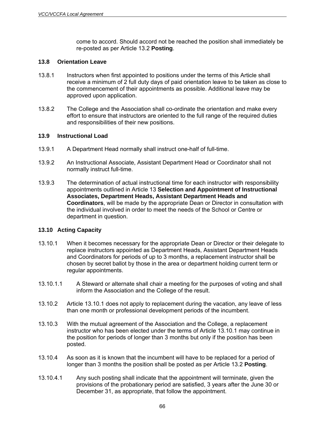come to accord. Should accord not be reached the position shall immediately be re-posted as per Article 13.2 **Posting**.

#### **13.8 Orientation Leave**

- 13.8.1 Instructors when first appointed to positions under the terms of this Article shall receive a minimum of 2 full duty days of paid orientation leave to be taken as close to the commencement of their appointments as possible. Additional leave may be approved upon application.
- 13.8.2 The College and the Association shall co-ordinate the orientation and make every effort to ensure that instructors are oriented to the full range of the required duties and responsibilities of their new positions.

#### **13.9 Instructional Load**

- 13.9.1 A Department Head normally shall instruct one-half of full-time.
- 13.9.2 An Instructional Associate, Assistant Department Head or Coordinator shall not normally instruct full-time.
- 13.9.3 The determination of actual instructional time for each instructor with responsibility appointments outlined in Article 13 **Selection and Appointment of Instructional Associates, Department Heads, Assistant Department Heads and Coordinators**, will be made by the appropriate Dean or Director in consultation with the individual involved in order to meet the needs of the School or Centre or department in question.

### **13.10 Acting Capacity**

- 13.10.1 When it becomes necessary for the appropriate Dean or Director or their delegate to replace instructors appointed as Department Heads, Assistant Department Heads and Coordinators for periods of up to 3 months, a replacement instructor shall be chosen by secret ballot by those in the area or department holding current term or regular appointments.
- 13.10.1.1 A Steward or alternate shall chair a meeting for the purposes of voting and shall inform the Association and the College of the result.
- 13.10.2 Article 13.10.1 does not apply to replacement during the vacation, any leave of less than one month or professional development periods of the incumbent.
- 13.10.3 With the mutual agreement of the Association and the College, a replacement instructor who has been elected under the terms of Article 13.10.1 may continue in the position for periods of longer than 3 months but only if the position has been posted.
- 13.10.4 As soon as it is known that the incumbent will have to be replaced for a period of longer than 3 months the position shall be posted as per Article 13.2 **Posting**.
- 13.10.4.1 Any such posting shall indicate that the appointment will terminate, given the provisions of the probationary period are satisfied, 3 years after the June 30 or December 31, as appropriate, that follow the appointment.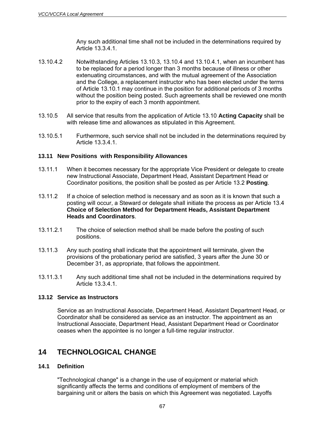Any such additional time shall not be included in the determinations required by Article 13.3.4.1.

- 13.10.4.2 Notwithstanding Articles 13.10.3, 13.10.4 and 13.10.4.1, when an incumbent has to be replaced for a period longer than 3 months because of illness or other extenuating circumstances, and with the mutual agreement of the Association and the College, a replacement instructor who has been elected under the terms of Article 13.10.1 may continue in the position for additional periods of 3 months without the position being posted. Such agreements shall be reviewed one month prior to the expiry of each 3 month appointment.
- 13.10.5 All service that results from the application of Article 13.10 **Acting Capacity** shall be with release time and allowances as stipulated in this Agreement.
- 13.10.5.1 Furthermore, such service shall not be included in the determinations required by Article 13.3.4.1.

### **13.11 New Positions with Responsibility Allowances**

- 13.11.1 When it becomes necessary for the appropriate Vice President or delegate to create new Instructional Associate, Department Head, Assistant Department Head or Coordinator positions, the position shall be posted as per Article 13.2 **Posting**.
- 13.11.2 If a choice of selection method is necessary and as soon as it is known that such a posting will occur, a Steward or delegate shall initiate the process as per Article 13.4 **Choice of Selection Method for Department Heads, Assistant Department Heads and Coordinators**.
- 13.11.2.1 The choice of selection method shall be made before the posting of such positions.
- 13.11.3 Any such posting shall indicate that the appointment will terminate, given the provisions of the probationary period are satisfied, 3 years after the June 30 or December 31, as appropriate, that follows the appointment.
- 13.11.3.1 Any such additional time shall not be included in the determinations required by Article 13.3.4.1.

#### **13.12 Service as Instructors**

 Service as an Instructional Associate, Department Head, Assistant Department Head, or Coordinator shall be considered as service as an instructor. The appointment as an Instructional Associate, Department Head, Assistant Department Head or Coordinator ceases when the appointee is no longer a full-time regular instructor.

# **14 TECHNOLOGICAL CHANGE**

### **14.1 Definition**

 "Technological change" is a change in the use of equipment or material which significantly affects the terms and conditions of employment of members of the bargaining unit or alters the basis on which this Agreement was negotiated. Layoffs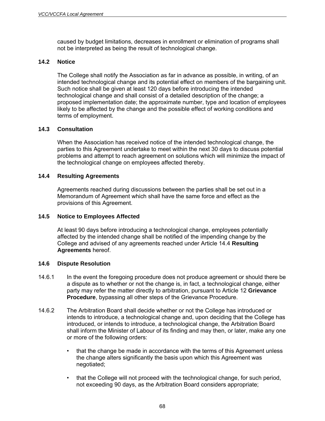caused by budget limitations, decreases in enrollment or elimination of programs shall not be interpreted as being the result of technological change.

### **14.2 Notice**

 The College shall notify the Association as far in advance as possible, in writing, of an intended technological change and its potential effect on members of the bargaining unit. Such notice shall be given at least 120 days before introducing the intended technological change and shall consist of a detailed description of the change; a proposed implementation date; the approximate number, type and location of employees likely to be affected by the change and the possible effect of working conditions and terms of employment.

#### **14.3 Consultation**

 When the Association has received notice of the intended technological change, the parties to this Agreement undertake to meet within the next 30 days to discuss potential problems and attempt to reach agreement on solutions which will minimize the impact of the technological change on employees affected thereby.

#### **14.4 Resulting Agreements**

 Agreements reached during discussions between the parties shall be set out in a Memorandum of Agreement which shall have the same force and effect as the provisions of this Agreement.

#### **14.5 Notice to Employees Affected**

 At least 90 days before introducing a technological change, employees potentially affected by the intended change shall be notified of the impending change by the College and advised of any agreements reached under Article 14.4 **Resulting Agreements** hereof.

#### **14.6 Dispute Resolution**

- 14.6.1 In the event the foregoing procedure does not produce agreement or should there be a dispute as to whether or not the change is, in fact, a technological change, either party may refer the matter directly to arbitration, pursuant to Article 12 **Grievance Procedure**, bypassing all other steps of the Grievance Procedure.
- 14.6.2 The Arbitration Board shall decide whether or not the College has introduced or intends to introduce, a technological change and, upon deciding that the College has introduced, or intends to introduce, a technological change, the Arbitration Board shall inform the Minister of Labour of its finding and may then, or later, make any one or more of the following orders:
	- that the change be made in accordance with the terms of this Agreement unless the change alters significantly the basis upon which this Agreement was negotiated;
	- that the College will not proceed with the technological change, for such period, not exceeding 90 days, as the Arbitration Board considers appropriate;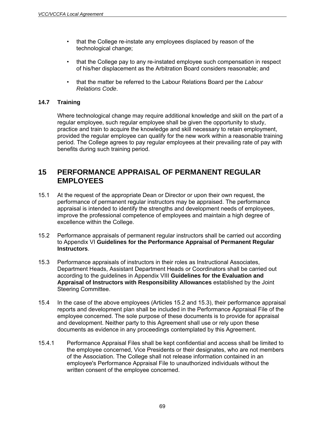- that the College re-instate any employees displaced by reason of the technological change;
- that the College pay to any re-instated employee such compensation in respect of his/her displacement as the Arbitration Board considers reasonable; and
- that the matter be referred to the Labour Relations Board per the *Labour Relations Code*.

### **14.7 Training**

 Where technological change may require additional knowledge and skill on the part of a regular employee, such regular employee shall be given the opportunity to study, practice and train to acquire the knowledge and skill necessary to retain employment, provided the regular employee can qualify for the new work within a reasonable training period. The College agrees to pay regular employees at their prevailing rate of pay with benefits during such training period.

# **15 PERFORMANCE APPRAISAL OF PERMANENT REGULAR EMPLOYEES**

- 15.1 At the request of the appropriate Dean or Director or upon their own request, the performance of permanent regular instructors may be appraised. The performance appraisal is intended to identify the strengths and development needs of employees, improve the professional competence of employees and maintain a high degree of excellence within the College.
- 15.2 Performance appraisals of permanent regular instructors shall be carried out according to Appendix VI **Guidelines for the Performance Appraisal of Permanent Regular Instructors**.
- 15.3 Performance appraisals of instructors in their roles as Instructional Associates, Department Heads, Assistant Department Heads or Coordinators shall be carried out according to the guidelines in Appendix VIII **Guidelines for the Evaluation and Appraisal of Instructors with Responsibility Allowances** established by the Joint Steering Committee.
- 15.4 In the case of the above employees (Articles 15.2 and 15.3), their performance appraisal reports and development plan shall be included in the Performance Appraisal File of the employee concerned. The sole purpose of these documents is to provide for appraisal and development. Neither party to this Agreement shall use or rely upon these documents as evidence in any proceedings contemplated by this Agreement.
- 15.4.1 Performance Appraisal Files shall be kept confidential and access shall be limited to the employee concerned, Vice Presidents or their designates, who are not members of the Association. The College shall not release information contained in an employee's Performance Appraisal File to unauthorized individuals without the written consent of the employee concerned.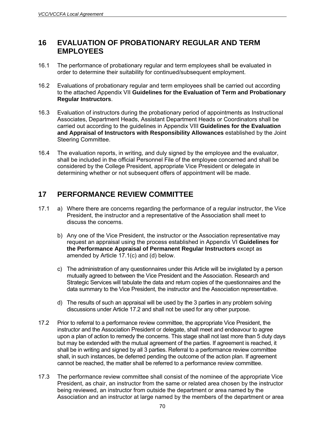# **16 EVALUATION OF PROBATIONARY REGULAR AND TERM EMPLOYEES**

- 16.1 The performance of probationary regular and term employees shall be evaluated in order to determine their suitability for continued/subsequent employment.
- 16.2 Evaluations of probationary regular and term employees shall be carried out according to the attached Appendix VII **Guidelines for the Evaluation of Term and Probationary Regular Instructors**.
- 16.3 Evaluation of instructors during the probationary period of appointments as Instructional Associates, Department Heads, Assistant Department Heads or Coordinators shall be carried out according to the guidelines in Appendix VIII **Guidelines for the Evaluation and Appraisal of Instructors with Responsibility Allowances** established by the Joint Steering Committee.
- 16.4 The evaluation reports, in writing, and duly signed by the employee and the evaluator, shall be included in the official Personnel File of the employee concerned and shall be considered by the College President, appropriate Vice President or delegate in determining whether or not subsequent offers of appointment will be made.

# **17 PERFORMANCE REVIEW COMMITTEE**

- 17.1 a) Where there are concerns regarding the performance of a regular instructor, the Vice President, the instructor and a representative of the Association shall meet to discuss the concerns.
	- b) Any one of the Vice President, the instructor or the Association representative may request an appraisal using the process established in Appendix VI **Guidelines for the Performance Appraisal of Permanent Regular Instructors** except as amended by Article 17.1(c) and (d) below.
	- c) The administration of any questionnaires under this Article will be invigilated by a person mutually agreed to between the Vice President and the Association. Research and Strategic Services will tabulate the data and return copies of the questionnaires and the data summary to the Vice President, the instructor and the Association representative.
	- d) The results of such an appraisal will be used by the 3 parties in any problem solving discussions under Article 17.2 and shall not be used for any other purpose.
- 17.2 Prior to referral to a performance review committee, the appropriate Vice President, the instructor and the Association President or delegate, shall meet and endeavour to agree upon a plan of action to remedy the concerns. This stage shall not last more than 5 duty days but may be extended with the mutual agreement of the parties. If agreement is reached, it shall be in writing and signed by all 3 parties. Referral to a performance review committee shall, in such instances, be deferred pending the outcome of the action plan. If agreement cannot be reached, the matter shall be referred to a performance review committee.
- 17.3 The performance review committee shall consist of the nominee of the appropriate Vice President, as chair, an instructor from the same or related area chosen by the instructor being reviewed, an instructor from outside the department or area named by the Association and an instructor at large named by the members of the department or area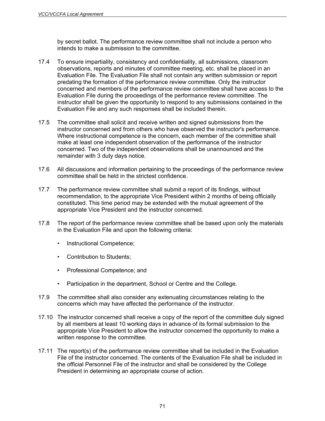by secret ballot. The performance review committee shall not include a person who intends to make a submission to the committee.

- 17.4 To ensure impartiality, consistency and confidentiality, all submissions, classroom observations, reports and minutes of committee meeting, etc. shall be placed in an Evaluation File. The Evaluation File shall not contain any written submission or report predating the formation of the performance review committee. Only the instructor concerned and members of the performance review committee shall have access to the Evaluation File during the proceedings of the performance review committee. The instructor shall be given the opportunity to respond to any submissions contained in the Evaluation File and any such responses shall be included therein.
- 17.5 The committee shall solicit and receive written and signed submissions from the instructor concerned and from others who have observed the instructor's performance. Where instructional competence is the concern, each member of the committee shall make at least one independent observation of the performance of the instructor concerned. Two of the independent observations shall be unannounced and the remainder with 3 duty days notice.
- 17.6 All discussions and information pertaining to the proceedings of the performance review committee shall be held in the strictest confidence.
- 17.7 The performance review committee shall submit a report of its findings, without recommendation, to the appropriate Vice President within 2 months of being officially constituted. This time period may be extended with the mutual agreement of the appropriate Vice President and the instructor concerned.
- 17.8 The report of the performance review committee shall be based upon only the materials in the Evaluation File and upon the following criteria:
	- Instructional Competence;
	- Contribution to Students;
	- Professional Competence; and
	- Participation in the department, School or Centre and the College.
- 17.9 The committee shall also consider any extenuating circumstances relating to the concerns which may have affected the performance of the instructor.
- 17.10 The instructor concerned shall receive a copy of the report of the committee duly signed by all members at least 10 working days in advance of its formal submission to the appropriate Vice President to allow the instructor concerned the opportunity to make a written response to the committee.
- 17.11 The report(s) of the performance review committee shall be included in the Evaluation File of the instructor concerned. The contents of the Evaluation File shall be included in the official Personnel File of the instructor and shall be considered by the College President in determining an appropriate course of action.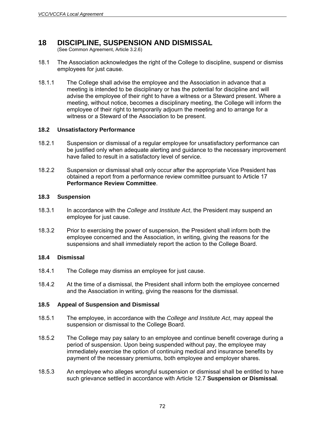# **18 DISCIPLINE, SUSPENSION AND DISMISSAL**

(See Common Agreement, Article 3.2.6)

- 18.1 The Association acknowledges the right of the College to discipline, suspend or dismiss employees for just cause.
- 18.1.1 The College shall advise the employee and the Association in advance that a meeting is intended to be disciplinary or has the potential for discipline and will advise the employee of their right to have a witness or a Steward present. Where a meeting, without notice, becomes a disciplinary meeting, the College will inform the employee of their right to temporarily adjourn the meeting and to arrange for a witness or a Steward of the Association to be present.

#### **18.2 Unsatisfactory Performance**

- 18.2.1 Suspension or dismissal of a regular employee for unsatisfactory performance can be justified only when adequate alerting and guidance to the necessary improvement have failed to result in a satisfactory level of service.
- 18.2.2 Suspension or dismissal shall only occur after the appropriate Vice President has obtained a report from a performance review committee pursuant to Article 17 **Performance Review Committee**.

#### **18.3 Suspension**

- 18.3.1 In accordance with the *College and Institute Act*, the President may suspend an employee for just cause.
- 18.3.2 Prior to exercising the power of suspension, the President shall inform both the employee concerned and the Association, in writing, giving the reasons for the suspensions and shall immediately report the action to the College Board.

#### **18.4 Dismissal**

- 18.4.1 The College may dismiss an employee for just cause.
- 18.4.2 At the time of a dismissal, the President shall inform both the employee concerned and the Association in writing, giving the reasons for the dismissal.

### **18.5 Appeal of Suspension and Dismissal**

- 18.5.1 The employee, in accordance with the *College and Institute Act*, may appeal the suspension or dismissal to the College Board.
- 18.5.2 The College may pay salary to an employee and continue benefit coverage during a period of suspension. Upon being suspended without pay, the employee may immediately exercise the option of continuing medical and insurance benefits by payment of the necessary premiums, both employee and employer shares.
- 18.5.3 An employee who alleges wrongful suspension or dismissal shall be entitled to have such grievance settled in accordance with Article 12.7 **Suspension or Dismissal***.*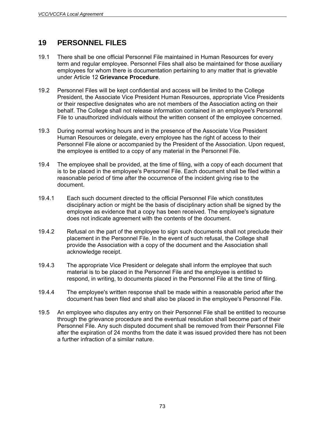# **19 PERSONNEL FILES**

- 19.1 There shall be one official Personnel File maintained in Human Resources for every term and regular employee. Personnel Files shall also be maintained for those auxiliary employees for whom there is documentation pertaining to any matter that is grievable under Article 12 **Grievance Procedure**.
- 19.2 Personnel Files will be kept confidential and access will be limited to the College President, the Associate Vice President Human Resources, appropriate Vice Presidents or their respective designates who are not members of the Association acting on their behalf. The College shall not release information contained in an employee's Personnel File to unauthorized individuals without the written consent of the employee concerned.
- 19.3 During normal working hours and in the presence of the Associate Vice President Human Resources or delegate, every employee has the right of access to their Personnel File alone or accompanied by the President of the Association. Upon request, the employee is entitled to a copy of any material in the Personnel File.
- 19.4 The employee shall be provided, at the time of filing, with a copy of each document that is to be placed in the employee's Personnel File. Each document shall be filed within a reasonable period of time after the occurrence of the incident giving rise to the document.
- 19.4.1 Each such document directed to the official Personnel File which constitutes disciplinary action or might be the basis of disciplinary action shall be signed by the employee as evidence that a copy has been received. The employee's signature does not indicate agreement with the contents of the document.
- 19.4.2 Refusal on the part of the employee to sign such documents shall not preclude their placement in the Personnel File. In the event of such refusal, the College shall provide the Association with a copy of the document and the Association shall acknowledge receipt.
- 19.4.3 The appropriate Vice President or delegate shall inform the employee that such material is to be placed in the Personnel File and the employee is entitled to respond, in writing, to documents placed in the Personnel File at the time of filing.
- 19.4.4 The employee's written response shall be made within a reasonable period after the document has been filed and shall also be placed in the employee's Personnel File.
- 19.5 An employee who disputes any entry on their Personnel File shall be entitled to recourse through the grievance procedure and the eventual resolution shall become part of their Personnel File. Any such disputed document shall be removed from their Personnel File after the expiration of 24 months from the date it was issued provided there has not been a further infraction of a similar nature.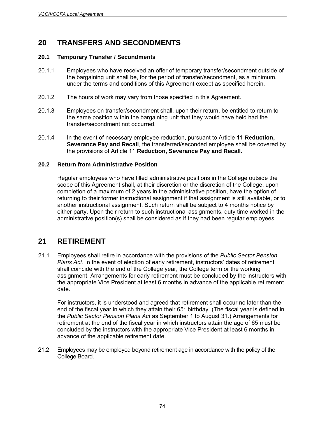# **20 TRANSFERS AND SECONDMENTS**

#### **20.1 Temporary Transfer / Secondments**

- 20.1.1 Employees who have received an offer of temporary transfer/secondment outside of the bargaining unit shall be, for the period of transfer/secondment, as a minimum, under the terms and conditions of this Agreement except as specified herein.
- 20.1.2 The hours of work may vary from those specified in this Agreement.
- 20.1.3 Employees on transfer/secondment shall, upon their return, be entitled to return to the same position within the bargaining unit that they would have held had the transfer/secondment not occurred.
- 20.1.4 In the event of necessary employee reduction, pursuant to Article 11 **Reduction, Severance Pay and Recall**, the transferred/seconded employee shall be covered by the provisions of Article 11 **Reduction, Severance Pay and Recall**.

#### **20.2 Return from Administrative Position**

 Regular employees who have filled administrative positions in the College outside the scope of this Agreement shall, at their discretion or the discretion of the College, upon completion of a maximum of 2 years in the administrative position, have the option of returning to their former instructional assignment if that assignment is still available, or to another instructional assignment. Such return shall be subject to 4 months notice by either party. Upon their return to such instructional assignments, duty time worked in the administrative position(s) shall be considered as if they had been regular employees.

# **21 RETIREMENT**

21.1 Employees shall retire in accordance with the provisions of the *Public Sector Pension Plans Act*. In the event of election of early retirement, instructors' dates of retirement shall coincide with the end of the College year, the College term or the working assignment. Arrangements for early retirement must be concluded by the instructors with the appropriate Vice President at least 6 months in advance of the applicable retirement date.

For instructors, it is understood and agreed that retirement shall occur no later than the end of the fiscal year in which they attain their  $65<sup>th</sup>$  birthday. (The fiscal year is defined in the *Public Sector Pension Plans Act* as September 1 to August 31.) Arrangements for retirement at the end of the fiscal year in which instructors attain the age of 65 must be concluded by the instructors with the appropriate Vice President at least 6 months in advance of the applicable retirement date.

21.2 Employees may be employed beyond retirement age in accordance with the policy of the College Board.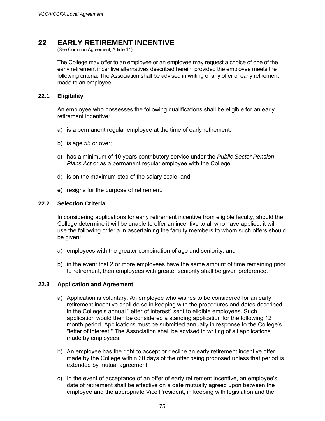# **22 EARLY RETIREMENT INCENTIVE**

(See Common Agreement, Article 11)

 The College may offer to an employee or an employee may request a choice of one of the early retirement incentive alternatives described herein, provided the employee meets the following criteria. The Association shall be advised in writing of any offer of early retirement made to an employee.

#### **22.1 Eligibility**

 An employee who possesses the following qualifications shall be eligible for an early retirement incentive:

- a) is a permanent regular employee at the time of early retirement;
- b) is age 55 or over;
- c) has a minimum of 10 years contributory service under the *Public Sector Pension Plans Act* or as a permanent regular employee with the College;
- d) is on the maximum step of the salary scale; and
- e) resigns for the purpose of retirement.

#### **22.2 Selection Criteria**

 In considering applications for early retirement incentive from eligible faculty, should the College determine it will be unable to offer an incentive to all who have applied, it will use the following criteria in ascertaining the faculty members to whom such offers should be given:

- a) employees with the greater combination of age and seniority; and
- b) in the event that 2 or more employees have the same amount of time remaining prior to retirement, then employees with greater seniority shall be given preference.

#### **22.3 Application and Agreement**

- a) Application is voluntary. An employee who wishes to be considered for an early retirement incentive shall do so in keeping with the procedures and dates described in the College's annual "letter of interest" sent to eligible employees. Such application would then be considered a standing application for the following 12 month period. Applications must be submitted annually in response to the College's "letter of interest." The Association shall be advised in writing of all applications made by employees.
- b) An employee has the right to accept or decline an early retirement incentive offer made by the College within 30 days of the offer being proposed unless that period is extended by mutual agreement.
- c) In the event of acceptance of an offer of early retirement incentive, an employee's date of retirement shall be effective on a date mutually agreed upon between the employee and the appropriate Vice President, in keeping with legislation and the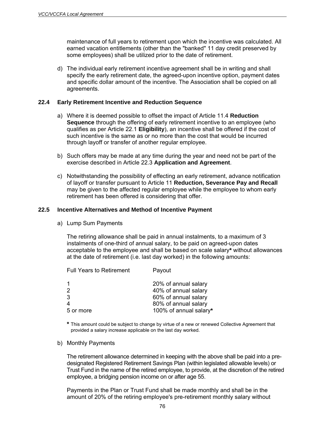maintenance of full years to retirement upon which the incentive was calculated. All earned vacation entitlements (other than the "banked" 11 day credit preserved by some employees) shall be utilized prior to the date of retirement.

 d) The individual early retirement incentive agreement shall be in writing and shall specify the early retirement date, the agreed-upon incentive option, payment dates and specific dollar amount of the incentive. The Association shall be copied on all agreements.

#### **22.4 Early Retirement Incentive and Reduction Sequence**

- a) Where it is deemed possible to offset the impact of Article 11.4 **Reduction Sequence** through the offering of early retirement incentive to an employee (who qualifies as per Article 22.1 **Eligibility**), an incentive shall be offered if the cost of such incentive is the same as or no more than the cost that would be incurred through layoff or transfer of another regular employee.
- b) Such offers may be made at any time during the year and need not be part of the exercise described in Article 22.3 **Application and Agreement**.
- c) Notwithstanding the possibility of effecting an early retirement, advance notification of layoff or transfer pursuant to Article 11 **Reduction, Severance Pay and Recall** may be given to the affected regular employee while the employee to whom early retirement has been offered is considering that offer.

#### **22.5 Incentive Alternatives and Method of Incentive Payment**

a) Lump Sum Payments

 The retiring allowance shall be paid in annual instalments, to a maximum of 3 instalments of one-third of annual salary, to be paid on agreed-upon dates acceptable to the employee and shall be based on scale salary**\*** without allowances at the date of retirement (i.e. last day worked) in the following amounts:

| <b>Full Years to Retirement</b> | Payout                 |
|---------------------------------|------------------------|
|                                 | 20% of annual salary   |
|                                 | 40% of annual salary   |
| 3                               | 60% of annual salary   |
|                                 | 80% of annual salary   |
| 5 or more                       | 100% of annual salary* |
|                                 |                        |

 **\*** This amount could be subject to change by virtue of a new or renewed Collective Agreement that provided a salary increase applicable on the last day worked.

#### b) Monthly Payments

 The retirement allowance determined in keeping with the above shall be paid into a predesignated Registered Retirement Savings Plan (within legislated allowable levels) or Trust Fund in the name of the retired employee, to provide, at the discretion of the retired employee, a bridging pension income on or after age 55.

 Payments in the Plan or Trust Fund shall be made monthly and shall be in the amount of 20% of the retiring employee's pre-retirement monthly salary without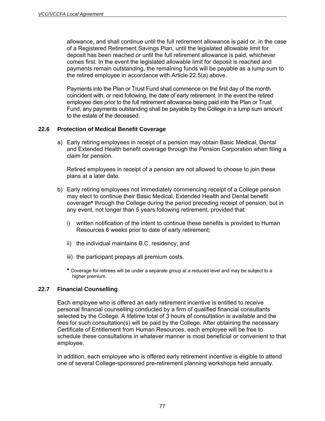allowance, and shall continue until the full retirement allowance is paid or, in the case of a Registered Retirement Savings Plan, until the legislated allowable limit for deposit has been reached or until the full retirement allowance is paid, whichever comes first. In the event the legislated allowable limit for deposit is reached and payments remain outstanding, the remaining funds will be payable as a lump sum to the retired employee in accordance with Article 22.5(a) above.

 Payments into the Plan or Trust Fund shall commence on the first day of the month coincident with, or next following, the date of early retirement. In the event the retired employee dies prior to the full retirement allowance being paid into the Plan or Trust Fund, any payments outstanding shall be payable by the College in a lump sum amount to the estate of the deceased.

#### **22.6 Protection of Medical Benefit Coverage**

 a) Early retiring employees in receipt of a pension may obtain Basic Medical, Dental and Extended Health benefit coverage through the Pension Corporation when filing a claim for pension.

 Retired employees in receipt of a pension are not allowed to choose to join these plans at a later date.

- b) Early retiring employees not immediately commencing receipt of a College pension may elect to continue their Basic Medical, Extended Health and Dental benefit coverage**\*** through the College during the period preceding receipt of pension, but in any event, not longer than 5 years following retirement, provided that:
	- i) written notification of the intent to continue these benefits is provided to Human Resources 6 weeks prior to date of early retirement;
	- ii) the individual maintains B.C. residency; and
	- iii) the participant prepays all premium costs.
	- **\*** Coverage for retirees will be under a separate group at a reduced level and may be subject to a higher premium.

#### **22.7 Financial Counselling**

 Each employee who is offered an early retirement incentive is entitled to receive personal financial counselling conducted by a firm of qualified financial consultants selected by the College. A lifetime total of 3 hours of consultation is available and the fees for such consultation(s) will be paid by the College. After obtaining the necessary Certificate of Entitlement from Human Resources, each employee will be free to schedule these consultations in whatever manner is most beneficial or convenient to that employee.

 In addition, each employee who is offered early retirement incentive is eligible to attend one of several College-sponsored pre-retirement planning workshops held annually.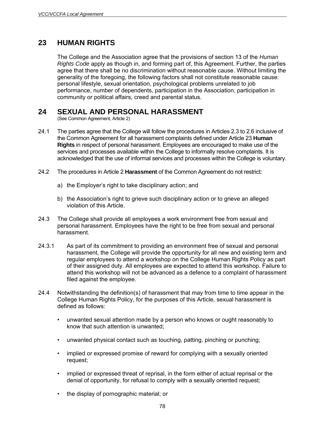# **23 HUMAN RIGHTS**

 The College and the Association agree that the provisions of section 13 of the *Human Rights Code* apply as though in, and forming part of, this Agreement. Further, the parties agree that there shall be no discrimination without reasonable cause. Without limiting the generality of the foregoing, the following factors shall not constitute reasonable cause: personal lifestyle, sexual orientation, psychological problems unrelated to job performance, number of dependents, participation in the Association, participation in community or political affairs, creed and parental status.

# **24 SEXUAL AND PERSONAL HARASSMENT**

(See Common Agreement, Article 2)

- 24.1 The parties agree that the College will follow the procedures in Articles 2.3 to 2.6 inclusive of the Common Agreement for all harassment complaints defined under Article 23 **Human Rights** in respect of personal harassment. Employees are encouraged to make use of the services and processes available within the College to informally resolve complaints. It is acknowledged that the use of informal services and processes within the College is voluntary.
- 24.2 The procedures in Article 2 **Harassment** of the Common Agreement do not restrict:
	- a) the Employer's right to take disciplinary action; and
	- b) the Association's right to grieve such disciplinary action or to grieve an alleged violation of this Article.
- 24.3 The College shall provide all employees a work environment free from sexual and personal harassment. Employees have the right to be free from sexual and personal harassment.
- 24.3.1 As part of its commitment to providing an environment free of sexual and personal harassment, the College will provide the opportunity for all new and existing term and regular employees to attend a workshop on the College Human Rights Policy as part of their assigned duty. All employees are expected to attend this workshop. Failure to attend this workshop will not be advanced as a defence to a complaint of harassment filed against the employee.
- 24.4 Notwithstanding the definition(s) of harassment that may from time to time appear in the College Human Rights Policy, for the purposes of this Article, sexual harassment is defined as follows:
	- unwanted sexual attention made by a person who knows or ought reasonably to know that such attention is unwanted;
	- unwanted physical contact such as touching, patting, pinching or punching;
	- implied or expressed promise of reward for complying with a sexually oriented request;
	- implied or expressed threat of reprisal, in the form either of actual reprisal or the denial of opportunity, for refusal to comply with a sexually oriented request;
	- the display of pornographic material; or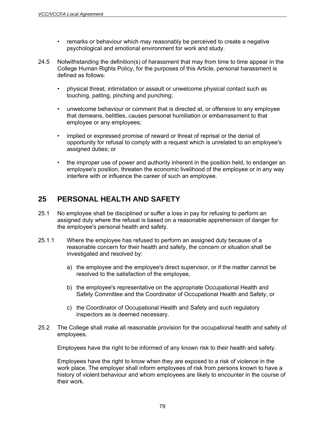- remarks or behaviour which may reasonably be perceived to create a negative psychological and emotional environment for work and study.
- 24.5 Notwithstanding the definition(s) of harassment that may from time to time appear in the College Human Rights Policy, for the purposes of this Article, personal harassment is defined as follows:
	- physical threat, intimidation or assault or unwelcome physical contact such as touching, patting, pinching and punching;
	- unwelcome behaviour or comment that is directed at, or offensive to any employee that demeans, belittles, causes personal humiliation or embarrassment to that employee or any employees;
	- implied or expressed promise of reward or threat of reprisal or the denial of opportunity for refusal to comply with a request which is unrelated to an employee's assigned duties; or
	- the improper use of power and authority inherent in the position held, to endanger an employee's position, threaten the economic livelihood of the employee or in any way interfere with or influence the career of such an employee.

# **25 PERSONAL HEALTH AND SAFETY**

- 25.1 No employee shall be disciplined or suffer a loss in pay for refusing to perform an assigned duty where the refusal is based on a reasonable apprehension of danger for the employee's personal health and safety.
- 25.1.1 Where the employee has refused to perform an assigned duty because of a reasonable concern for their health and safety, the concern or situation shall be investigated and resolved by:
	- a) the employee and the employee's direct supervisor, or if the matter cannot be resolved to the satisfaction of the employee,
	- b) the employee's representative on the appropriate Occupational Health and Safety Committee and the Coordinator of Occupational Health and Safety, or
	- c) the Coordinator of Occupational Health and Safety and such regulatory inspectors as is deemed necessary.
- 25.2 The College shall make all reasonable provision for the occupational health and safety of employees.

Employees have the right to be informed of any known risk to their health and safety.

 Employees have the right to know when they are exposed to a risk of violence in the work place. The employer shall inform employees of risk from persons known to have a history of violent behaviour and whom employees are likely to encounter in the course of their work.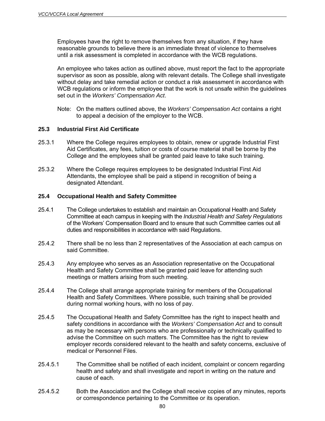Employees have the right to remove themselves from any situation, if they have reasonable grounds to believe there is an immediate threat of violence to themselves until a risk assessment is completed in accordance with the WCB regulations.

 An employee who takes action as outlined above, must report the fact to the appropriate supervisor as soon as possible, along with relevant details. The College shall investigate without delay and take remedial action or conduct a risk assessment in accordance with WCB regulations or inform the employee that the work is not unsafe within the guidelines set out in the *Workers' Compensation Act*.

Note: On the matters outlined above, the *Workers' Compensation Act* contains a right to appeal a decision of the employer to the WCB.

#### **25.3 Industrial First Aid Certificate**

- 25.3.1 Where the College requires employees to obtain, renew or upgrade Industrial First Aid Certificates, any fees, tuition or costs of course material shall be borne by the College and the employees shall be granted paid leave to take such training.
- 25.3.2 Where the College requires employees to be designated Industrial First Aid Attendants, the employee shall be paid a stipend in recognition of being a designated Attendant.

#### **25.4 Occupational Health and Safety Committee**

- 25.4.1 The College undertakes to establish and maintain an Occupational Health and Safety Committee at each campus in keeping with the *Industrial Health and Safety Regulations* of the Workers' Compensation Board and to ensure that such Committee carries out all duties and responsibilities in accordance with said Regulations.
- 25.4.2 There shall be no less than 2 representatives of the Association at each campus on said Committee.
- 25.4.3 Any employee who serves as an Association representative on the Occupational Health and Safety Committee shall be granted paid leave for attending such meetings or matters arising from such meeting.
- 25.4.4 The College shall arrange appropriate training for members of the Occupational Health and Safety Committees. Where possible, such training shall be provided during normal working hours, with no loss of pay.
- 25.4.5 The Occupational Health and Safety Committee has the right to inspect health and safety conditions in accordance with the *Workers' Compensation Act* and to consult as may be necessary with persons who are professionally or technically qualified to advise the Committee on such matters. The Committee has the right to review employer records considered relevant to the health and safety concerns, exclusive of medical or Personnel Files.
- 25.4.5.1 The Committee shall be notified of each incident, complaint or concern regarding health and safety and shall investigate and report in writing on the nature and cause of each.
- 25.4.5.2 Both the Association and the College shall receive copies of any minutes, reports or correspondence pertaining to the Committee or its operation.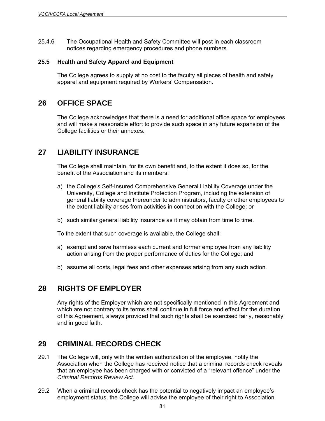25.4.6 The Occupational Health and Safety Committee will post in each classroom notices regarding emergency procedures and phone numbers.

#### **25.5 Health and Safety Apparel and Equipment**

 The College agrees to supply at no cost to the faculty all pieces of health and safety apparel and equipment required by Workers' Compensation.

# **26 OFFICE SPACE**

 The College acknowledges that there is a need for additional office space for employees and will make a reasonable effort to provide such space in any future expansion of the College facilities or their annexes.

# **27 LIABILITY INSURANCE**

 The College shall maintain, for its own benefit and, to the extent it does so, for the benefit of the Association and its members:

- a) the College's Self-Insured Comprehensive General Liability Coverage under the University, College and Institute Protection Program, including the extension of general liability coverage thereunder to administrators, faculty or other employees to the extent liability arises from activities in connection with the College; or
- b) such similar general liability insurance as it may obtain from time to time.

To the extent that such coverage is available, the College shall:

- a) exempt and save harmless each current and former employee from any liability action arising from the proper performance of duties for the College; and
- b) assume all costs, legal fees and other expenses arising from any such action.

# **28 RIGHTS OF EMPLOYER**

 Any rights of the Employer which are not specifically mentioned in this Agreement and which are not contrary to its terms shall continue in full force and effect for the duration of this Agreement, always provided that such rights shall be exercised fairly, reasonably and in good faith.

# **29 CRIMINAL RECORDS CHECK**

- 29.1 The College will, only with the written authorization of the employee, notify the Association when the College has received notice that a criminal records check reveals that an employee has been charged with or convicted of a "relevant offence" under the *Criminal Records Review Act*.
- 29.2 When a criminal records check has the potential to negatively impact an employee's employment status, the College will advise the employee of their right to Association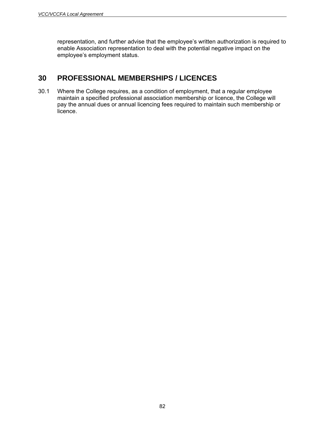representation, and further advise that the employee's written authorization is required to enable Association representation to deal with the potential negative impact on the employee's employment status.

# **30 PROFESSIONAL MEMBERSHIPS / LICENCES**

30.1 Where the College requires, as a condition of employment, that a regular employee maintain a specified professional association membership or licence, the College will pay the annual dues or annual licencing fees required to maintain such membership or licence.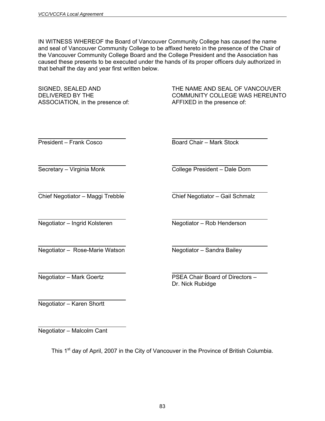IN WITNESS WHEREOF the Board of Vancouver Community College has caused the name and seal of Vancouver Community College to be affixed hereto in the presence of the Chair of the Vancouver Community College Board and the College President and the Association has caused these presents to be executed under the hands of its proper officers duly authorized in that behalf the day and year first written below.

ASSOCIATION, in the presence of: AFFIXED in the presence of:

SIGNED, SEALED AND THE NAME AND SEAL OF VANCOUVER DELIVERED BY THE COMMUNITY COLLEGE WAS HEREUNTO

President – Frank Cosco **Board Chair – Mark Stock** 

 $\overline{a}$ 

 $\overline{a}$ 

 $\overline{a}$ 

 $\overline{a}$ 

 $\overline{a}$ Secretary – Virginia Monk College President – Dale Dorn

Chief Negotiator – Maggi Trebble Chief Negotiator – Gail Schmalz

 $\overline{a}$ Negotiator – Rose-Marie Watson Negotiator – Sandra Bailey

 $\overline{a}$ 

 $\overline{a}$ Negotiator – Karen Shortt

Negotiator – Malcolm Cant

This 1<sup>st</sup> day of April, 2007 in the City of Vancouver in the Province of British Columbia.

Negotiator – Ingrid Kolsteren Negotiator – Rob Henderson

Negotiator – Mark Goertz **PSEA Chair Board of Directors –** Dr. Nick Rubidge

83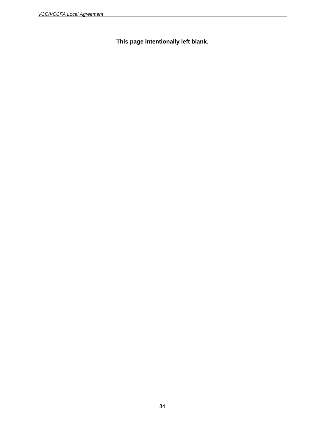**This page intentionally left blank.**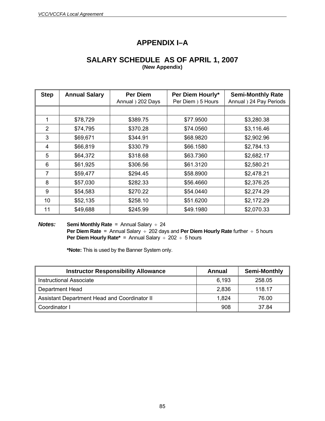# **APPENDIX I–A**

### **SALARY SCHEDULE AS OF APRIL 1, 2007 (New Appendix)**

| <b>Step</b> | <b>Annual Salary</b> | <b>Per Diem</b><br>Annual ) 202 Days | Per Diem Hourly*<br>Per Diem ) 5 Hours | <b>Semi-Monthly Rate</b><br>Annual ) 24 Pay Periods |
|-------------|----------------------|--------------------------------------|----------------------------------------|-----------------------------------------------------|
|             |                      |                                      |                                        |                                                     |
| 1           | \$78,729             | \$389.75                             | \$77.9500                              | \$3,280.38                                          |
| 2           | \$74,795             | \$370.28                             | \$74.0560                              | \$3,116.46                                          |
| 3           | \$69,671             | \$344.91                             | \$68.9820                              | \$2,902.96                                          |
| 4           | \$66,819             | \$330.79                             | \$66.1580                              | \$2,784.13                                          |
| 5           | \$64,372             | \$318.68                             | \$63.7360                              | \$2,682.17                                          |
| 6           | \$61,925             | \$306.56                             | \$61.3120                              | \$2,580.21                                          |
| 7           | \$59,477             | \$294.45                             | \$58.8900                              | \$2,478.21                                          |
| 8           | \$57,030             | \$282.33                             | \$56.4660                              | \$2,376.25                                          |
| 9           | \$54,583             | \$270.22                             | \$54.0440                              | \$2,274.29                                          |
| 10          | \$52,135             | \$258.10                             | \$51.6200                              | \$2,172.29                                          |
| 11          | \$49,688             | \$245.99                             | \$49.1980                              | \$2,070.33                                          |

*Notes:* **Semi Monthly Rate** = Annual Salary ÷ 24 **Per Diem Rate** = Annual Salary ÷ 202 days and **Per Diem Hourly Rate** further ÷ 5 hours

**Per Diem Hourly Rate\*** = Annual Salary ÷ 202 ÷ 5 hours

**\*Note:** This is used by the Banner System only.

| <b>Instructor Responsibility Allowance</b>   | Annual | <b>Semi-Monthly</b> |
|----------------------------------------------|--------|---------------------|
| Instructional Associate                      | 6,193  | 258.05              |
| Department Head                              | 2,836  | 118.17              |
| Assistant Department Head and Coordinator II | 1.824  | 76.00               |
| Coordinator I                                | 908    | 37.84               |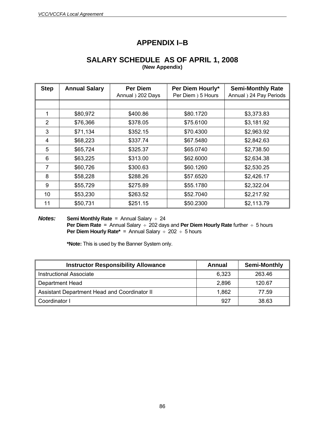# **APPENDIX I–B**

# **SALARY SCHEDULE AS OF APRIL 1, 2008**

| <b>Step</b> | <b>Annual Salary</b> | <b>Per Diem</b><br>Annual ) 202 Days | Per Diem Hourly*<br>Per Diem ) 5 Hours | <b>Semi-Monthly Rate</b><br>Annual ) 24 Pay Periods |
|-------------|----------------------|--------------------------------------|----------------------------------------|-----------------------------------------------------|
|             |                      |                                      |                                        |                                                     |
| 1           | \$80,972             | \$400.86                             | \$80.1720                              | \$3,373.83                                          |
| 2           | \$76,366             | \$378.05                             | \$75.6100                              | \$3,181.92                                          |
| 3           | \$71,134             | \$352.15                             | \$70.4300                              | \$2,963.92                                          |
| 4           | \$68,223             | \$337.74                             | \$67.5480                              | \$2,842.63                                          |
| 5           | \$65,724             | \$325.37                             | \$65.0740                              | \$2,738.50                                          |
| 6           | \$63,225             | \$313.00                             | \$62.6000                              | \$2,634.38                                          |
| 7           | \$60,726             | \$300.63                             | \$60.1260                              | \$2,530.25                                          |
| 8           | \$58,228             | \$288.26                             | \$57.6520                              | \$2,426.17                                          |
| 9           | \$55,729             | \$275.89                             | \$55.1780                              | \$2,322.04                                          |
| 10          | \$53,230             | \$263.52                             | \$52.7040                              | \$2,217.92                                          |
| 11          | \$50,731             | \$251.15                             | \$50.2300                              | \$2,113.79                                          |

**(New Appendix)**

*Notes:* **Semi Monthly Rate** = Annual Salary ÷ 24 **Per Diem Rate** = Annual Salary ÷ 202 days and **Per Diem Hourly Rate** further ÷ 5 hours **Per Diem Hourly Rate\*** = Annual Salary ÷ 202 ÷ 5 hours

**\*Note:** This is used by the Banner System only.

| <b>Instructor Responsibility Allowance</b>   | Annual | <b>Semi-Monthly</b> |
|----------------------------------------------|--------|---------------------|
| Instructional Associate                      | 6,323  | 263.46              |
| Department Head                              | 2,896  | 120.67              |
| Assistant Department Head and Coordinator II | 1,862  | 77.59               |
| Coordinator I                                | 927    | 38.63               |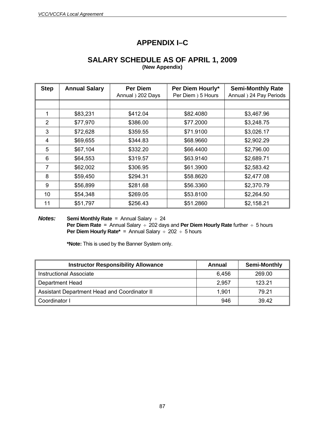# **APPENDIX I–C**

# **SALARY SCHEDULE AS OF APRIL 1, 2009 (New Appendix)**

| <b>Step</b> | <b>Annual Salary</b> | <b>Per Diem</b><br>Annual ) 202 Days | Per Diem Hourly*<br>Per Diem ) 5 Hours | <b>Semi-Monthly Rate</b><br>Annual ) 24 Pay Periods |
|-------------|----------------------|--------------------------------------|----------------------------------------|-----------------------------------------------------|
|             |                      |                                      |                                        |                                                     |
|             | \$83,231             | \$412.04                             | \$82.4080                              | \$3,467.96                                          |
| 2           | \$77,970             | \$386.00                             | \$77.2000                              | \$3,248.75                                          |
| 3           | \$72,628             | \$359.55                             | \$71.9100                              | \$3,026.17                                          |
| 4           | \$69,655             | \$344.83                             | \$68.9660                              | \$2,902.29                                          |
| 5           | \$67,104             | \$332.20                             | \$66.4400                              | \$2,796.00                                          |
| 6           | \$64,553             | \$319.57                             | \$63.9140                              | \$2,689.71                                          |
| 7           | \$62,002             | \$306.95                             | \$61.3900                              | \$2,583.42                                          |
| 8           | \$59,450             | \$294.31                             | \$58.8620                              | \$2,477.08                                          |
| 9           | \$56,899             | \$281.68                             | \$56.3360                              | \$2,370.79                                          |
| 10          | \$54,348             | \$269.05                             | \$53.8100                              | \$2,264.50                                          |
| 11          | \$51,797             | \$256.43                             | \$51.2860                              | \$2,158.21                                          |

*Notes:* **Semi Monthly Rate** = Annual Salary ÷ 24 **Per Diem Rate** = Annual Salary ÷ 202 days and **Per Diem Hourly Rate** further ÷ 5 hours **Per Diem Hourly Rate\*** = Annual Salary  $\div$  202  $\div$  5 hours

**\*Note:** This is used by the Banner System only.

| <b>Instructor Responsibility Allowance</b>   | Annual | <b>Semi-Monthly</b> |
|----------------------------------------------|--------|---------------------|
| <b>Instructional Associate</b>               | 6.456  | 269.00              |
| Department Head                              | 2.957  | 123.21              |
| Assistant Department Head and Coordinator II | 1.901  | 79.21               |
| Coordinator I                                | 946    | 39.42               |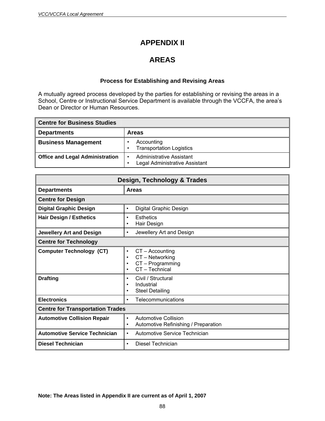# **APPENDIX II**

# **AREAS**

### **Process for Establishing and Revising Areas**

A mutually agreed process developed by the parties for establishing or revising the areas in a School, Centre or Instructional Service Department is available through the VCCFA, the area's Dean or Director or Human Resources.

| <b>Centre for Business Studies</b>     |                                                            |  |
|----------------------------------------|------------------------------------------------------------|--|
| <b>Departments</b>                     | <b>Areas</b>                                               |  |
| <b>Business Management</b>             | Accounting<br><b>Transportation Logistics</b>              |  |
| <b>Office and Legal Administration</b> | Administrative Assistant<br>Legal Administrative Assistant |  |

| Design, Technology & Trades             |                                                                                       |  |
|-----------------------------------------|---------------------------------------------------------------------------------------|--|
| <b>Departments</b>                      | <b>Areas</b>                                                                          |  |
| <b>Centre for Design</b>                |                                                                                       |  |
| <b>Digital Graphic Design</b>           | Digital Graphic Design<br>$\bullet$                                                   |  |
| <b>Hair Design / Esthetics</b>          | <b>Esthetics</b><br>٠<br>Hair Design                                                  |  |
| <b>Jewellery Art and Design</b>         | Jewellery Art and Design<br>٠                                                         |  |
| <b>Centre for Technology</b>            |                                                                                       |  |
| <b>Computer Technology (CT)</b>         | CT - Accounting<br>$\bullet$<br>CT - Networking<br>CT - Programming<br>CT - Technical |  |
| <b>Drafting</b>                         | Civil / Structural<br>٠<br>Industrial<br><b>Steel Detailing</b>                       |  |
| <b>Electronics</b>                      | Telecommunications                                                                    |  |
| <b>Centre for Transportation Trades</b> |                                                                                       |  |
| <b>Automotive Collision Repair</b>      | Automotive Collision<br>Automotive Refinishing / Preparation<br>$\bullet$             |  |
| <b>Automotive Service Technician</b>    | Automotive Service Technician<br>٠                                                    |  |
| <b>Diesel Technician</b>                | Diesel Technician<br>$\bullet$                                                        |  |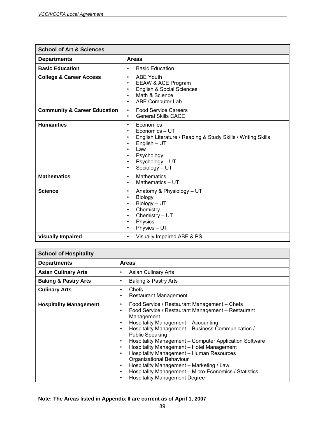| <b>School of Art &amp; Sciences</b>     |                                                                                                                                                                                                                                                            |  |
|-----------------------------------------|------------------------------------------------------------------------------------------------------------------------------------------------------------------------------------------------------------------------------------------------------------|--|
| <b>Departments</b>                      | <b>Areas</b>                                                                                                                                                                                                                                               |  |
| <b>Basic Education</b>                  | <b>Basic Education</b><br>٠                                                                                                                                                                                                                                |  |
| <b>College &amp; Career Access</b>      | <b>ABE Youth</b><br>$\bullet$<br>EEAW & ACE Program<br>٠<br>English & Social Sciences<br>$\bullet$<br>Math & Science<br>$\bullet$<br><b>ABE Computer Lab</b><br>$\bullet$                                                                                  |  |
| <b>Community &amp; Career Education</b> | <b>Food Service Careers</b><br>$\bullet$<br><b>General Skills CACE</b><br>$\bullet$                                                                                                                                                                        |  |
| <b>Humanities</b>                       | Economics<br>$\bullet$<br>Economics - UT<br>$\bullet$<br>English Literature / Reading & Study Skills / Writing Skills<br>$\bullet$<br>$English - UT$<br>Law<br>$\bullet$<br>Psychology<br>$\bullet$<br>Psychology - UT<br>٠<br>Sociology - UT<br>$\bullet$ |  |
| <b>Mathematics</b>                      | <b>Mathematics</b><br>$\bullet$<br>Mathematics - UT<br>$\bullet$                                                                                                                                                                                           |  |
| <b>Science</b>                          | Anatomy & Physiology - UT<br>$\bullet$<br><b>Biology</b><br>$\bullet$<br>Biology - UT<br>$\bullet$<br>Chemistry<br>$\bullet$<br>Chemistry - UT<br>$\bullet$<br>Physics<br>$\bullet$<br>Physics - UT<br>$\bullet$                                           |  |
| <b>Visually Impaired</b>                | Visually Impaired ABE & PS<br>٠                                                                                                                                                                                                                            |  |

| <b>School of Hospitality</b>    |                                                                                                                                                                                                                                                                                                                                                                                                                                                                                                                                                                                                                                     |  |  |
|---------------------------------|-------------------------------------------------------------------------------------------------------------------------------------------------------------------------------------------------------------------------------------------------------------------------------------------------------------------------------------------------------------------------------------------------------------------------------------------------------------------------------------------------------------------------------------------------------------------------------------------------------------------------------------|--|--|
| <b>Departments</b>              | <b>Areas</b>                                                                                                                                                                                                                                                                                                                                                                                                                                                                                                                                                                                                                        |  |  |
| <b>Asian Culinary Arts</b>      | <b>Asian Culinary Arts</b>                                                                                                                                                                                                                                                                                                                                                                                                                                                                                                                                                                                                          |  |  |
| <b>Baking &amp; Pastry Arts</b> | Baking & Pastry Arts<br>٠                                                                                                                                                                                                                                                                                                                                                                                                                                                                                                                                                                                                           |  |  |
| <b>Culinary Arts</b>            | Chefs<br>$\bullet$<br><b>Restaurant Management</b><br>٠                                                                                                                                                                                                                                                                                                                                                                                                                                                                                                                                                                             |  |  |
| <b>Hospitality Management</b>   | Food Service / Restaurant Management - Chefs<br>٠<br>Food Service / Restaurant Management - Restaurant<br>$\bullet$<br>Management<br>Hospitality Management - Accounting<br>٠<br>Hospitality Management - Business Communication /<br>٠<br><b>Public Speaking</b><br>Hospitality Management - Computer Application Software<br>٠<br>Hospitality Management - Hotel Management<br>٠<br>Hospitality Management - Human Resources<br>$\bullet$<br>Organizational Behaviour<br>Hospitality Management - Marketing / Law<br>٠<br>Hospitality Management - Micro-Economics / Statistics<br>٠<br><b>Hospitality Management Degree</b><br>٠ |  |  |

**Note: The Areas listed in Appendix II are current as of April 1, 2007**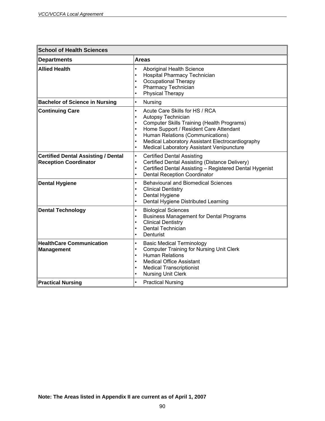| <b>School of Health Sciences</b>                                           |                                                                                                                                                                                                                                                                                                                                 |  |  |
|----------------------------------------------------------------------------|---------------------------------------------------------------------------------------------------------------------------------------------------------------------------------------------------------------------------------------------------------------------------------------------------------------------------------|--|--|
| <b>Departments</b>                                                         | <b>Areas</b>                                                                                                                                                                                                                                                                                                                    |  |  |
| <b>Allied Health</b>                                                       | $\bullet$<br>Aboriginal Health Science<br><b>Hospital Pharmacy Technician</b><br><b>Occupational Therapy</b><br>Pharmacy Technician<br><b>Physical Therapy</b><br>$\bullet$                                                                                                                                                     |  |  |
| <b>Bachelor of Science in Nursing</b>                                      | $\bullet$<br>Nursing                                                                                                                                                                                                                                                                                                            |  |  |
| <b>Continuing Care</b>                                                     | Acute Care Skills for HS / RCA<br>$\bullet$<br>Autopsy Technician<br><b>Computer Skills Training (Health Programs)</b><br>Home Support / Resident Care Attendant<br>Human Relations (Communications)<br>Medical Laboratory Assistant Electrocardiography<br>$\bullet$<br>Medical Laboratory Assistant Venipuncture<br>$\bullet$ |  |  |
| <b>Certified Dental Assisting / Dental</b><br><b>Reception Coordinator</b> | <b>Certified Dental Assisting</b><br>$\bullet$<br>Certified Dental Assisting (Distance Delivery)<br>Certified Dental Assisting - Registered Dental Hygenist<br><b>Dental Reception Coordinator</b><br>$\bullet$                                                                                                                 |  |  |
| <b>Dental Hygiene</b>                                                      | <b>Behavioural and Biomedical Sciences</b><br>$\bullet$<br><b>Clinical Dentistry</b><br>$\bullet$<br>Dental Hygiene<br>$\bullet$<br>Dental Hygiene Distributed Learning                                                                                                                                                         |  |  |
| <b>Dental Technology</b>                                                   | <b>Biological Sciences</b><br>$\bullet$<br><b>Business Management for Dental Programs</b><br><b>Clinical Dentistry</b><br>$\bullet$<br><b>Dental Technician</b><br>$\bullet$<br><b>Denturist</b><br>$\bullet$                                                                                                                   |  |  |
| <b>HealthCare Communication</b><br>Management<br><b>Practical Nursing</b>  | <b>Basic Medical Terminology</b><br>$\bullet$<br><b>Computer Training for Nursing Unit Clerk</b><br><b>Human Relations</b><br><b>Medical Office Assistant</b><br><b>Medical Transcriptionist</b><br>$\bullet$<br><b>Nursing Unit Clerk</b><br>$\bullet$<br><b>Practical Nursing</b>                                             |  |  |
|                                                                            |                                                                                                                                                                                                                                                                                                                                 |  |  |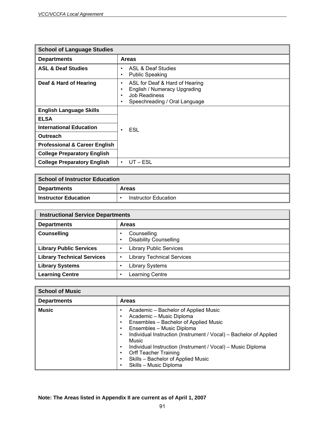| <b>School of Language Studies</b>        |                                                                                                                                                                     |  |  |
|------------------------------------------|---------------------------------------------------------------------------------------------------------------------------------------------------------------------|--|--|
| <b>Departments</b>                       | <b>Areas</b>                                                                                                                                                        |  |  |
| <b>ASL &amp; Deaf Studies</b>            | ASL & Deaf Studies<br>٠<br><b>Public Speaking</b><br>$\bullet$                                                                                                      |  |  |
| Deaf & Hard of Hearing                   | ASL for Deaf & Hard of Hearing<br>$\bullet$<br>English / Numeracy Upgrading<br>٠<br><b>Job Readiness</b><br>$\bullet$<br>Speechreading / Oral Language<br>$\bullet$ |  |  |
| <b>English Language Skills</b>           |                                                                                                                                                                     |  |  |
| <b>ELSA</b>                              |                                                                                                                                                                     |  |  |
| <b>International Education</b>           | <b>ESL</b>                                                                                                                                                          |  |  |
| Outreach                                 |                                                                                                                                                                     |  |  |
| <b>Professional &amp; Career English</b> |                                                                                                                                                                     |  |  |
| <b>College Preparatory English</b>       |                                                                                                                                                                     |  |  |
| <b>College Preparatory English</b>       | $UT - ESL$<br>$\bullet$                                                                                                                                             |  |  |

| <b>School of Instructor Education</b> |                      |  |  |
|---------------------------------------|----------------------|--|--|
| <b>Departments</b>                    | <b>Areas</b>         |  |  |
| <b>Instructor Education</b>           | Instructor Education |  |  |

| <b>Instructional Service Departments</b> |                                              |  |  |
|------------------------------------------|----------------------------------------------|--|--|
| <b>Departments</b>                       | <b>Areas</b>                                 |  |  |
| <b>Counselling</b>                       | Counselling<br><b>Disability Counselling</b> |  |  |
| <b>Library Public Services</b>           | <b>Library Public Services</b>               |  |  |
| <b>Library Technical Services</b>        | <b>Library Technical Services</b>            |  |  |
| <b>Library Systems</b>                   | <b>Library Systems</b>                       |  |  |
| <b>Learning Centre</b>                   | Learning Centre                              |  |  |

| <b>School of Music</b> |                                                                                                                                                                                                                                                                                                                                                                                                              |  |  |  |
|------------------------|--------------------------------------------------------------------------------------------------------------------------------------------------------------------------------------------------------------------------------------------------------------------------------------------------------------------------------------------------------------------------------------------------------------|--|--|--|
| <b>Departments</b>     | <b>Areas</b>                                                                                                                                                                                                                                                                                                                                                                                                 |  |  |  |
| <b>Music</b>           | Academic – Bachelor of Applied Music<br>Academic - Music Diploma<br>Ensembles - Bachelor of Applied Music<br>٠<br>Ensembles - Music Diploma<br>٠<br>Individual Instruction (Instrument / Vocal) - Bachelor of Applied<br>٠<br>Music<br>Individual Instruction (Instrument / Vocal) - Music Diploma<br>٠<br><b>Orff Teacher Training</b><br>٠<br>Skills - Bachelor of Applied Music<br>Skills - Music Diploma |  |  |  |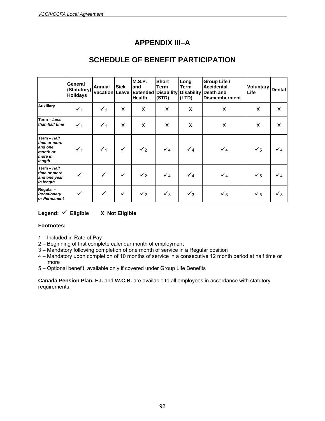# **APPENDIX III–A**

|                                                                                | General<br>(Statutory)<br><b>Holidays</b> | Annual<br><b>Vacation Leave</b> | <b>Sick</b>  | <b>M.S.P.</b><br>and<br><b>Extended</b><br>Health | <b>Short</b><br>Term<br><b>Disability</b><br>(STD) | Long<br><b>Term</b><br><b>Disability</b><br>(LTD) | Group Life /<br><b>Accidental</b><br>Death and<br><b>Dismemberment</b> | <b>Voluntary</b><br>Life | <b>Dental</b>  |
|--------------------------------------------------------------------------------|-------------------------------------------|---------------------------------|--------------|---------------------------------------------------|----------------------------------------------------|---------------------------------------------------|------------------------------------------------------------------------|--------------------------|----------------|
| <b>Auxiliary</b>                                                               | $\checkmark_1$                            | $\checkmark_1$                  | X            | X                                                 | X                                                  | X                                                 | $\pmb{\times}$                                                         | X                        | X.             |
| Term - Less<br>than half time                                                  | $\checkmark_1$                            | $\checkmark_1$                  | X            | X                                                 | X                                                  | X                                                 | X                                                                      | X                        | X              |
| Term - <i>Half</i><br>time or more<br>and one<br>month or<br>more in<br>length | $\checkmark_1$                            | $\checkmark_1$                  | $\checkmark$ | $\checkmark_2$                                    | $\checkmark_4$                                     | $\checkmark_4$                                    | $\sqrt{4}$                                                             | $\checkmark_5$           | $\sqrt{4}$     |
| Term - Half<br>time or more<br>and one year<br>in length                       | ✓                                         | $\checkmark$                    | $\checkmark$ | $\checkmark_2$                                    | $\checkmark_4$                                     | $\sqrt{4}$                                        | $\sqrt{4}$                                                             | $\checkmark_5$           | $\checkmark_4$ |
| Regular-<br>Pobationary<br>or Permanent                                        | ✓                                         | ✓                               | $\checkmark$ | $\checkmark_2$                                    | $\checkmark$                                       | $\checkmark_3$                                    | $\sqrt{3}$                                                             | $\checkmark_5$           | $\checkmark$   |

# **SCHEDULE OF BENEFIT PARTICIPATION**

### **Legend:** 9 **Eligible X Not Eligible**

### **Footnotes:**

- 1 Included in Rate of Pay
- 2 Beginning of first complete calendar month of employment
- 3 Mandatory following completion of one month of service in a Regular position
- 4 Mandatory upon completion of 10 months of service in a consecutive 12 month period at half time or more
- 5 Optional benefit, available only if covered under Group Life Benefits

**Canada Pension Plan, E.I.** and **W.C.B.** are available to all employees in accordance with statutory requirements.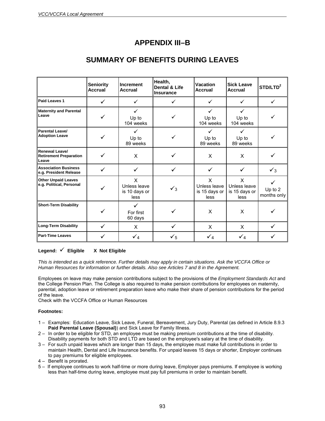# **APPENDIX III–B**

# **SUMMARY OF BENEFITS DURING LEAVES**

|                                                        | <b>Seniority</b><br><b>Accrual</b> | <b>Increment</b><br><b>Accrual</b>                    | Health,<br><b>Dental &amp; Life</b><br><b>Insurance</b> | Vacation<br><b>Accrual</b>                 | <b>Sick Leave</b><br>Accrual               | STD/LTD <sup>2</sup>          |
|--------------------------------------------------------|------------------------------------|-------------------------------------------------------|---------------------------------------------------------|--------------------------------------------|--------------------------------------------|-------------------------------|
| Paid Leaves 1                                          |                                    |                                                       | ✓                                                       |                                            |                                            | ✓                             |
| Maternity and Parental<br>Leave                        | ✓                                  | ✓<br>Up to<br>104 weeks                               |                                                         | ✓<br>Up to<br>104 weeks                    | ✓<br>Up to<br>104 weeks                    |                               |
| Parental Leave/<br><b>Adoption Leave</b>               |                                    | $\checkmark$<br>Up to<br>89 weeks                     | ✓                                                       | $\checkmark$<br>Up to<br>89 weeks          | $\checkmark$<br>Up to<br>89 weeks          |                               |
| Renewal Leave/<br>Retirement Preparation<br>Leave      | ✓                                  | X                                                     | ✓                                                       | X                                          | X                                          | ✓                             |
| <b>Association Business</b><br>e.g. President Release  | ✓                                  | ✓                                                     | ✓                                                       | ✓                                          | $\checkmark$                               | $\checkmark_3$                |
| <b>Other Unpaid Leaves</b><br>e.g. Political, Personal | ✓                                  | $\mathsf{x}$<br>Unless leave<br>is 10 days or<br>less | $\checkmark$                                            | X<br>Unless leave<br>is 15 days or<br>less | X<br>Unless leave<br>is 15 days or<br>less | ✓<br>Up to $2$<br>months only |
| <b>Short-Term Disability</b>                           | ✓                                  | $\checkmark$<br>For first<br>60 days                  |                                                         | X                                          | X                                          |                               |
| Long-Term Disability                                   | ✓                                  | $\times$                                              | ✓                                                       | X                                          | X                                          | ✓                             |
| <b>Part-Time Leaves</b>                                |                                    | $\sqrt{4}$                                            | $\checkmark_5$                                          | $\checkmark_4$                             | $\checkmark_4$                             |                               |

#### **Legend:** 9 **Eligible X Not Eligible**

*This is intended as a quick reference. Further details may apply in certain situations. Ask the VCCFA Office or Human Resources for information or further details. Also see Articles 7 and 8 in the Agreement.* 

Employees on leave may make pension contributions subject to the provisions of the *Employment Standards Act* and the College Pension Plan. The College is also required to make pension contributions for employees on maternity, parental, adoption leave or retirement preparation leave who make their share of pension contributions for the period of the leave.

Check with the VCCFA Office or Human Resources

#### **Footnotes:**

- 1 Examples: Education Leave, Sick Leave, Funeral, Bereavement, Jury Duty, Parental (as defined in Article 8.9.3 **Paid Parental Leave (Spousal)**) and Sick Leave for Family Illness.
- 2 In order to be eligible for STD, an employee must be making premium contributions at the time of disability. Disability payments for both STD and LTD are based on the employee's salary at the time of disability.
- 3 For such unpaid leaves which are longer than 15 days, the employee must make full contributions in order to maintain Health, Dental and Life Insurance benefits. For unpaid leaves 15 days or shorter, Employer continues to pay premiums for eligible employees.
- 4 Benefit is prorated.
- 5 If employee continues to work half-time or more during leave, Employer pays premiums. If employee is working less than half-time during leave, employee must pay full premiums in order to maintain benefit.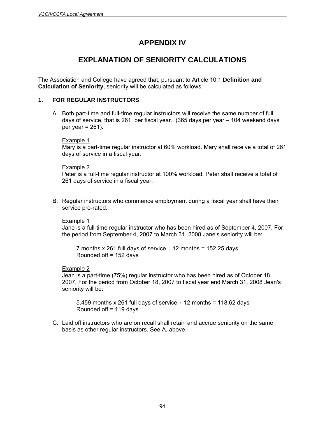# **APPENDIX IV**

# **EXPLANATION OF SENIORITY CALCULATIONS**

The Association and College have agreed that, pursuant to Article 10.1 **Definition and Calculation of Seniority**, seniority will be calculated as follows:

### **1. FOR REGULAR INSTRUCTORS**

A*.* Both part-time and full-time regular instructors will receive the same number of full days of service, that is 261, per fiscal year. (365 days per year – 104 weekend days per year  $= 261$ ).

### Example 1

 Mary is a part-time regular instructor at 60% workload. Mary shall receive a total of 261 days of service in a fiscal year.

### Example 2

 Peter is a full-time regular instructor at 100% workload. Peter shall receive a total of 261 days of service in a fiscal year.

B. Regular instructors who commence employment during a fiscal year shall have their service pro-rated.

### Example 1

 Jane is a full-time regular instructor who has been hired as of September 4, 2007. For the period from September 4, 2007 to March 31, 2008 Jane's seniority will be:

7 months x 261 full days of service  $\div$  12 months = 152.25 days Rounded off = 152 days

### Example 2

 Jean is a part-time (75%) regular instructor who has been hired as of October 18, 2007. For the period from October 18, 2007 to fiscal year end March 31, 2008 Jean's seniority will be:

5.459 months x 261 full days of service  $\div$  12 months = 118.62 days Rounded off = 119 days

 C. Laid off instructors who are on recall shall retain and accrue seniority on the same basis as other regular instructors. See A. above.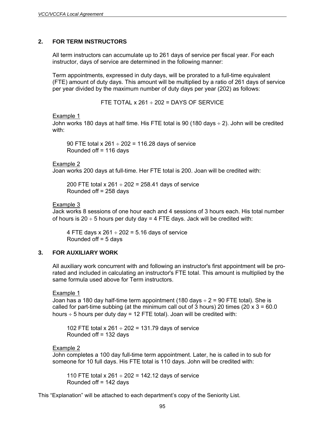### **2. FOR TERM INSTRUCTORS**

 All term instructors can accumulate up to 261 days of service per fiscal year. For each instructor, days of service are determined in the following manner:

Term appointments, expressed in duty days, will be prorated to a full-time equivalent (FTE) amount of duty days. This amount will be multiplied by a ratio of 261 days of service per year divided by the maximum number of duty days per year (202) as follows:

FTE TOTAL  $x$  261  $\div$  202 = DAYS OF SERVICE

Example 1

John works 180 days at half time. His FTE total is 90 (180 days  $\div$  2). John will be credited with:

90 FTE total x  $261 \div 202 = 116.28$  days of service Rounded off = 116 days

#### Example 2

Joan works 200 days at full-time. Her FTE total is 200. Joan will be credited with:

200 FTE total x 261  $\div$  202 = 258.41 days of service Rounded off = 258 days

#### Example 3

 Jack works 8 sessions of one hour each and 4 sessions of 3 hours each. His total number of hours is  $20 \div 5$  hours per duty day = 4 FTE days. Jack will be credited with:

4 FTE days x 261  $\div$  202 = 5.16 days of service Rounded off  $=$  5 days

#### **3. FOR AUXILIARY WORK**

 All auxiliary work concurrent with and following an instructor's first appointment will be prorated and included in calculating an instructor's FTE total. This amount is multiplied by the same formula used above for Term instructors.

Example 1

Joan has a 180 day half-time term appointment (180 days  $\div$  2 = 90 FTE total). She is called for part-time subbing (at the minimum call out of 3 hours) 20 times (20  $\times$  3 = 60.0 hours  $\div$  5 hours per duty day = 12 FTE total). Joan will be credited with:

102 FTE total x  $261 \div 202 = 131.79$  days of service Rounded off = 132 days

Example 2

 John completes a 100 day full-time term appointment. Later, he is called in to sub for someone for 10 full days. His FTE total is 110 days. John will be credited with:

110 FTE total x 261  $\div$  202 = 142.12 days of service Rounded off = 142 days

This "Explanation" will be attached to each department's copy of the Seniority List.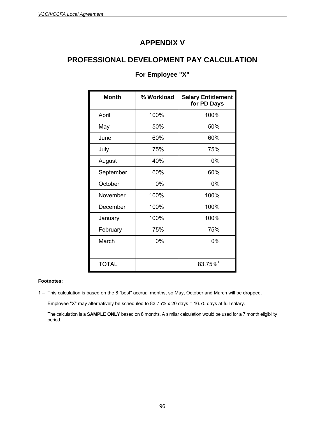# **APPENDIX V**

# **PROFESSIONAL DEVELOPMENT PAY CALCULATION**

| <b>Month</b> | % Workload | <b>Salary Entitlement</b><br>for PD Days |
|--------------|------------|------------------------------------------|
| April        | 100%       | 100%                                     |
| May          | 50%        | 50%                                      |
| June         | 60%        | 60%                                      |
| July         | 75%        | 75%                                      |
| August       | 40%        | 0%                                       |
| September    | 60%        | 60%                                      |
| October      | 0%         | 0%                                       |
| November     | 100%       | 100%                                     |
| December     | 100%       | 100%                                     |
| January      | 100%       | 100%                                     |
| February     | 75%        | 75%                                      |
| March        | 0%         | 0%                                       |
|              |            |                                          |
| <b>TOTAL</b> |            | 83.75%1                                  |

# **For Employee "X"**

#### **Footnotes:**

1 – This calculation is based on the 8 "best" accrual months, so May, October and March will be dropped.

Employee "X" may alternatively be scheduled to 83.75% x 20 days = 16.75 days at full salary.

 The calculation is a **SAMPLE ONLY** based on 8 months. A similar calculation would be used for a 7 month eligibility period.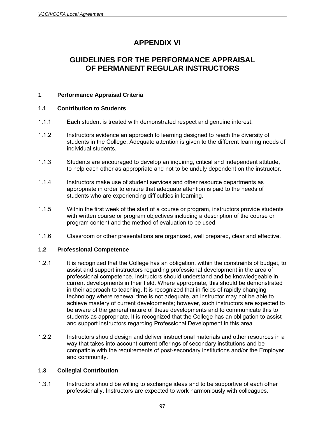# **APPENDIX VI**

# **GUIDELINES FOR THE PERFORMANCE APPRAISAL OF PERMANENT REGULAR INSTRUCTORS**

### **1 Performance Appraisal Criteria**

### **1.1 Contribution to Students**

- 1.1.1 Each student is treated with demonstrated respect and genuine interest.
- 1.1.2 Instructors evidence an approach to learning designed to reach the diversity of students in the College. Adequate attention is given to the different learning needs of individual students.
- 1.1.3 Students are encouraged to develop an inquiring, critical and independent attitude, to help each other as appropriate and not to be unduly dependent on the instructor.
- 1.1.4 Instructors make use of student services and other resource departments as appropriate in order to ensure that adequate attention is paid to the needs of students who are experiencing difficulties in learning.
- 1.1.5 Within the first week of the start of a course or program, instructors provide students with written course or program objectives including a description of the course or program content and the method of evaluation to be used.
- 1.1.6 Classroom or other presentations are organized, well prepared, clear and effective.

### **1.2 Professional Competence**

- 1.2.1 It is recognized that the College has an obligation, within the constraints of budget, to assist and support instructors regarding professional development in the area of professional competence. Instructors should understand and be knowledgeable in current developments in their field. Where appropriate, this should be demonstrated in their approach to teaching. It is recognized that in fields of rapidly changing technology where renewal time is not adequate, an instructor may not be able to achieve mastery of current developments; however, such instructors are expected to be aware of the general nature of these developments and to communicate this to students as appropriate. It is recognized that the College has an obligation to assist and support instructors regarding Professional Development in this area.
- 1.2.2 Instructors should design and deliver instructional materials and other resources in a way that takes into account current offerings of secondary institutions and be compatible with the requirements of post-secondary institutions and/or the Employer and community.

### **1.3 Collegial Contribution**

1.3.1 Instructors should be willing to exchange ideas and to be supportive of each other professionally. Instructors are expected to work harmoniously with colleagues.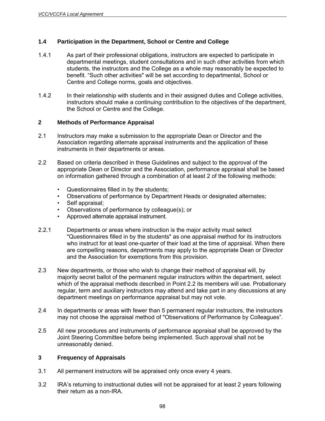### **1.4 Participation in the Department, School or Centre and College**

- 1.4.1 As part of their professional obligations, instructors are expected to participate in departmental meetings, student consultations and in such other activities from which students, the instructors and the College as a whole may reasonably be expected to benefit. "Such other activities" will be set according to departmental, School or Centre and College norms, goals and objectives.
- 1.4.2 In their relationship with students and in their assigned duties and College activities, instructors should make a continuing contribution to the objectives of the department, the School or Centre and the College.

### **2 Methods of Performance Appraisal**

- 2.1 Instructors may make a submission to the appropriate Dean or Director and the Association regarding alternate appraisal instruments and the application of these instruments in their departments or areas.
- 2.2 Based on criteria described in these Guidelines and subject to the approval of the appropriate Dean or Director and the Association, performance appraisal shall be based on information gathered through a combination of at least 2 of the following methods:
	- Questionnaires filled in by the students;
	- Observations of performance by Department Heads or designated alternates;
	- Self appraisal;
	- Observations of performance by colleague(s); or
	- Approved alternate appraisal instrument.
- 2.2.1 Departments or areas where instruction is the major activity must select "Questionnaires filled in by the students" as one appraisal method for its instructors who instruct for at least one-quarter of their load at the time of appraisal. When there are compelling reasons, departments may apply to the appropriate Dean or Director and the Association for exemptions from this provision.
- 2.3 New departments, or those who wish to change their method of appraisal will, by majority secret ballot of the permanent regular instructors within the department, select which of the appraisal methods described in Point 2.2 its members will use. Probationary regular, term and auxiliary instructors may attend and take part in any discussions at any department meetings on performance appraisal but may not vote.
- 2.4 In departments or areas with fewer than 5 permanent regular instructors, the instructors may not choose the appraisal method of "Observations of Performance by Colleagues".
- 2.5 All new procedures and instruments of performance appraisal shall be approved by the Joint Steering Committee before being implemented. Such approval shall not be unreasonably denied.

### **3 Frequency of Appraisals**

- 3.1 All permanent instructors will be appraised only once every 4 years.
- 3.2 IRA's returning to instructional duties will not be appraised for at least 2 years following their return as a non-IRA.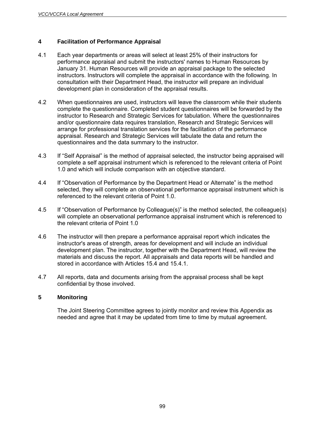### **4 Facilitation of Performance Appraisal**

- 4.1 Each year departments or areas will select at least 25% of their instructors for performance appraisal and submit the instructors' names to Human Resources by January 31. Human Resources will provide an appraisal package to the selected instructors. Instructors will complete the appraisal in accordance with the following. In consultation with their Department Head, the instructor will prepare an individual development plan in consideration of the appraisal results.
- 4.2 When questionnaires are used, instructors will leave the classroom while their students complete the questionnaire. Completed student questionnaires will be forwarded by the instructor to Research and Strategic Services for tabulation. Where the questionnaires and/or questionnaire data requires translation, Research and Strategic Services will arrange for professional translation services for the facilitation of the performance appraisal. Research and Strategic Services will tabulate the data and return the questionnaires and the data summary to the instructor.
- 4.3 If "Self Appraisal" is the method of appraisal selected, the instructor being appraised will complete a self appraisal instrument which is referenced to the relevant criteria of Point 1.0 and which will include comparison with an objective standard.
- 4.4 If "Observation of Performance by the Department Head or Alternate" is the method selected, they will complete an observational performance appraisal instrument which is referenced to the relevant criteria of Point 1.0.
- 4.5 If "Observation of Performance by Colleague(s)" is the method selected, the colleague(s) will complete an observational performance appraisal instrument which is referenced to the relevant criteria of Point 1.0
- 4.6 The instructor will then prepare a performance appraisal report which indicates the instructor's areas of strength, areas for development and will include an individual development plan. The instructor, together with the Department Head, will review the materials and discuss the report. All appraisals and data reports will be handled and stored in accordance with Articles 15.4 and 15.4.1.
- 4.7 All reports, data and documents arising from the appraisal process shall be kept confidential by those involved.

### **5 Monitoring**

 The Joint Steering Committee agrees to jointly monitor and review this Appendix as needed and agree that it may be updated from time to time by mutual agreement.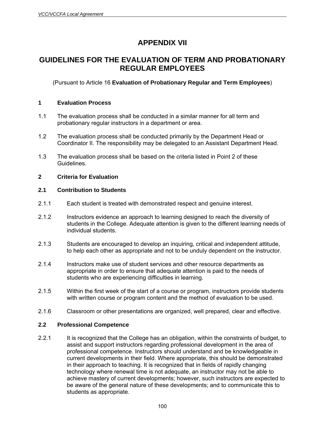# **APPENDIX VII**

# **GUIDELINES FOR THE EVALUATION OF TERM AND PROBATIONARY REGULAR EMPLOYEES**

(Pursuant to Article 16 **Evaluation of Probationary Regular and Term Employees**)

### **1 Evaluation Process**

- 1.1 The evaluation process shall be conducted in a similar manner for all term and probationary regular instructors in a department or area.
- 1.2 The evaluation process shall be conducted primarily by the Department Head or Coordinator II. The responsibility may be delegated to an Assistant Department Head.
- 1.3 The evaluation process shall be based on the criteria listed in Point 2 of these Guidelines.

### **2 Criteria for Evaluation**

### **2.1 Contribution to Students**

- 2.1.1 Each student is treated with demonstrated respect and genuine interest.
- 2.1.2 Instructors evidence an approach to learning designed to reach the diversity of students in the College. Adequate attention is given to the different learning needs of individual students.
- 2.1.3 Students are encouraged to develop an inquiring, critical and independent attitude, to help each other as appropriate and not to be unduly dependent on the instructor.
- 2.1.4 Instructors make use of student services and other resource departments as appropriate in order to ensure that adequate attention is paid to the needs of students who are experiencing difficulties in learning.
- 2.1.5 Within the first week of the start of a course or program, instructors provide students with written course or program content and the method of evaluation to be used.
- 2.1.6 Classroom or other presentations are organized, well prepared, clear and effective.

### **2.2 Professional Competence**

2.2.1 It is recognized that the College has an obligation, within the constraints of budget, to assist and support instructors regarding professional development in the area of professional competence. Instructors should understand and be knowledgeable in current developments in their field. Where appropriate, this should be demonstrated in their approach to teaching. It is recognized that in fields of rapidly changing technology where renewal time is not adequate, an instructor may not be able to achieve mastery of current developments; however, such instructors are expected to be aware of the general nature of these developments; and to communicate this to students as appropriate.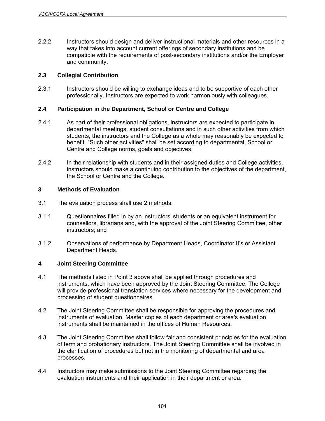2.2.2 Instructors should design and deliver instructional materials and other resources in a way that takes into account current offerings of secondary institutions and be compatible with the requirements of post-secondary institutions and/or the Employer and community.

#### **2.3 Collegial Contribution**

2.3.1 Instructors should be willing to exchange ideas and to be supportive of each other professionally. Instructors are expected to work harmoniously with colleagues.

#### **2.4 Participation in the Department, School or Centre and College**

- 2.4.1 As part of their professional obligations, instructors are expected to participate in departmental meetings, student consultations and in such other activities from which students, the instructors and the College as a whole may reasonably be expected to benefit. "Such other activities" shall be set according to departmental, School or Centre and College norms, goals and objectives.
- 2.4.2 In their relationship with students and in their assigned duties and College activities, instructors should make a continuing contribution to the objectives of the department, the School or Centre and the College.

#### **3 Methods of Evaluation**

- 3.1 The evaluation process shall use 2 methods:
- 3.1.1 Questionnaires filled in by an instructors' students or an equivalent instrument for counsellors, librarians and, with the approval of the Joint Steering Committee, other instructors; and
- 3.1.2 Observations of performance by Department Heads, Coordinator II's or Assistant Department Heads.

#### **4 Joint Steering Committee**

- 4.1 The methods listed in Point 3 above shall be applied through procedures and instruments, which have been approved by the Joint Steering Committee. The College will provide professional translation services where necessary for the development and processing of student questionnaires.
- 4.2 The Joint Steering Committee shall be responsible for approving the procedures and instruments of evaluation. Master copies of each department or area's evaluation instruments shall be maintained in the offices of Human Resources.
- 4.3 The Joint Steering Committee shall follow fair and consistent principles for the evaluation of term and probationary instructors. The Joint Steering Committee shall be involved in the clarification of procedures but not in the monitoring of departmental and area processes.
- 4.4 Instructors may make submissions to the Joint Steering Committee regarding the evaluation instruments and their application in their department or area.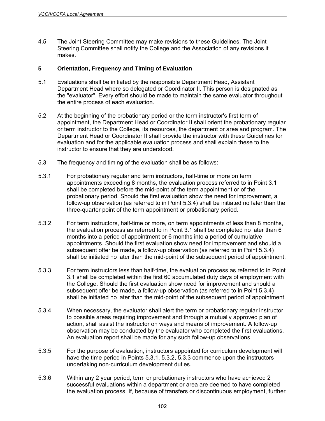4.5 The Joint Steering Committee may make revisions to these Guidelines. The Joint Steering Committee shall notify the College and the Association of any revisions it makes.

#### **5 Orientation, Frequency and Timing of Evaluation**

- 5.1 Evaluations shall be initiated by the responsible Department Head, Assistant Department Head where so delegated or Coordinator II. This person is designated as the "evaluator". Every effort should be made to maintain the same evaluator throughout the entire process of each evaluation.
- 5.2 At the beginning of the probationary period or the term instructor's first term of appointment, the Department Head or Coordinator II shall orient the probationary regular or term instructor to the College, its resources, the department or area and program. The Department Head or Coordinator II shall provide the instructor with these Guidelines for evaluation and for the applicable evaluation process and shall explain these to the instructor to ensure that they are understood.
- 5.3 The frequency and timing of the evaluation shall be as follows:
- 5.3.1 For probationary regular and term instructors, half-time or more on term appointments exceeding 8 months, the evaluation process referred to in Point 3.1 shall be completed before the mid-point of the term appointment or of the probationary period. Should the first evaluation show the need for improvement, a follow-up observation (as referred to in Point 5.3.4) shall be initiated no later than the three-quarter point of the term appointment or probationary period.
- 5.3.2 For term instructors, half-time or more, on term appointments of less than 8 months, the evaluation process as referred to in Point 3.1 shall be completed no later than 6 months into a period of appointment or 6 months into a period of cumulative appointments. Should the first evaluation show need for improvement and should a subsequent offer be made, a follow-up observation (as referred to in Point 5.3.4) shall be initiated no later than the mid-point of the subsequent period of appointment.
- 5.3.3 For term instructors less than half-time, the evaluation process as referred to in Point 3.1 shall be completed within the first 60 accumulated duty days of employment with the College. Should the first evaluation show need for improvement and should a subsequent offer be made, a follow-up observation (as referred to in Point 5.3.4) shall be initiated no later than the mid-point of the subsequent period of appointment.
- 5.3.4 When necessary, the evaluator shall alert the term or probationary regular instructor to possible areas requiring improvement and through a mutually approved plan of action, shall assist the instructor on ways and means of improvement. A follow-up observation may be conducted by the evaluator who completed the first evaluations. An evaluation report shall be made for any such follow-up observations.
- 5.3.5 For the purpose of evaluation, instructors appointed for curriculum development will have the time period in Points 5.3.1, 5.3.2, 5.3.3 commence upon the instructors undertaking non-curriculum development duties.
- 5.3.6 Within any 2 year period, term or probationary instructors who have achieved 2 successful evaluations within a department or area are deemed to have completed the evaluation process. If, because of transfers or discontinuous employment, further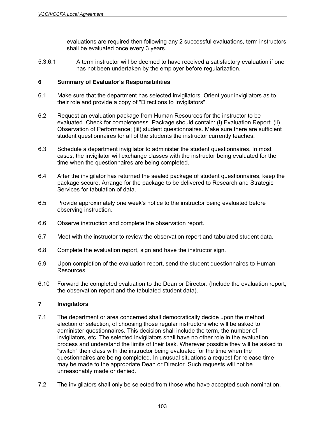evaluations are required then following any 2 successful evaluations, term instructors shall be evaluated once every 3 years.

5.3.6.1 A term instructor will be deemed to have received a satisfactory evaluation if one has not been undertaken by the employer before regularization.

#### **6 Summary of Evaluator's Responsibilities**

- 6.1 Make sure that the department has selected invigilators. Orient your invigilators as to their role and provide a copy of "Directions to Invigilators".
- 6.2 Request an evaluation package from Human Resources for the instructor to be evaluated. Check for completeness. Package should contain: (i) Evaluation Report; (ii) Observation of Performance; (iii) student questionnaires. Make sure there are sufficient student questionnaires for all of the students the instructor currently teaches.
- 6.3 Schedule a department invigilator to administer the student questionnaires. In most cases, the invigilator will exchange classes with the instructor being evaluated for the time when the questionnaires are being completed.
- 6.4 After the invigilator has returned the sealed package of student questionnaires, keep the package secure. Arrange for the package to be delivered to Research and Strategic Services for tabulation of data.
- 6.5 Provide approximately one week's notice to the instructor being evaluated before observing instruction.
- 6.6 Observe instruction and complete the observation report.
- 6.7 Meet with the instructor to review the observation report and tabulated student data.
- 6.8 Complete the evaluation report, sign and have the instructor sign.
- 6.9 Upon completion of the evaluation report, send the student questionnaires to Human Resources.
- 6.10 Forward the completed evaluation to the Dean or Director. (Include the evaluation report, the observation report and the tabulated student data).

#### **7 Invigilators**

- 7.1 The department or area concerned shall democratically decide upon the method, election or selection, of choosing those regular instructors who will be asked to administer questionnaires. This decision shall include the term, the number of invigilators, etc. The selected invigilators shall have no other role in the evaluation process and understand the limits of their task. Wherever possible they will be asked to "switch" their class with the instructor being evaluated for the time when the questionnaires are being completed. In unusual situations a request for release time may be made to the appropriate Dean or Director. Such requests will not be unreasonably made or denied.
- 7.2 The invigilators shall only be selected from those who have accepted such nomination.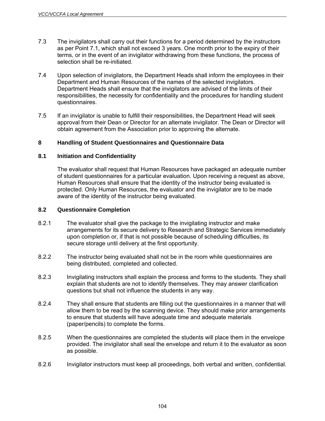- 7.3 The invigilators shall carry out their functions for a period determined by the instructors as per Point 7.1, which shall not exceed 3 years. One month prior to the expiry of their terms, or in the event of an invigilator withdrawing from these functions, the process of selection shall be re-initiated.
- 7.4 Upon selection of invigilators, the Department Heads shall inform the employees in their Department and Human Resources of the names of the selected invigilators. Department Heads shall ensure that the invigilators are advised of the limits of their responsibilities, the necessity for confidentiality and the procedures for handling student questionnaires.
- 7.5 If an invigilator is unable to fulfill their responsibilities, the Department Head will seek approval from their Dean or Director for an alternate invigilator. The Dean or Director will obtain agreement from the Association prior to approving the alternate.

#### **8 Handling of Student Questionnaires and Questionnaire Data**

#### **8.1 Initiation and Confidentiality**

 The evaluator shall request that Human Resources have packaged an adequate number of student questionnaires for a particular evaluation. Upon receiving a request as above, Human Resources shall ensure that the identity of the instructor being evaluated is protected. Only Human Resources, the evaluator and the invigilator are to be made aware of the identity of the instructor being evaluated.

#### **8.2 Questionnaire Completion**

- 8.2.1 The evaluator shall give the package to the invigilating instructor and make arrangements for its secure delivery to Research and Strategic Services immediately upon completion or, if that is not possible because of scheduling difficulties, its secure storage until delivery at the first opportunity.
- 8.2.2 The instructor being evaluated shall not be in the room while questionnaires are being distributed, completed and collected.
- 8.2.3 Invigilating instructors shall explain the process and forms to the students. They shall explain that students are not to identify themselves. They may answer clarification questions but shall not influence the students in any way.
- 8.2.4 They shall ensure that students are filling out the questionnaires in a manner that will allow them to be read by the scanning device. They should make prior arrangements to ensure that students will have adequate time and adequate materials (paper/pencils) to complete the forms.
- 8.2.5 When the questionnaires are completed the students will place them in the envelope provided. The invigilator shall seal the envelope and return it to the evaluator as soon as possible.
- 8.2.6 Invigilator instructors must keep all proceedings, both verbal and written, confidential.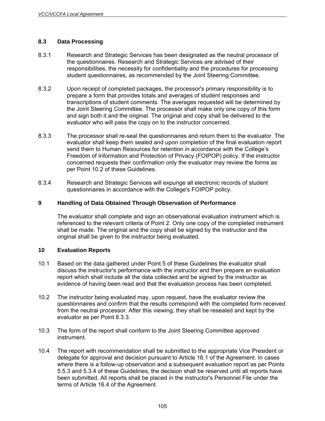#### **8.3 Data Processing**

- 8.3.1 Research and Strategic Services has been designated as the neutral processor of the questionnaires. Research and Strategic Services are advised of their responsibilities, the necessity for confidentiality and the procedures for processing student questionnaires, as recommended by the Joint Steering Committee.
- 8.3.2 Upon receipt of completed packages, the processor's primary responsibility is to prepare a form that provides totals and averages of student responses and transcriptions of student comments. The averages requested will be determined by the Joint Steering Committee. The processor shall make only one copy of this form and sign both it and the original. The original and copy shall be delivered to the evaluator who will pass the copy on to the instructor concerned.
- 8.3.3 The processor shall re-seal the questionnaires and return them to the evaluator. The evaluator shall keep them sealed and upon completion of the final evaluation report send them to Human Resources for retention in accordance with the College's Freedom of Information and Protection of Privacy (FOIPOP) policy. If the instructor concerned requests their confirmation only the evaluator may review the forms as per Point 10.2 of these Guidelines.
- 8.3.4 Research and Strategic Services will expunge all electronic records of student questionnaires in accordance with the College's FOIPOP policy.

#### **9 Handling of Data Obtained Through Observation of Performance**

The evaluator shall complete and sign an observational evaluation instrument which is referenced to the relevant criteria of Point 2. Only one copy of the completed instrument shall be made. The original and the copy shall be signed by the instructor and the original shall be given to the instructor being evaluated.

#### **10 Evaluation Reports**

- 10.1 Based on the data gathered under Point 5 of these Guidelines the evaluator shall discuss the instructor's performance with the instructor and then prepare an evaluation report which shall include all the data collected and be signed by the instructor as evidence of having been read and that the evaluation process has been completed.
- 10.2 The instructor being evaluated may, upon request, have the evaluator review the questionnaires and confirm that the results correspond with the completed form received from the neutral processor. After this viewing, they shall be resealed and kept by the evaluator as per Point 8.3.3.
- 10.3 The form of the report shall conform to the Joint Steering Committee approved instrument.
- 10.4 The report with recommendation shall be submitted to the appropriate Vice President or delegate for approval and decision pursuant to Article 16.1 of the Agreement. In cases where there is a follow-up observation and a subsequent evaluation report as per Points 5.5.3 and 5.3.4 of these Guidelines, the decision shall be reserved until all reports have been submitted. All reports shall be placed in the instructor's Personnel File under the terms of Article 16.4 of the Agreement.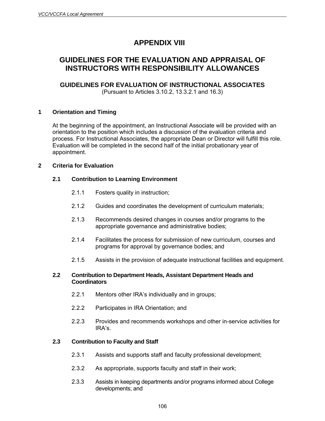## **APPENDIX VIII**

### **GUIDELINES FOR THE EVALUATION AND APPRAISAL OF INSTRUCTORS WITH RESPONSIBILITY ALLOWANCES**

#### **GUIDELINES FOR EVALUATION OF INSTRUCTIONAL ASSOCIATES**  (Pursuant to Articles 3.10.2, 13.3.2.1 and 16.3)

#### **1 Orientation and Timing**

At the beginning of the appointment, an Instructional Associate will be provided with an orientation to the position which includes a discussion of the evaluation criteria and process. For Instructional Associates, the appropriate Dean or Director will fulfill this role. Evaluation will be completed in the second half of the initial probationary year of appointment.

#### **2 Criteria for Evaluation**

### **2.1 Contribution to Learning Environment**

- 2.1.1 Fosters quality in instruction;
- 2.1.2 Guides and coordinates the development of curriculum materials;
- 2.1.3 Recommends desired changes in courses and/or programs to the appropriate governance and administrative bodies;
- 2.1.4 Facilitates the process for submission of new curriculum, courses and programs for approval by governance bodies; and
- 2.1.5 Assists in the provision of adequate instructional facilities and equipment.

#### **2.2 Contribution to Department Heads, Assistant Department Heads and Coordinators**

- 2.2.1 Mentors other IRA's individually and in groups;
- 2.2.2 Participates in IRA Orientation; and
- 2.2.3 Provides and recommends workshops and other in-service activities for IRA's.

#### **2.3 Contribution to Faculty and Staff**

- 2.3.1 Assists and supports staff and faculty professional development;
- 2.3.2 As appropriate, supports faculty and staff in their work;
- 2.3.3 Assists in keeping departments and/or programs informed about College developments; and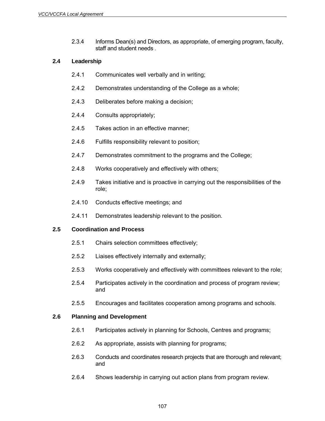2.3.4 Informs Dean(s) and Directors, as appropriate, of emerging program, faculty, staff and student needs .

#### **2.4 Leadership**

- 2.4.1 Communicates well verbally and in writing;
- 2.4.2 Demonstrates understanding of the College as a whole;
- 2.4.3 Deliberates before making a decision;
- 2.4.4 Consults appropriately;
- 2.4.5 Takes action in an effective manner;
- 2.4.6 Fulfills responsibility relevant to position;
- 2.4.7 Demonstrates commitment to the programs and the College;
- 2.4.8 Works cooperatively and effectively with others;
- 2.4.9 Takes initiative and is proactive in carrying out the responsibilities of the role;
- 2.4.10 Conducts effective meetings; and
- 2.4.11 Demonstrates leadership relevant to the position.

#### **2.5 Coordination and Process**

- 2.5.1 Chairs selection committees effectively;
- 2.5.2 Liaises effectively internally and externally;
- 2.5.3 Works cooperatively and effectively with committees relevant to the role;
- 2.5.4 Participates actively in the coordination and process of program review; and
- 2.5.5 Encourages and facilitates cooperation among programs and schools.

#### **2.6 Planning and Development**

- 2.6.1 Participates actively in planning for Schools, Centres and programs;
- 2.6.2 As appropriate, assists with planning for programs;
- 2.6.3 Conducts and coordinates research projects that are thorough and relevant; and
- 2.6.4 Shows leadership in carrying out action plans from program review.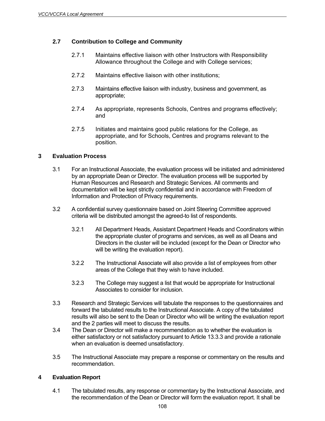#### **2.7 Contribution to College and Community**

- 2.7.1 Maintains effective liaison with other Instructors with Responsibility Allowance throughout the College and with College services;
- 2.7.2 Maintains effective liaison with other institutions;
- 2.7.3 Maintains effective liaison with industry, business and government, as appropriate;
- 2.7.4 As appropriate, represents Schools, Centres and programs effectively; and
- 2.7.5 Initiates and maintains good public relations for the College, as appropriate, and for Schools, Centres and programs relevant to the position.

#### **3 Evaluation Process**

- 3.1 For an Instructional Associate, the evaluation process will be initiated and administered by an appropriate Dean or Director. The evaluation process will be supported by Human Resources and Research and Strategic Services. All comments and documentation will be kept strictly confidential and in accordance with Freedom of Information and Protection of Privacy requirements.
- 3.2 A confidential survey questionnaire based on Joint Steering Committee approved criteria will be distributed amongst the agreed-to list of respondents.
	- 3.2.1 All Department Heads, Assistant Department Heads and Coordinators within the appropriate cluster of programs and services, as well as all Deans and Directors in the cluster will be included (except for the Dean or Director who will be writing the evaluation report).
	- 3.2.2 The Instructional Associate will also provide a list of employees from other areas of the College that they wish to have included.
	- 3.2.3 The College may suggest a list that would be appropriate for Instructional Associates to consider for inclusion.
- 3.3 Research and Strategic Services will tabulate the responses to the questionnaires and forward the tabulated results to the Instructional Associate. A copy of the tabulated results will also be sent to the Dean or Director who will be writing the evaluation report and the 2 parties will meet to discuss the results.
- 3.4 The Dean or Director will make a recommendation as to whether the evaluation is either satisfactory or not satisfactory pursuant to Article 13.3.3 and provide a rationale when an evaluation is deemed unsatisfactory.
- 3.5 The Instructional Associate may prepare a response or commentary on the results and recommendation.

#### **4 Evaluation Report**

 4.1 The tabulated results, any response or commentary by the Instructional Associate, and the recommendation of the Dean or Director will form the evaluation report. It shall be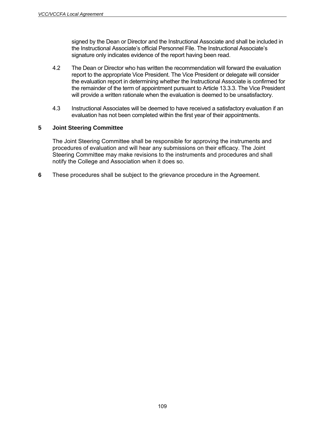signed by the Dean or Director and the Instructional Associate and shall be included in the Instructional Associate's official Personnel File. The Instructional Associate's signature only indicates evidence of the report having been read.

- 4.2 The Dean or Director who has written the recommendation will forward the evaluation report to the appropriate Vice President. The Vice President or delegate will consider the evaluation report in determining whether the Instructional Associate is confirmed for the remainder of the term of appointment pursuant to Article 13.3.3. The Vice President will provide a written rationale when the evaluation is deemed to be unsatisfactory.
- 4.3 Instructional Associates will be deemed to have received a satisfactory evaluation if an evaluation has not been completed within the first year of their appointments.

#### **5 Joint Steering Committee**

The Joint Steering Committee shall be responsible for approving the instruments and procedures of evaluation and will hear any submissions on their efficacy. The Joint Steering Committee may make revisions to the instruments and procedures and shall notify the College and Association when it does so.

**6** These procedures shall be subject to the grievance procedure in the Agreement.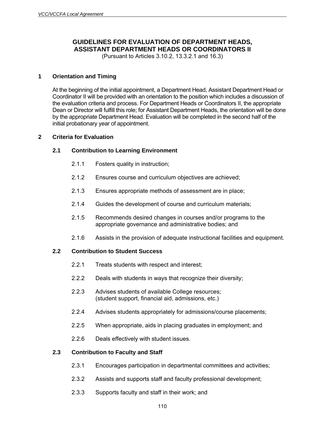### **GUIDELINES FOR EVALUATION OF DEPARTMENT HEADS, ASSISTANT DEPARTMENT HEADS OR COORDINATORS II**

(Pursuant to Articles 3.10.2, 13.3.2.1 and 16.3)

#### **1 Orientation and Timing**

At the beginning of the initial appointment, a Department Head, Assistant Department Head or Coordinator II will be provided with an orientation to the position which includes a discussion of the evaluation criteria and process. For Department Heads or Coordinators II, the appropriate Dean or Director will fulfill this role; for Assistant Department Heads, the orientation will be done by the appropriate Department Head. Evaluation will be completed in the second half of the initial probationary year of appointment.

#### **2 Criteria for Evaluation**

#### **2.1 Contribution to Learning Environment**

- 2.1.1 Fosters quality in instruction;
- 2.1.2 Ensures course and curriculum objectives are achieved;
- 2.1.3 Ensures appropriate methods of assessment are in place;
- 2.1.4 Guides the development of course and curriculum materials;
- 2.1.5 Recommends desired changes in courses and/or programs to the appropriate governance and administrative bodies; and
- 2.1.6 Assists in the provision of adequate instructional facilities and equipment.

#### **2.2 Contribution to Student Success**

- 2.2.1 Treats students with respect and interest;
- 2.2.2 Deals with students in ways that recognize their diversity;
- 2.2.3 Advises students of available College resources; (student support, financial aid, admissions, etc.)
- 2.2.4 Advises students appropriately for admissions/course placements;
- 2.2.5 When appropriate, aids in placing graduates in employment; and
- 2.2.6 Deals effectively with student issues.

#### **2.3 Contribution to Faculty and Staff**

- 2.3.1 Encourages participation in departmental committees and activities;
- 2.3.2 Assists and supports staff and faculty professional development;
- 2.3.3 Supports faculty and staff in their work; and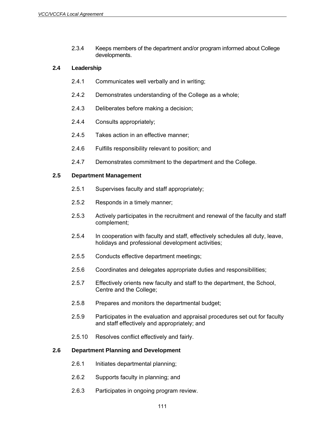2.3.4 Keeps members of the department and/or program informed about College developments.

#### **2.4 Leadership**

- 2.4.1 Communicates well verbally and in writing;
- 2.4.2 Demonstrates understanding of the College as a whole;
- 2.4.3 Deliberates before making a decision;
- 2.4.4 Consults appropriately;
- 2.4.5 Takes action in an effective manner;
- 2.4.6 Fulfills responsibility relevant to position; and
- 2.4.7 Demonstrates commitment to the department and the College.

#### **2.5 Department Management**

- 2.5.1 Supervises faculty and staff appropriately;
- 2.5.2 Responds in a timely manner;
- 2.5.3 Actively participates in the recruitment and renewal of the faculty and staff complement;
- 2.5.4 In cooperation with faculty and staff, effectively schedules all duty, leave, holidays and professional development activities;
- 2.5.5 Conducts effective department meetings;
- 2.5.6 Coordinates and delegates appropriate duties and responsibilities;
- 2.5.7 Effectively orients new faculty and staff to the department, the School, Centre and the College;
- 2.5.8 Prepares and monitors the departmental budget;
- 2.5.9 Participates in the evaluation and appraisal procedures set out for faculty and staff effectively and appropriately; and
- 2.5.10 Resolves conflict effectively and fairly.

#### **2.6 Department Planning and Development**

- 2.6.1 Initiates departmental planning;
- 2.6.2 Supports faculty in planning; and
- 2.6.3 Participates in ongoing program review.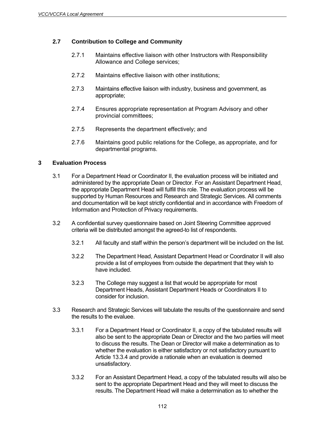#### **2.7 Contribution to College and Community**

- 2.7.1 Maintains effective liaison with other Instructors with Responsibility Allowance and College services;
- 2.7.2 Maintains effective liaison with other institutions;
- 2.7.3 Maintains effective liaison with industry, business and government, as appropriate;
- 2.7.4 Ensures appropriate representation at Program Advisory and other provincial committees;
- 2.7.5 Represents the department effectively; and
- 2.7.6 Maintains good public relations for the College, as appropriate, and for departmental programs.

#### **3 Evaluation Process**

- 3.1 For a Department Head or Coordinator II, the evaluation process will be initiated and administered by the appropriate Dean or Director. For an Assistant Department Head, the appropriate Department Head will fulfill this role. The evaluation process will be supported by Human Resources and Research and Strategic Services. All comments and documentation will be kept strictly confidential and in accordance with Freedom of Information and Protection of Privacy requirements.
- 3.2 A confidential survey questionnaire based on Joint Steering Committee approved criteria will be distributed amongst the agreed-to list of respondents.
	- 3.2.1 All faculty and staff within the person's department will be included on the list.
	- 3.2.2 The Department Head, Assistant Department Head or Coordinator II will also provide a list of employees from outside the department that they wish to have included.
	- 3.2.3 The College may suggest a list that would be appropriate for most Department Heads, Assistant Department Heads or Coordinators II to consider for inclusion.
- 3.3 Research and Strategic Services will tabulate the results of the questionnaire and send the results to the evaluee.
	- 3.3.1 For a Department Head or Coordinator II, a copy of the tabulated results will also be sent to the appropriate Dean or Director and the two parties will meet to discuss the results. The Dean or Director will make a determination as to whether the evaluation is either satisfactory or not satisfactory pursuant to Article 13.3.4 and provide a rationale when an evaluation is deemed unsatisfactory.
	- 3.3.2 For an Assistant Department Head, a copy of the tabulated results will also be sent to the appropriate Department Head and they will meet to discuss the results. The Department Head will make a determination as to whether the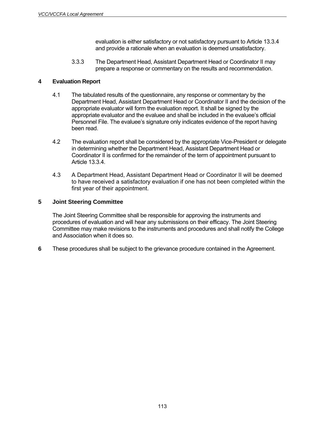evaluation is either satisfactory or not satisfactory pursuant to Article 13.3.4 and provide a rationale when an evaluation is deemed unsatisfactory.

 3.3.3 The Department Head, Assistant Department Head or Coordinator II may prepare a response or commentary on the results and recommendation.

### **4 Evaluation Report**

- 4.1 The tabulated results of the questionnaire, any response or commentary by the Department Head, Assistant Department Head or Coordinator II and the decision of the appropriate evaluator will form the evaluation report. It shall be signed by the appropriate evaluator and the evaluee and shall be included in the evaluee's official Personnel File. The evaluee's signature only indicates evidence of the report having been read.
- 4.2 The evaluation report shall be considered by the appropriate Vice-President or delegate in determining whether the Department Head, Assistant Department Head or Coordinator II is confirmed for the remainder of the term of appointment pursuant to Article 13.3.4.
- 4.3 A Department Head, Assistant Department Head or Coordinator II will be deemed to have received a satisfactory evaluation if one has not been completed within the first year of their appointment.

### **5 Joint Steering Committee**

The Joint Steering Committee shall be responsible for approving the instruments and procedures of evaluation and will hear any submissions on their efficacy. The Joint Steering Committee may make revisions to the instruments and procedures and shall notify the College and Association when it does so.

**6** These procedures shall be subject to the grievance procedure contained in the Agreement.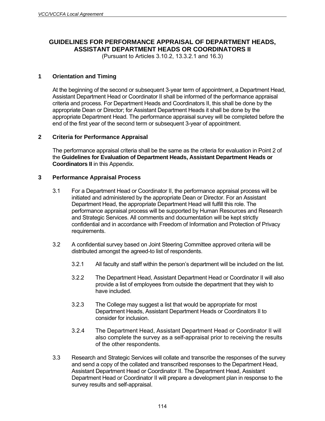### **GUIDELINES FOR PERFORMANCE APPRAISAL OF DEPARTMENT HEADS, ASSISTANT DEPARTMENT HEADS OR COORDINATORS II**

(Pursuant to Articles 3.10.2, 13.3.2.1 and 16.3)

#### **1 Orientation and Timing**

 At the beginning of the second or subsequent 3-year term of appointment, a Department Head, Assistant Department Head or Coordinator II shall be informed of the performance appraisal criteria and process. For Department Heads and Coordinators II, this shall be done by the appropriate Dean or Director; for Assistant Department Heads it shall be done by the appropriate Department Head. The performance appraisal survey will be completed before the end of the first year of the second term or subsequent 3-year of appointment.

#### **2 Criteria for Performance Appraisal**

 The performance appraisal criteria shall be the same as the criteria for evaluation in Point 2 of the **Guidelines for Evaluation of Department Heads, Assistant Department Heads or Coordinators II** in this Appendix.

#### **3 Performance Appraisal Process**

- 3.1 For a Department Head or Coordinator II, the performance appraisal process will be initiated and administered by the appropriate Dean or Director. For an Assistant Department Head, the appropriate Department Head will fulfill this role. The performance appraisal process will be supported by Human Resources and Research and Strategic Services. All comments and documentation will be kept strictly confidential and in accordance with Freedom of Information and Protection of Privacy requirements.
- 3.2 A confidential survey based on Joint Steering Committee approved criteria will be distributed amongst the agreed-to list of respondents.
	- 3.2.1 All faculty and staff within the person's department will be included on the list.
	- 3.2.2 The Department Head, Assistant Department Head or Coordinator II will also provide a list of employees from outside the department that they wish to have included.
	- 3.2.3 The College may suggest a list that would be appropriate for most Department Heads, Assistant Department Heads or Coordinators II to consider for inclusion.
	- 3.2.4 The Department Head, Assistant Department Head or Coordinator II will also complete the survey as a self-appraisal prior to receiving the results of the other respondents.
- 3.3 Research and Strategic Services will collate and transcribe the responses of the survey and send a copy of the collated and transcribed responses to the Department Head, Assistant Department Head or Coordinator II. The Department Head, Assistant Department Head or Coordinator II will prepare a development plan in response to the survey results and self-appraisal.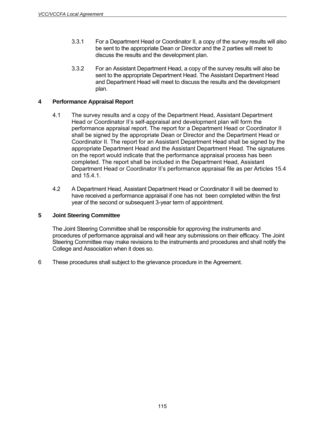- 3.3.1 For a Department Head or Coordinator II, a copy of the survey results will also be sent to the appropriate Dean or Director and the 2 parties will meet to discuss the results and the development plan.
- 3.3.2 For an Assistant Department Head, a copy of the survey results will also be sent to the appropriate Department Head. The Assistant Department Head and Department Head will meet to discuss the results and the development plan.

### **4 Performance Appraisal Report**

- 4.1 The survey results and a copy of the Department Head, Assistant Department Head or Coordinator II's self-appraisal and development plan will form the performance appraisal report. The report for a Department Head or Coordinator II shall be signed by the appropriate Dean or Director and the Department Head or Coordinator II. The report for an Assistant Department Head shall be signed by the appropriate Department Head and the Assistant Department Head. The signatures on the report would indicate that the performance appraisal process has been completed. The report shall be included in the Department Head, Assistant Department Head or Coordinator II's performance appraisal file as per Articles 15.4 and 15.4.1.
- 4.2 A Department Head, Assistant Department Head or Coordinator II will be deemed to have received a performance appraisal if one has not been completed within the first year of the second or subsequent 3-year term of appointment.

#### **5 Joint Steering Committee**

The Joint Steering Committee shall be responsible for approving the instruments and procedures of performance appraisal and will hear any submissions on their efficacy. The Joint Steering Committee may make revisions to the instruments and procedures and shall notify the College and Association when it does so.

6 These procedures shall subject to the grievance procedure in the Agreement.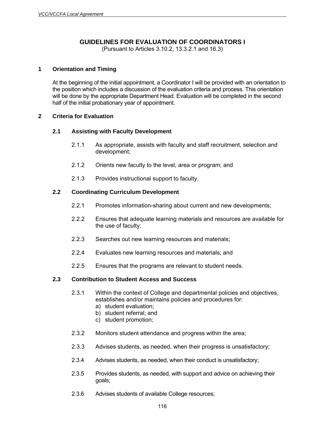### **GUIDELINES FOR EVALUATION OF COORDINATORS I**

(Pursuant to Articles 3.10.2, 13.3.2.1 and 16.3)

#### **1 Orientation and Timing**

At the beginning of the initial appointment, a Coordinator I will be provided with an orientation to the position which includes a discussion of the evaluation criteria and process. This orientation will be done by the appropriate Department Head. Evaluation will be completed in the second half of the initial probationary year of appointment.

#### **2 Criteria for Evaluation**

#### **2.1 Assisting with Faculty Development**

- 2.1.1 As appropriate, assists with faculty and staff recruitment, selection and development;
- 2.1.2 Orients new faculty to the level, area or program; and
- 2.1.3 Provides instructional support to faculty.

#### **2.2 Coordinating Curriculum Development**

- 2.2.1 Promotes information-sharing about current and new developments;
- 2.2.2 Ensures that adequate learning materials and resources are available for the use of faculty;
- 2.2.3 Searches out new learning resources and materials;
- 2.2.4 Evaluates new learning resources and materials; and
- 2.2.5 Ensures that the programs are relevant to student needs.

#### **2.3 Contribution to Student Access and Success**

- 2.3.1 Within the context of College and departmental policies and objectives, establishes and/or maintains policies and procedures for:
	- a) student evaluation;
	- b) student referral; and
	- c) student promotion;
- 2.3.2 Monitors student attendance and progress within the area;
- 2.3.3 Advises students, as needed, when their progress is unsatisfactory;
- 2.3.4 Advises students, as needed, when their conduct is unsatisfactory;
- 2.3.5 Provides students, as needed, with support and advice on achieving their goals;
- 2.3.6 Advises students of available College resources;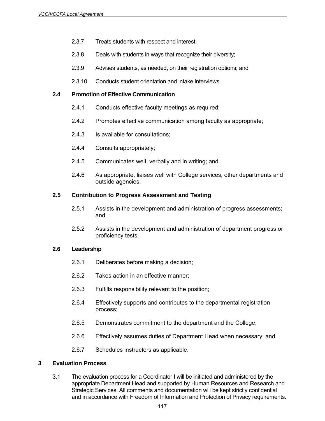- 2.3.7 Treats students with respect and interest;
- 2.3.8 Deals with students in ways that recognize their diversity;
- 2.3.9 Advises students, as needed, on their registration options; and
- 2.3.10 Conducts student orientation and intake interviews.

#### **2.4 Promotion of Effective Communication**

- 2.4.1 Conducts effective faculty meetings as required;
- 2.4.2 Promotes effective communication among faculty as appropriate;
- 2.4.3 Is available for consultations;
- 2.4.4 Consults appropriately;
- 2.4.5 Communicates well, verbally and in writing; and
- 2.4.6 As appropriate, liaises well with College services, other departments and outside agencies.

#### **2.5 Contribution to Progress Assessment and Testing**

- 2.5.1 Assists in the development and administration of progress assessments; and
- 2.5.2 Assists in the development and administration of department progress or proficiency tests.

#### **2.6 Leadership**

- 2.6.1 Deliberates before making a decision;
- 2.6.2 Takes action in an effective manner;
- 2.6.3 Fulfills responsibility relevant to the position;
- 2.6.4 Effectively supports and contributes to the departmental registration process;
- 2.6.5 Demonstrates commitment to the department and the College;
- 2.6.6 Effectively assumes duties of Department Head when necessary; and
- 2.6.7 Schedules instructors as applicable.

#### **3 Evaluation Process**

 3.1 The evaluation process for a Coordinator I will be initiated and administered by the appropriate Department Head and supported by Human Resources and Research and Strategic Services. All comments and documentation will be kept strictly confidential and in accordance with Freedom of Information and Protection of Privacy requirements.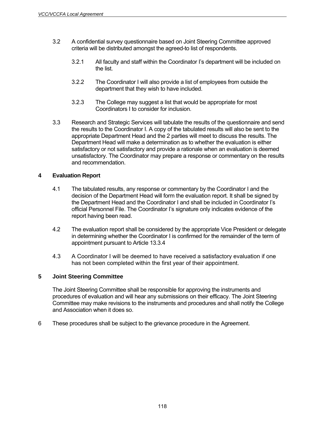- 3.2 A confidential survey questionnaire based on Joint Steering Committee approved criteria will be distributed amongst the agreed-to list of respondents.
	- 3.2.1 All faculty and staff within the Coordinator I's department will be included on the list.
	- 3.2.2 The Coordinator I will also provide a list of employees from outside the department that they wish to have included.
	- 3.2.3 The College may suggest a list that would be appropriate for most Coordinators I to consider for inclusion.
- 3.3 Research and Strategic Services will tabulate the results of the questionnaire and send the results to the Coordinator I. A copy of the tabulated results will also be sent to the appropriate Department Head and the 2 parties will meet to discuss the results. The Department Head will make a determination as to whether the evaluation is either satisfactory or not satisfactory and provide a rationale when an evaluation is deemed unsatisfactory. The Coordinator may prepare a response or commentary on the results and recommendation.

#### **4 Evaluation Report**

- 4.1 The tabulated results, any response or commentary by the Coordinator I and the decision of the Department Head will form the evaluation report. It shall be signed by the Department Head and the Coordinator I and shall be included in Coordinator I's official Personnel File. The Coordinator I's signature only indicates evidence of the report having been read.
- 4.2 The evaluation report shall be considered by the appropriate Vice President or delegate in determining whether the Coordinator I is confirmed for the remainder of the term of appointment pursuant to Article 13.3.4
- 4.3 A Coordinator I will be deemed to have received a satisfactory evaluation if one has not been completed within the first year of their appointment.

#### **5 Joint Steering Committee**

The Joint Steering Committee shall be responsible for approving the instruments and procedures of evaluation and will hear any submissions on their efficacy. The Joint Steering Committee may make revisions to the instruments and procedures and shall notify the College and Association when it does so.

6 These procedures shall be subject to the grievance procedure in the Agreement.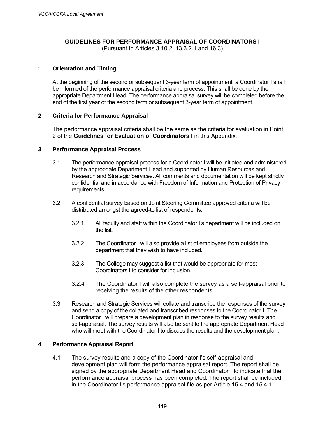### **GUIDELINES FOR PERFORMANCE APPRAISAL OF COORDINATORS I**

(Pursuant to Articles 3.10.2, 13.3.2.1 and 16.3)

### **1 Orientation and Timing**

At the beginning of the second or subsequent 3-year term of appointment, a Coordinator I shall be informed of the performance appraisal criteria and process. This shall be done by the appropriate Department Head. The performance appraisal survey will be completed before the end of the first year of the second term or subsequent 3-year term of appointment.

### **2 Criteria for Performance Appraisal**

The performance appraisal criteria shall be the same as the criteria for evaluation in Point 2 of the **Guidelines for Evaluation of Coordinators I** in this Appendix.

#### **3 Performance Appraisal Process**

- 3.1 The performance appraisal process for a Coordinator I will be initiated and administered by the appropriate Department Head and supported by Human Resources and Research and Strategic Services. All comments and documentation will be kept strictly confidential and in accordance with Freedom of Information and Protection of Privacy requirements.
- 3.2 A confidential survey based on Joint Steering Committee approved criteria will be distributed amongst the agreed-to list of respondents.
	- 3.2.1 All faculty and staff within the Coordinator I's department will be included on the list.
	- 3.2.2 The Coordinator I will also provide a list of employees from outside the department that they wish to have included.
	- 3.2.3 The College may suggest a list that would be appropriate for most Coordinators I to consider for inclusion.
	- 3.2.4 The Coordinator I will also complete the survey as a self-appraisal prior to receiving the results of the other respondents.
- 3.3 Research and Strategic Services will collate and transcribe the responses of the survey and send a copy of the collated and transcribed responses to the Coordinator I. The Coordinator I will prepare a development plan in response to the survey results and self-appraisal. The survey results will also be sent to the appropriate Department Head who will meet with the Coordinator I to discuss the results and the development plan.

#### **4 Performance Appraisal Report**

 4.1 The survey results and a copy of the Coordinator I's self-appraisal and development plan will form the performance appraisal report. The report shall be signed by the appropriate Department Head and Coordinator I to indicate that the performance appraisal process has been completed. The report shall be included in the Coordinator I's performance appraisal file as per Article 15.4 and 15.4.1.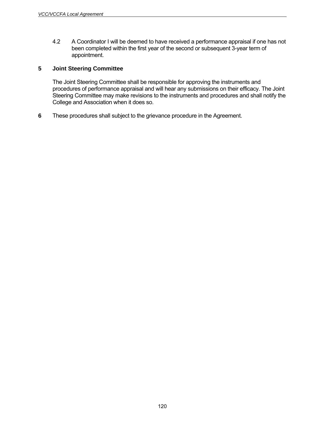4.2 A Coordinator I will be deemed to have received a performance appraisal if one has not been completed within the first year of the second or subsequent 3-year term of appointment.

#### **5 Joint Steering Committee**

The Joint Steering Committee shall be responsible for approving the instruments and procedures of performance appraisal and will hear any submissions on their efficacy. The Joint Steering Committee may make revisions to the instruments and procedures and shall notify the College and Association when it does so.

**6** These procedures shall subject to the grievance procedure in the Agreement.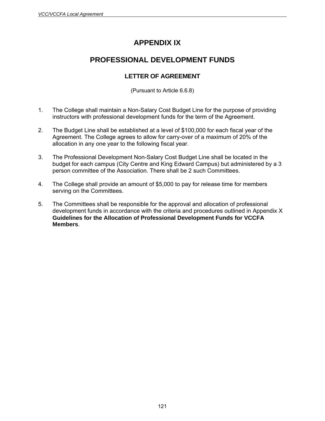# **APPENDIX IX**

# **PROFESSIONAL DEVELOPMENT FUNDS**

### **LETTER OF AGREEMENT**

(Pursuant to Article 6.6.8)

- 1. The College shall maintain a Non-Salary Cost Budget Line for the purpose of providing instructors with professional development funds for the term of the Agreement.
- 2. The Budget Line shall be established at a level of \$100,000 for each fiscal year of the Agreement. The College agrees to allow for carry-over of a maximum of 20% of the allocation in any one year to the following fiscal year.
- 3. The Professional Development Non-Salary Cost Budget Line shall be located in the budget for each campus (City Centre and King Edward Campus) but administered by a 3 person committee of the Association. There shall be 2 such Committees.
- 4. The College shall provide an amount of \$5,000 to pay for release time for members serving on the Committees.
- 5. The Committees shall be responsible for the approval and allocation of professional development funds in accordance with the criteria and procedures outlined in Appendix X **Guidelines for the Allocation of Professional Development Funds for VCCFA Members**.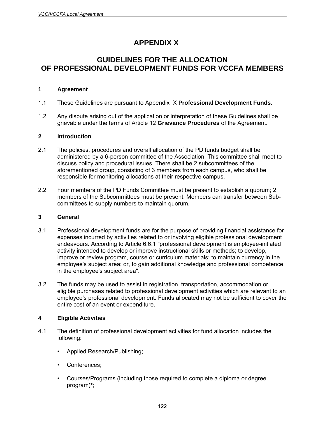# **APPENDIX X**

## **GUIDELINES FOR THE ALLOCATION OF PROFESSIONAL DEVELOPMENT FUNDS FOR VCCFA MEMBERS**

### **1 Agreement**

- 1.1 These Guidelines are pursuant to Appendix IX **Professional Development Funds**.
- 1.2 Any dispute arising out of the application or interpretation of these Guidelines shall be grievable under the terms of Article 12 **Grievance Procedures** of the Agreement.

### **2 Introduction**

- 2.1 The policies, procedures and overall allocation of the PD funds budget shall be administered by a 6-person committee of the Association. This committee shall meet to discuss policy and procedural issues. There shall be 2 subcommittees of the aforementioned group, consisting of 3 members from each campus, who shall be responsible for monitoring allocations at their respective campus.
- 2.2 Four members of the PD Funds Committee must be present to establish a quorum; 2 members of the Subcommittees must be present. Members can transfer between Subcommittees to supply numbers to maintain quorum.

#### **3 General**

- 3.1 Professional development funds are for the purpose of providing financial assistance for expenses incurred by activities related to or involving eligible professional development endeavours. According to Article 6.6.1 "professional development is employee-initiated activity intended to develop or improve instructional skills or methods; to develop, improve or review program, course or curriculum materials; to maintain currency in the employee's subject area; or, to gain additional knowledge and professional competence in the employee's subject area".
- 3.2 The funds may be used to assist in registration, transportation, accommodation or eligible purchases related to professional development activities which are relevant to an employee's professional development. Funds allocated may not be sufficient to cover the entire cost of an event or expenditure.

#### **4 Eligible Activities**

- 4.1 The definition of professional development activities for fund allocation includes the following:
	- Applied Research/Publishing;
	- Conferences;
	- Courses/Programs (including those required to complete a diploma or degree program)**\***;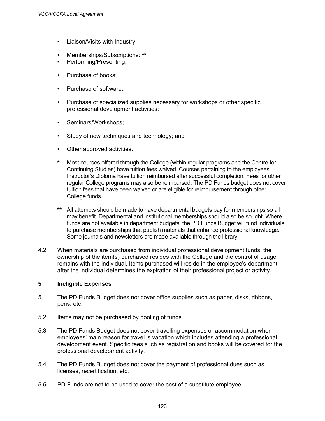- Liaison/Visits with Industry;
- Memberships/Subscriptions: **\*\***
- Performing/Presenting;
- Purchase of books;
- Purchase of software;
- Purchase of specialized supplies necessary for workshops or other specific professional development activities;
- Seminars/Workshops;
- Study of new techniques and technology; and
- Other approved activities.
- **\*** Most courses offered through the College (within regular programs and the Centre for Continuing Studies) have tuition fees waived. Courses pertaining to the employees' Instructor's Diploma have tuition reimbursed after successful completion. Fees for other regular College programs may also be reimbursed. The PD Funds budget does not cover tuition fees that have been waived or are eligible for reimbursement through other College funds.
- **\*\*** All attempts should be made to have departmental budgets pay for memberships so all may benefit. Departmental and institutional memberships should also be sought. Where funds are not available in department budgets, the PD Funds Budget will fund individuals to purchase memberships that publish materials that enhance professional knowledge. Some journals and newsletters are made available through the library.
- 4.2 When materials are purchased from individual professional development funds, the ownership of the item(s) purchased resides with the College and the control of usage remains with the individual. Items purchased will reside in the employee's department after the individual determines the expiration of their professional project or activity.

#### **5 Ineligible Expenses**

- 5.1 The PD Funds Budget does not cover office supplies such as paper, disks, ribbons, pens, etc.
- 5.2 Items may not be purchased by pooling of funds.
- 5.3 The PD Funds Budget does not cover travelling expenses or accommodation when employees' main reason for travel is vacation which includes attending a professional development event. Specific fees such as registration and books will be covered for the professional development activity.
- 5.4 The PD Funds Budget does not cover the payment of professional dues such as licenses, recertification, etc.
- 5.5 PD Funds are not to be used to cover the cost of a substitute employee.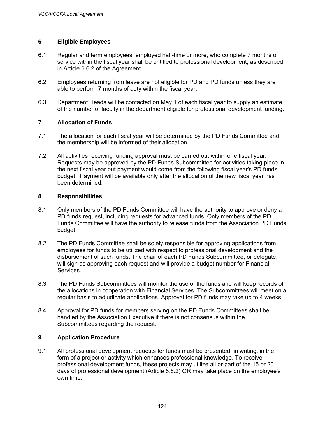### **6 Eligible Employees**

- 6.1 Regular and term employees, employed half-time or more, who complete 7 months of service within the fiscal year shall be entitled to professional development, as described in Article 6.6.2 of the Agreement.
- 6.2 Employees returning from leave are not eligible for PD and PD funds unless they are able to perform 7 months of duty within the fiscal year.
- 6.3 Department Heads will be contacted on May 1 of each fiscal year to supply an estimate of the number of faculty in the department eligible for professional development funding.

#### **7 Allocation of Funds**

- 7.1 The allocation for each fiscal year will be determined by the PD Funds Committee and the membership will be informed of their allocation.
- 7.2 All activities receiving funding approval must be carried out within one fiscal year. Requests may be approved by the PD Funds Subcommittee for activities taking place in the next fiscal year but payment would come from the following fiscal year's PD funds budget. Payment will be available only after the allocation of the new fiscal year has been determined.

#### **8 Responsibilities**

- 8.1 Only members of the PD Funds Committee will have the authority to approve or deny a PD funds request, including requests for advanced funds. Only members of the PD Funds Committee will have the authority to release funds from the Association PD Funds budget.
- 8.2 The PD Funds Committee shall be solely responsible for approving applications from employees for funds to be utilized with respect to professional development and the disbursement of such funds. The chair of each PD Funds Subcommittee, or delegate, will sign as approving each request and will provide a budget number for Financial Services.
- 8.3 The PD Funds Subcommittees will monitor the use of the funds and will keep records of the allocations in cooperation with Financial Services. The Subcommittees will meet on a regular basis to adjudicate applications. Approval for PD funds may take up to 4 weeks.
- 8.4 Approval for PD funds for members serving on the PD Funds Committees shall be handled by the Association Executive if there is not consensus within the Subcommittees regarding the request.

#### **9 Application Procedure**

9.1 All professional development requests for funds must be presented, in writing, in the form of a project or activity which enhances professional knowledge. To receive professional development funds, these projects may utilize all or part of the 15 or 20 days of professional development (Article 6.6.2) OR may take place on the employee's own time.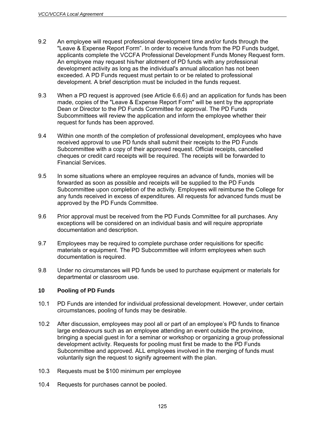- 9.2 An employee will request professional development time and/or funds through the "Leave & Expense Report Form". In order to receive funds from the PD Funds budget, applicants complete the VCCFA Professional Development Funds Money Request form. An employee may request his/her allotment of PD funds with any professional development activity as long as the individual's annual allocation has not been exceeded. A PD Funds request must pertain to or be related to professional development. A brief description must be included in the funds request.
- 9.3 When a PD request is approved (see Article 6.6.6) and an application for funds has been made, copies of the "Leave & Expense Report Form" will be sent by the appropriate Dean or Director to the PD Funds Committee for approval. The PD Funds Subcommittees will review the application and inform the employee whether their request for funds has been approved.
- 9.4 Within one month of the completion of professional development, employees who have received approval to use PD funds shall submit their receipts to the PD Funds Subcommittee with a copy of their approved request. Official receipts, cancelled cheques or credit card receipts will be required. The receipts will be forwarded to Financial Services.
- 9.5 In some situations where an employee requires an advance of funds, monies will be forwarded as soon as possible and receipts will be supplied to the PD Funds Subcommittee upon completion of the activity. Employees will reimburse the College for any funds received in excess of expenditures. All requests for advanced funds must be approved by the PD Funds Committee.
- 9.6 Prior approval must be received from the PD Funds Committee for all purchases. Any exceptions will be considered on an individual basis and will require appropriate documentation and description.
- 9.7 Employees may be required to complete purchase order requisitions for specific materials or equipment. The PD Subcommittee will inform employees when such documentation is required.
- 9.8 Under no circumstances will PD funds be used to purchase equipment or materials for departmental or classroom use.

#### **10 Pooling of PD Funds**

- 10.1 PD Funds are intended for individual professional development. However, under certain circumstances, pooling of funds may be desirable.
- 10.2 After discussion, employees may pool all or part of an employee's PD funds to finance large endeavours such as an employee attending an event outside the province, bringing a special guest in for a seminar or workshop or organizing a group professional development activity. Requests for pooling must first be made to the PD Funds Subcommittee and approved. ALL employees involved in the merging of funds must voluntarily sign the request to signify agreement with the plan.
- 10.3 Requests must be \$100 minimum per employee
- 10.4 Requests for purchases cannot be pooled.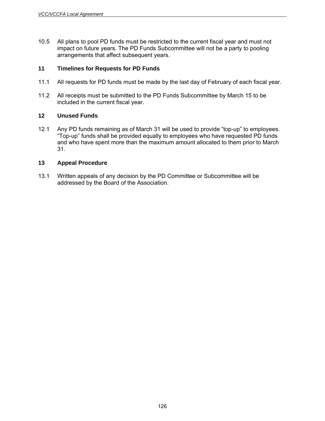10.5 All plans to pool PD funds must be restricted to the current fiscal year and must not impact on future years. The PD Funds Subcommittee will not be a party to pooling arrangements that affect subsequent years.

### **11 Timelines for Requests for PD Funds**

- 11.1 All requests for PD funds must be made by the last day of February of each fiscal year.
- 11.2 All receipts must be submitted to the PD Funds Subcommittee by March 15 to be included in the current fiscal year.

#### **12 Unused Funds**

12.1 Any PD funds remaining as of March 31 will be used to provide "top-up" to employees. "Top-up" funds shall be provided equally to employees who have requested PD funds and who have spent more than the maximum amount allocated to them prior to March 31.

#### **13 Appeal Procedure**

13.1 Written appeals of any decision by the PD Committee or Subcommittee will be addressed by the Board of the Association.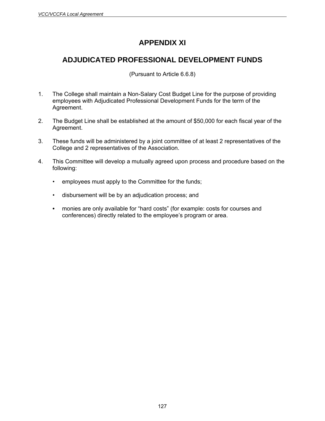# **APPENDIX XI**

# **ADJUDICATED PROFESSIONAL DEVELOPMENT FUNDS**

(Pursuant to Article 6.6.8)

- 1. The College shall maintain a Non-Salary Cost Budget Line for the purpose of providing employees with Adjudicated Professional Development Funds for the term of the Agreement.
- 2. The Budget Line shall be established at the amount of \$50,000 for each fiscal year of the Agreement.
- 3. These funds will be administered by a joint committee of at least 2 representatives of the College and 2 representatives of the Association.
- 4. This Committee will develop a mutually agreed upon process and procedure based on the following:
	- employees must apply to the Committee for the funds;
	- disbursement will be by an adjudication process; and
	- monies are only available for "hard costs" (for example: costs for courses and conferences) directly related to the employee's program or area.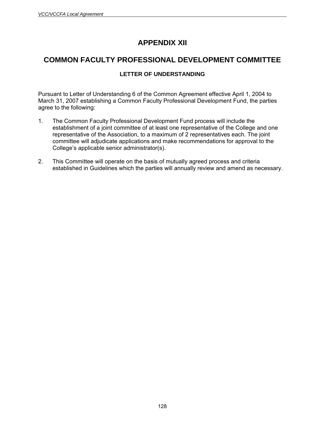# **APPENDIX XII**

# **COMMON FACULTY PROFESSIONAL DEVELOPMENT COMMITTEE**

### **LETTER OF UNDERSTANDING**

Pursuant to Letter of Understanding 6 of the Common Agreement effective April 1, 2004 to March 31, 2007 establishing a Common Faculty Professional Development Fund, the parties agree to the following:

- 1. The Common Faculty Professional Development Fund process will include the establishment of a joint committee of at least one representative of the College and one representative of the Association, to a maximum of 2 representatives each. The joint committee will adjudicate applications and make recommendations for approval to the College's applicable senior administrator(s).
- 2. This Committee will operate on the basis of mutually agreed process and criteria established in Guidelines which the parties will annually review and amend as necessary.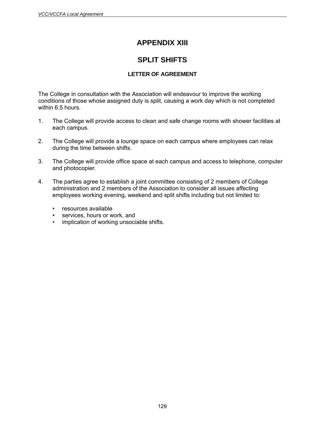### **APPENDIX XIII**

# **SPLIT SHIFTS**

### **LETTER OF AGREEMENT**

The College in consultation with the Association will endeavour to improve the working conditions of those whose assigned duty is split, causing a work day which is not completed within 6.5 hours.

- 1. The College will provide access to clean and safe change rooms with shower facilities at each campus.
- 2. The College will provide a lounge space on each campus where employees can relax during the time between shifts.
- 3. The College will provide office space at each campus and access to telephone, computer and photocopier.
- 4. The parties agree to establish a joint committee consisting of 2 members of College administration and 2 members of the Association to consider all issues affecting employees working evening, weekend and split shifts including but not limited to:
	- resources available
	- services, hours or work, and
	- implication of working unsociable shifts.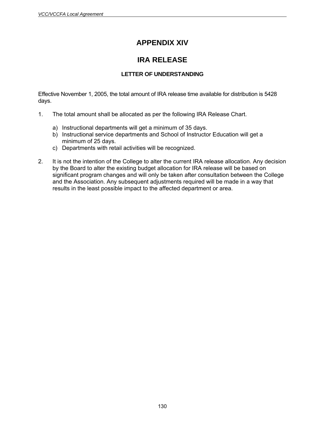# **APPENDIX XIV**

# **IRA RELEASE**

### **LETTER OF UNDERSTANDING**

Effective November 1, 2005, the total amount of IRA release time available for distribution is 5428 days.

- 1. The total amount shall be allocated as per the following IRA Release Chart.
	- a) Instructional departments will get a minimum of 35 days.
	- b) Instructional service departments and School of Instructor Education will get a minimum of 25 days.
	- c) Departments with retail activities will be recognized.
- 2. It is not the intention of the College to alter the current IRA release allocation. Any decision by the Board to alter the existing budget allocation for IRA release will be based on significant program changes and will only be taken after consultation between the College and the Association. Any subsequent adjustments required will be made in a way that results in the least possible impact to the affected department or area.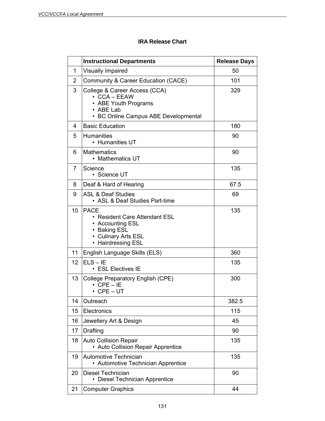|                | <b>Instructional Departments</b>                                                                                                 | <b>Release Days</b> |
|----------------|----------------------------------------------------------------------------------------------------------------------------------|---------------------|
| 1              | <b>Visually Impaired</b>                                                                                                         | 50                  |
| 2              | Community & Career Education (CACE)                                                                                              | 101                 |
| 3              | College & Career Access (CCA)<br>$\cdot$ CCA – EEAW<br>• ABE Youth Programs<br>• ABE Lab<br>• BC Online Campus ABE Developmental | 329                 |
| 4              | <b>Basic Education</b>                                                                                                           | 180                 |
| 5              | <b>Humanities</b><br>• Humanities UT                                                                                             | 90                  |
| 6              | <b>Mathematics</b><br>• Mathematics UT                                                                                           | 90                  |
| $\overline{7}$ | Science<br>• Science UT                                                                                                          | 135                 |
| 8              | Deaf & Hard of Hearing                                                                                                           | 67.5                |
| 9              | <b>ASL &amp; Deaf Studies</b><br>• ASL & Deaf Studies Part-time                                                                  | 69                  |
| 10             | <b>PACE</b><br>• Resident Care Attendant ESL<br>• Accounting ESL<br>• Baking ESL<br>• Culinary Arts ESL<br>• Hairdressing ESL    | 135                 |
| 11             | English Language Skills (ELS)                                                                                                    | 360                 |
| 12             | $ELS - IE$<br>• ESL Electives IE                                                                                                 | 135                 |
| 13             | <b>College Preparatory English (CPE)</b><br>$\cdot$ CPE – IE<br>$\bm{\cdot}$ CPE – UT                                            | 300                 |
| 14             | Outreach                                                                                                                         | 382.5               |
| 15             | Electronics                                                                                                                      | 115                 |
| 16             | Jewellery Art & Design                                                                                                           | 45                  |
| 17             | Drafting                                                                                                                         | 90                  |
| 18             | <b>Auto Collision Repair</b><br>• Auto Collision Repair Apprentice                                                               | 135                 |
| 19             | <b>Automotive Technician</b><br>• Automotive Technician Apprentice                                                               | 135                 |
| 20             | Diesel Technician<br>• Diesel Technician Apprentice                                                                              | 90                  |
| 21             | <b>Computer Graphics</b>                                                                                                         | 44                  |

### **IRA Release Chart**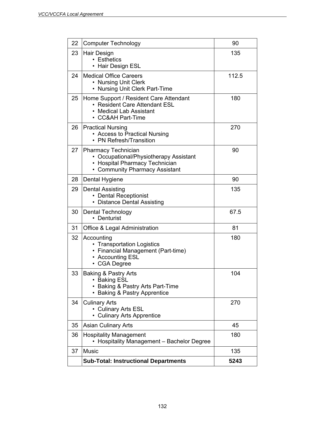| 22 | <b>Computer Technology</b>                                                                                                             | 90    |
|----|----------------------------------------------------------------------------------------------------------------------------------------|-------|
| 23 | Hair Design<br>• Esthetics<br>• Hair Design ESL                                                                                        | 135   |
| 24 | <b>Medical Office Careers</b><br>• Nursing Unit Clerk<br>• Nursing Unit Clerk Part-Time                                                | 112.5 |
| 25 | Home Support / Resident Care Attendant<br>• Resident Care Attendant ESL<br><b>Medical Lab Assistant</b><br>• CC&AH Part-Time           | 180   |
| 26 | <b>Practical Nursing</b><br>• Access to Practical Nursing<br>• PN Refresh/Transition                                                   | 270   |
| 27 | Pharmacy Technician<br>• Occupational/Physiotherapy Assistant<br><b>Hospital Pharmacy Technician</b><br>• Community Pharmacy Assistant | 90    |
| 28 | Dental Hygiene                                                                                                                         | 90    |
| 29 | Dental Assisting<br>• Dental Receptionist<br>• Distance Dental Assisting                                                               | 135   |
| 30 | Dental Technology<br>• Denturist                                                                                                       | 67.5  |
| 31 | Office & Legal Administration                                                                                                          | 81    |
| 32 | Accounting<br>• Transportation Logistics<br>• Financial Management (Part-time)<br>• Accounting ESL<br>• CGA Degree                     | 180   |
| 33 | Baking & Pastry Arts<br>• Baking ESL<br><b>Baking &amp; Pastry Arts Part-Time</b><br><b>Baking &amp; Pastry Apprentice</b>             | 104   |
| 34 | <b>Culinary Arts</b><br>• Culinary Arts ESL<br>• Culinary Arts Apprentice                                                              | 270   |
| 35 | <b>Asian Culinary Arts</b>                                                                                                             | 45    |
| 36 | <b>Hospitality Management</b><br>Hospitality Management - Bachelor Degree                                                              | 180   |
| 37 | <b>Music</b>                                                                                                                           | 135   |
|    | <b>Sub-Total: Instructional Departments</b>                                                                                            | 5243  |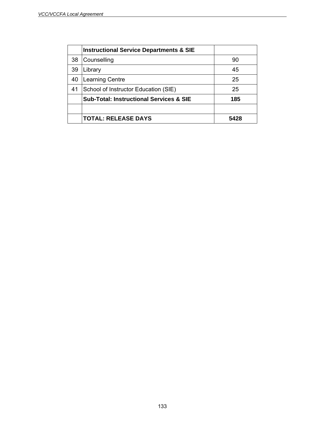|    | <b>Instructional Service Departments &amp; SIE</b> |      |
|----|----------------------------------------------------|------|
| 38 | Counselling                                        | 90   |
| 39 | Library                                            | 45   |
| 40 | Learning Centre                                    | 25   |
| 41 | School of Instructor Education (SIE)               | 25   |
|    | <b>Sub-Total: Instructional Services &amp; SIE</b> | 185  |
|    |                                                    |      |
|    | <b>TOTAL: RELEASE DAYS</b>                         | 5428 |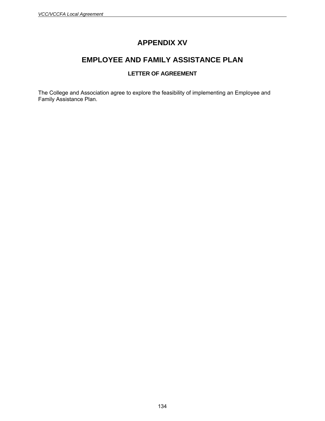## **APPENDIX XV**

# **EMPLOYEE AND FAMILY ASSISTANCE PLAN**

### **LETTER OF AGREEMENT**

The College and Association agree to explore the feasibility of implementing an Employee and Family Assistance Plan.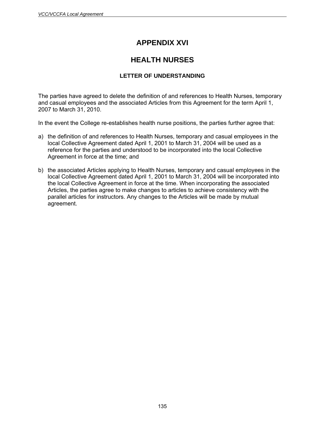# **APPENDIX XVI**

# **HEALTH NURSES**

### **LETTER OF UNDERSTANDING**

The parties have agreed to delete the definition of and references to Health Nurses, temporary and casual employees and the associated Articles from this Agreement for the term April 1, 2007 to March 31, 2010.

In the event the College re-establishes health nurse positions, the parties further agree that:

- a) the definition of and references to Health Nurses, temporary and casual employees in the local Collective Agreement dated April 1, 2001 to March 31, 2004 will be used as a reference for the parties and understood to be incorporated into the local Collective Agreement in force at the time; and
- b) the associated Articles applying to Health Nurses, temporary and casual employees in the local Collective Agreement dated April 1, 2001 to March 31, 2004 will be incorporated into the local Collective Agreement in force at the time. When incorporating the associated Articles, the parties agree to make changes to articles to achieve consistency with the parallel articles for instructors. Any changes to the Articles will be made by mutual agreement.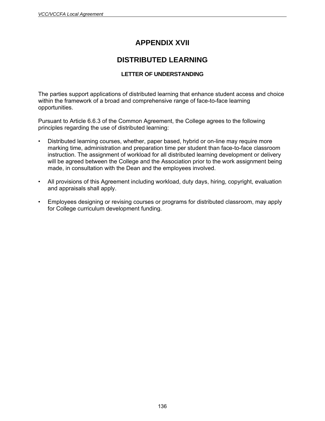# **APPENDIX XVII**

# **DISTRIBUTED LEARNING**

### **LETTER OF UNDERSTANDING**

The parties support applications of distributed learning that enhance student access and choice within the framework of a broad and comprehensive range of face-to-face learning opportunities.

Pursuant to Article 6.6.3 of the Common Agreement, the College agrees to the following principles regarding the use of distributed learning:

- Distributed learning courses, whether, paper based, hybrid or on-line may require more marking time, administration and preparation time per student than face-to-face classroom instruction. The assignment of workload for all distributed learning development or delivery will be agreed between the College and the Association prior to the work assignment being made, in consultation with the Dean and the employees involved.
- All provisions of this Agreement including workload, duty days, hiring, copyright, evaluation and appraisals shall apply.
- Employees designing or revising courses or programs for distributed classroom, may apply for College curriculum development funding.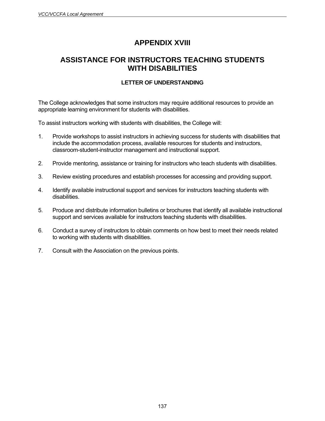## **APPENDIX XVIII**

## **ASSISTANCE FOR INSTRUCTORS TEACHING STUDENTS WITH DISABILITIES**

### **LETTER OF UNDERSTANDING**

The College acknowledges that some instructors may require additional resources to provide an appropriate learning environment for students with disabilities.

To assist instructors working with students with disabilities, the College will:

- 1. Provide workshops to assist instructors in achieving success for students with disabilities that include the accommodation process, available resources for students and instructors, classroom-student-instructor management and instructional support.
- 2. Provide mentoring, assistance or training for instructors who teach students with disabilities.
- 3. Review existing procedures and establish processes for accessing and providing support.
- 4. Identify available instructional support and services for instructors teaching students with disabilities.
- 5. Produce and distribute information bulletins or brochures that identify all available instructional support and services available for instructors teaching students with disabilities.
- 6. Conduct a survey of instructors to obtain comments on how best to meet their needs related to working with students with disabilities.
- 7. Consult with the Association on the previous points.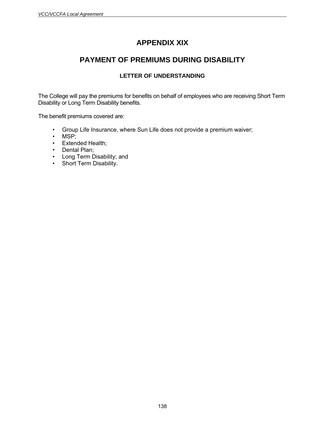## **APPENDIX XIX**

## **PAYMENT OF PREMIUMS DURING DISABILITY**

### **LETTER OF UNDERSTANDING**

The College will pay the premiums for benefits on behalf of employees who are receiving Short Term Disability or Long Term Disability benefits.

The benefit premiums covered are:

- Group Life Insurance, where Sun Life does not provide a premium waiver;
- MSP;
- Extended Health;
- Dental Plan;
- Long Term Disability; and
- Short Term Disability.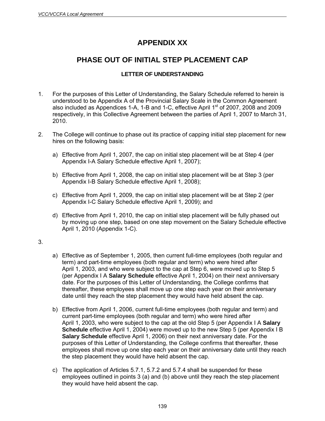## **APPENDIX XX**

## **PHASE OUT OF INITIAL STEP PLACEMENT CAP**

### **LETTER OF UNDERSTANDING**

- 1. For the purposes of this Letter of Understanding, the Salary Schedule referred to herein is understood to be Appendix A of the Provincial Salary Scale in the Common Agreement also included as Appendices 1-A, 1-B and 1-C, effective April 1<sup>st</sup> of 2007, 2008 and 2009 respectively, in this Collective Agreement between the parties of April 1, 2007 to March 31, 2010.
- 2. The College will continue to phase out its practice of capping initial step placement for new hires on the following basis:
	- a) Effective from April 1, 2007, the cap on initial step placement will be at Step 4 (per Appendix I-A Salary Schedule effective April 1, 2007);
	- b) Effective from April 1, 2008, the cap on initial step placement will be at Step 3 (per Appendix I-B Salary Schedule effective April 1, 2008);
	- c) Effective from April 1, 2009, the cap on initial step placement will be at Step 2 (per Appendix I-C Salary Schedule effective April 1, 2009); and
	- d) Effective from April 1, 2010, the cap on initial step placement will be fully phased out by moving up one step, based on one step movement on the Salary Schedule effective April 1, 2010 (Appendix 1-C).
- 3.
- a) Effective as of September 1, 2005, then current full-time employees (both regular and term) and part-time employees (both regular and term) who were hired after April 1, 2003, and who were subject to the cap at Step 6, were moved up to Step 5 (per Appendix I A **Salary Schedule** effective April 1, 2004) on their next anniversary date. For the purposes of this Letter of Understanding, the College confirms that thereafter, these employees shall move up one step each year on their anniversary date until they reach the step placement they would have held absent the cap.
- b) Effective from April 1, 2006, current full-time employees (both regular and term) and current part-time employees (both regular and term) who were hired after April 1, 2003, who were subject to the cap at the old Step 5 (per Appendix I A **Salary Schedule** effective April 1, 2004) were moved up to the new Step 5 (per Appendix I B **Salary Schedule** effective April 1, 2006) on their next anniversary date. For the purposes of this Letter of Understanding, the College confirms that **t**hereafter, these employees shall move up one step each year on their anniversary date until they reach the step placement they would have held absent the cap.
- c) The application of Articles 5.7.1, 5.7.2 and 5.7.4 shall be suspended for these employees outlined in points 3 (a) and (b) above until they reach the step placement they would have held absent the cap.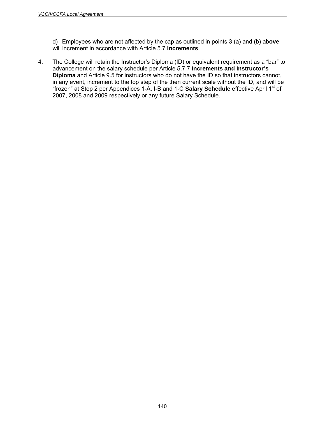d) Employees who are not affected by the cap as outlined in points 3 (a) and (b) ab**ove** will increment in accordance with Article 5.7 **Increments**.

4. The College will retain the Instructor's Diploma (ID) or equivalent requirement as a "bar" to advancement on the salary schedule per Article 5.7.7 **Increments and Instructor's Diploma** and Article 9.5 for instructors who do not have the ID so that instructors cannot, in any event, increment to the top step of the then current scale without the ID, and will be "frozen" at Step 2 per Appendices 1-A, I-B and 1-C **Salary Schedule** effective April 1st of 2007, 2008 and 2009 respectively or any future Salary Schedule.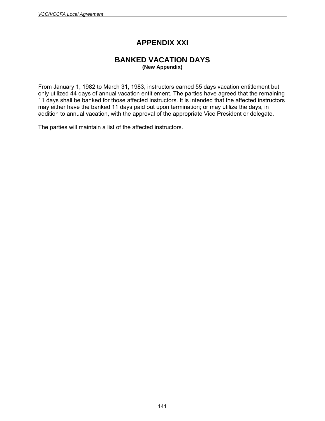## **APPENDIX XXI**

### **BANKED VACATION DAYS (New Appendix)**

From January 1, 1982 to March 31, 1983, instructors earned 55 days vacation entitlement but only utilized 44 days of annual vacation entitlement. The parties have agreed that the remaining 11 days shall be banked for those affected instructors. It is intended that the affected instructors may either have the banked 11 days paid out upon termination; or may utilize the days, in addition to annual vacation, with the approval of the appropriate Vice President or delegate.

The parties will maintain a list of the affected instructors.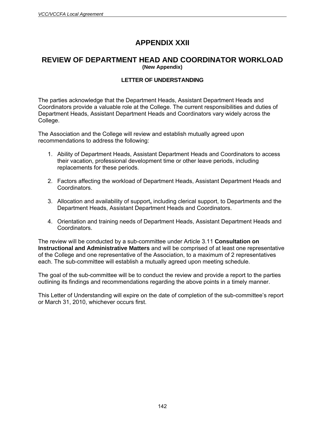## **APPENDIX XXII**

### **REVIEW OF DEPARTMENT HEAD AND COORDINATOR WORKLOAD (New Appendix)**

### **LETTER OF UNDERSTANDING**

The parties acknowledge that the Department Heads, Assistant Department Heads and Coordinators provide a valuable role at the College. The current responsibilities and duties of Department Heads, Assistant Department Heads and Coordinators vary widely across the College.

The Association and the College will review and establish mutually agreed upon recommendations to address the following:

- 1. Ability of Department Heads, Assistant Department Heads and Coordinators to access their vacation, professional development time or other leave periods, including replacements for these periods.
- 2. Factors affecting the workload of Department Heads, Assistant Department Heads and Coordinators.
- 3. Allocation and availability of support**,** including clerical support, to Departments and the Department Heads, Assistant Department Heads and Coordinators.
- 4. Orientation and training needs of Department Heads, Assistant Department Heads and Coordinators.

The review will be conducted by a sub-committee under Article 3.11 **Consultation on Instructional and Administrative Matters** and will be comprised of at least one representative of the College and one representative of the Association, to a maximum of 2 representatives each. The sub-committee will establish a mutually agreed upon meeting schedule.

The goal of the sub-committee will be to conduct the review and provide a report to the parties outlining its findings and recommendations regarding the above points in a timely manner.

This Letter of Understanding will expire on the date of completion of the sub-committee's report or March 31, 2010, whichever occurs first.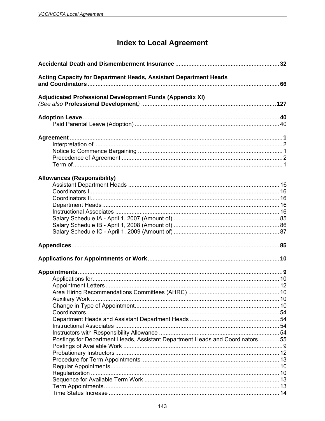| <b>Acting Capacity for Department Heads, Assistant Department Heads</b>      |  |
|------------------------------------------------------------------------------|--|
|                                                                              |  |
| Adjudicated Professional Development Funds (Appendix XI)                     |  |
|                                                                              |  |
|                                                                              |  |
|                                                                              |  |
|                                                                              |  |
|                                                                              |  |
|                                                                              |  |
|                                                                              |  |
|                                                                              |  |
|                                                                              |  |
| <b>Allowances (Responsibility)</b>                                           |  |
|                                                                              |  |
|                                                                              |  |
|                                                                              |  |
|                                                                              |  |
|                                                                              |  |
|                                                                              |  |
|                                                                              |  |
|                                                                              |  |
|                                                                              |  |
|                                                                              |  |
|                                                                              |  |
|                                                                              |  |
|                                                                              |  |
|                                                                              |  |
|                                                                              |  |
|                                                                              |  |
|                                                                              |  |
|                                                                              |  |
|                                                                              |  |
|                                                                              |  |
|                                                                              |  |
| Postings for Department Heads, Assistant Department Heads and Coordinators55 |  |
|                                                                              |  |
|                                                                              |  |
|                                                                              |  |
|                                                                              |  |
|                                                                              |  |
|                                                                              |  |
|                                                                              |  |
|                                                                              |  |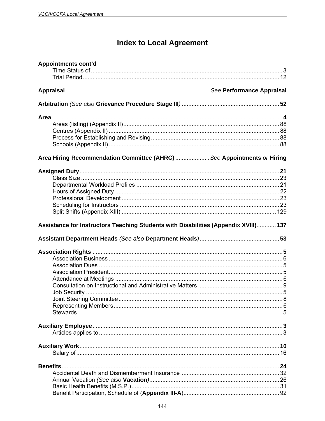| Area Hiring Recommendation Committee (AHRC)  See Appointments or Hiring             |  |
|-------------------------------------------------------------------------------------|--|
|                                                                                     |  |
|                                                                                     |  |
|                                                                                     |  |
|                                                                                     |  |
|                                                                                     |  |
|                                                                                     |  |
|                                                                                     |  |
| Assistance for Instructors Teaching Students with Disabilities (Appendix XVIII) 137 |  |
|                                                                                     |  |
|                                                                                     |  |
|                                                                                     |  |
|                                                                                     |  |
|                                                                                     |  |
|                                                                                     |  |
|                                                                                     |  |
|                                                                                     |  |
|                                                                                     |  |
|                                                                                     |  |
|                                                                                     |  |
|                                                                                     |  |
|                                                                                     |  |
|                                                                                     |  |
|                                                                                     |  |
|                                                                                     |  |
|                                                                                     |  |
|                                                                                     |  |
|                                                                                     |  |
|                                                                                     |  |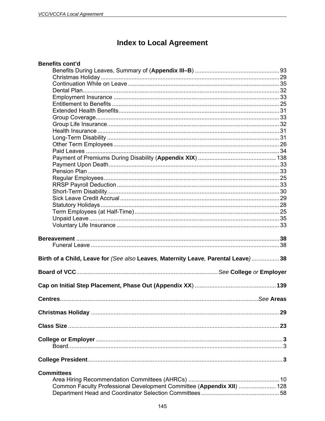| <b>Benefits cont'd</b> |
|------------------------|
|------------------------|

| Birth of a Child, Leave for (See also Leaves, Maternity Leave, Parental Leave)38 |  |
|----------------------------------------------------------------------------------|--|
|                                                                                  |  |
|                                                                                  |  |
|                                                                                  |  |
|                                                                                  |  |
|                                                                                  |  |
|                                                                                  |  |
|                                                                                  |  |
|                                                                                  |  |
|                                                                                  |  |
| <b>Committees</b>                                                                |  |
|                                                                                  |  |
| Common Faculty Professional Development Committee (Appendix XII)  128            |  |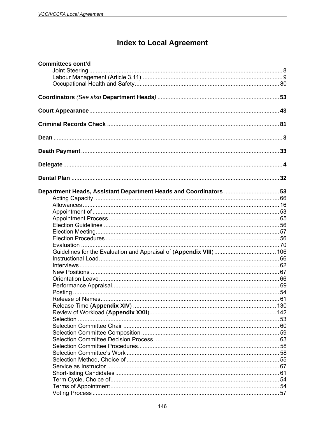| <b>Committees cont'd</b>                                         |  |
|------------------------------------------------------------------|--|
|                                                                  |  |
|                                                                  |  |
|                                                                  |  |
|                                                                  |  |
|                                                                  |  |
|                                                                  |  |
|                                                                  |  |
|                                                                  |  |
|                                                                  |  |
|                                                                  |  |
| Department Heads, Assistant Department Heads and Coordinators 53 |  |
|                                                                  |  |
|                                                                  |  |
|                                                                  |  |
|                                                                  |  |
|                                                                  |  |
|                                                                  |  |
|                                                                  |  |
|                                                                  |  |
|                                                                  |  |
|                                                                  |  |
|                                                                  |  |
|                                                                  |  |
|                                                                  |  |
|                                                                  |  |
|                                                                  |  |
|                                                                  |  |
|                                                                  |  |
|                                                                  |  |
|                                                                  |  |
|                                                                  |  |
|                                                                  |  |
|                                                                  |  |
|                                                                  |  |
|                                                                  |  |
|                                                                  |  |
|                                                                  |  |
|                                                                  |  |
|                                                                  |  |
|                                                                  |  |
|                                                                  |  |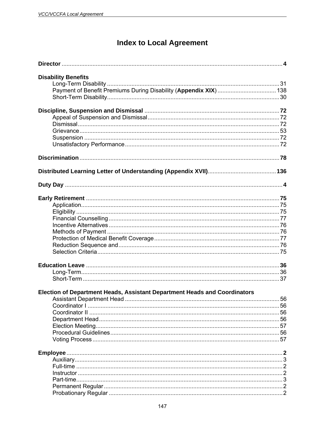| <b>Disability Benefits</b>                                                |  |
|---------------------------------------------------------------------------|--|
|                                                                           |  |
|                                                                           |  |
|                                                                           |  |
|                                                                           |  |
|                                                                           |  |
|                                                                           |  |
|                                                                           |  |
|                                                                           |  |
|                                                                           |  |
|                                                                           |  |
|                                                                           |  |
|                                                                           |  |
|                                                                           |  |
|                                                                           |  |
|                                                                           |  |
|                                                                           |  |
|                                                                           |  |
|                                                                           |  |
|                                                                           |  |
|                                                                           |  |
|                                                                           |  |
|                                                                           |  |
|                                                                           |  |
|                                                                           |  |
|                                                                           |  |
|                                                                           |  |
|                                                                           |  |
|                                                                           |  |
| Election of Department Heads, Assistant Department Heads and Coordinators |  |
|                                                                           |  |
|                                                                           |  |
|                                                                           |  |
|                                                                           |  |
|                                                                           |  |
|                                                                           |  |
|                                                                           |  |
|                                                                           |  |
|                                                                           |  |
|                                                                           |  |
|                                                                           |  |
|                                                                           |  |
|                                                                           |  |
|                                                                           |  |
|                                                                           |  |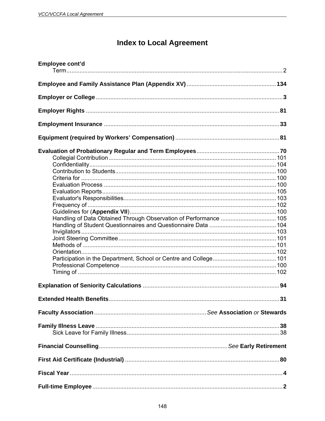| Employee cont'd                                                   |  |
|-------------------------------------------------------------------|--|
|                                                                   |  |
|                                                                   |  |
|                                                                   |  |
|                                                                   |  |
|                                                                   |  |
|                                                                   |  |
|                                                                   |  |
|                                                                   |  |
|                                                                   |  |
|                                                                   |  |
|                                                                   |  |
|                                                                   |  |
|                                                                   |  |
|                                                                   |  |
|                                                                   |  |
| Handling of Data Obtained Through Observation of Performance  105 |  |
|                                                                   |  |
|                                                                   |  |
|                                                                   |  |
|                                                                   |  |
|                                                                   |  |
|                                                                   |  |
|                                                                   |  |
|                                                                   |  |
|                                                                   |  |
|                                                                   |  |
|                                                                   |  |
|                                                                   |  |
|                                                                   |  |
|                                                                   |  |
|                                                                   |  |
|                                                                   |  |
|                                                                   |  |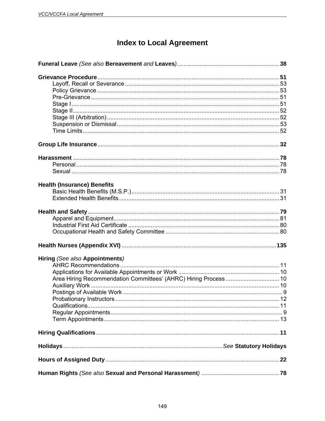| <b>Health (Insurance) Benefits</b>                              |    |
|-----------------------------------------------------------------|----|
|                                                                 |    |
|                                                                 |    |
|                                                                 |    |
|                                                                 |    |
|                                                                 |    |
|                                                                 |    |
|                                                                 |    |
|                                                                 |    |
|                                                                 |    |
| Hiring (See also Appointments)                                  |    |
|                                                                 |    |
|                                                                 |    |
| Area Hiring Recommendation Committees' (AHRC) Hiring Process 10 |    |
|                                                                 |    |
|                                                                 |    |
|                                                                 |    |
|                                                                 |    |
|                                                                 |    |
|                                                                 |    |
|                                                                 |    |
|                                                                 |    |
|                                                                 |    |
|                                                                 | 22 |
|                                                                 |    |
|                                                                 |    |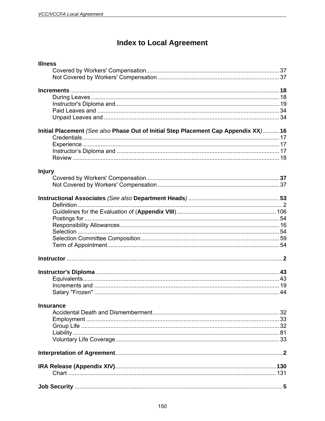| <b>Illness</b>                                                                      |  |
|-------------------------------------------------------------------------------------|--|
|                                                                                     |  |
|                                                                                     |  |
|                                                                                     |  |
|                                                                                     |  |
|                                                                                     |  |
|                                                                                     |  |
|                                                                                     |  |
|                                                                                     |  |
| Initial Placement (See also Phase Out of Initial Step Placement Cap Appendix XX) 16 |  |
|                                                                                     |  |
|                                                                                     |  |
|                                                                                     |  |
|                                                                                     |  |
| <b>Injury</b>                                                                       |  |
|                                                                                     |  |
|                                                                                     |  |
|                                                                                     |  |
|                                                                                     |  |
|                                                                                     |  |
|                                                                                     |  |
|                                                                                     |  |
|                                                                                     |  |
|                                                                                     |  |
|                                                                                     |  |
|                                                                                     |  |
|                                                                                     |  |
|                                                                                     |  |
|                                                                                     |  |
|                                                                                     |  |
|                                                                                     |  |
|                                                                                     |  |
| <b>Insurance</b>                                                                    |  |
|                                                                                     |  |
|                                                                                     |  |
|                                                                                     |  |
|                                                                                     |  |
|                                                                                     |  |
|                                                                                     |  |
|                                                                                     |  |
|                                                                                     |  |
|                                                                                     |  |
|                                                                                     |  |
|                                                                                     |  |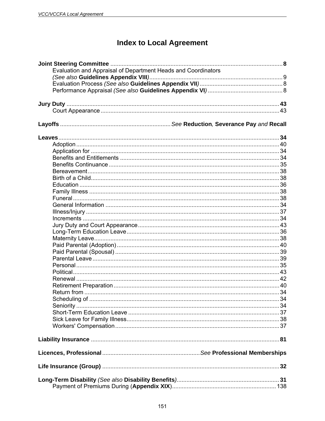| Evaluation and Appraisal of Department Heads and Coordinators |  |
|---------------------------------------------------------------|--|
|                                                               |  |
|                                                               |  |
|                                                               |  |
|                                                               |  |
|                                                               |  |
|                                                               |  |
|                                                               |  |
|                                                               |  |
|                                                               |  |
|                                                               |  |
|                                                               |  |
|                                                               |  |
|                                                               |  |
|                                                               |  |
|                                                               |  |
|                                                               |  |
|                                                               |  |
|                                                               |  |
|                                                               |  |
|                                                               |  |
|                                                               |  |
|                                                               |  |
|                                                               |  |
|                                                               |  |
|                                                               |  |
|                                                               |  |
|                                                               |  |
|                                                               |  |
|                                                               |  |
|                                                               |  |
|                                                               |  |
|                                                               |  |
|                                                               |  |
|                                                               |  |
|                                                               |  |
|                                                               |  |
|                                                               |  |
|                                                               |  |
|                                                               |  |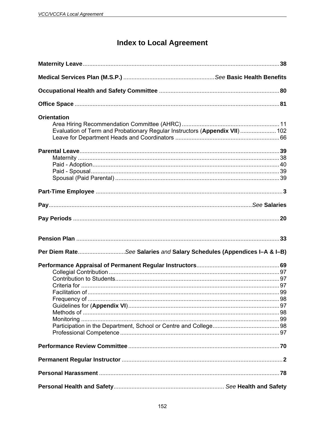| <b>Orientation</b>                                                          |  |
|-----------------------------------------------------------------------------|--|
|                                                                             |  |
| Evaluation of Term and Probationary Regular Instructors (Appendix VII)  102 |  |
|                                                                             |  |
|                                                                             |  |
|                                                                             |  |
|                                                                             |  |
|                                                                             |  |
|                                                                             |  |
|                                                                             |  |
|                                                                             |  |
|                                                                             |  |
|                                                                             |  |
|                                                                             |  |
| Per Diem RateSee Salaries and Salary Schedules (Appendices I-A & I-B)       |  |
|                                                                             |  |
|                                                                             |  |
|                                                                             |  |
|                                                                             |  |
|                                                                             |  |
|                                                                             |  |
|                                                                             |  |
|                                                                             |  |
|                                                                             |  |
|                                                                             |  |
|                                                                             |  |
|                                                                             |  |
|                                                                             |  |
|                                                                             |  |
|                                                                             |  |
|                                                                             |  |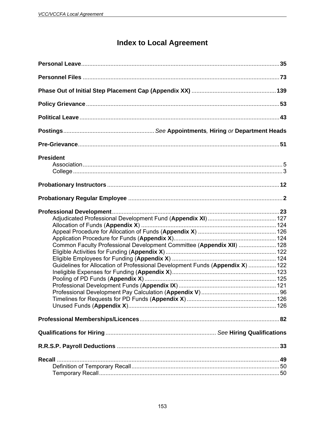| <b>President</b>                                                              |  |
|-------------------------------------------------------------------------------|--|
|                                                                               |  |
|                                                                               |  |
|                                                                               |  |
|                                                                               |  |
|                                                                               |  |
|                                                                               |  |
|                                                                               |  |
|                                                                               |  |
|                                                                               |  |
| Common Faculty Professional Development Committee (Appendix XII)  128         |  |
|                                                                               |  |
|                                                                               |  |
| Guidelines for Allocation of Professional Development Funds (Appendix X)  122 |  |
|                                                                               |  |
|                                                                               |  |
|                                                                               |  |
|                                                                               |  |
|                                                                               |  |
|                                                                               |  |
|                                                                               |  |
|                                                                               |  |
|                                                                               |  |
|                                                                               |  |
|                                                                               |  |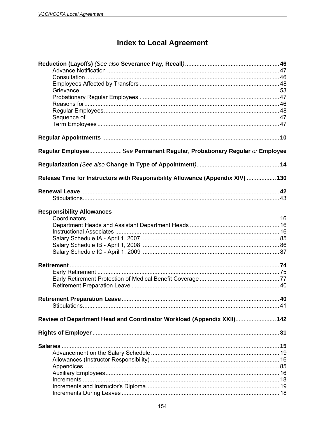| Regular Employee See Permanent Regular, Probationary Regular or Employee       |  |
|--------------------------------------------------------------------------------|--|
|                                                                                |  |
| Release Time for Instructors with Responsibility Allowance (Appendix XIV)  130 |  |
|                                                                                |  |
|                                                                                |  |
| <b>Responsibility Allowances</b>                                               |  |
|                                                                                |  |
|                                                                                |  |
|                                                                                |  |
|                                                                                |  |
|                                                                                |  |
|                                                                                |  |
|                                                                                |  |
|                                                                                |  |
|                                                                                |  |
|                                                                                |  |
|                                                                                |  |
|                                                                                |  |
| Review of Department Head and Coordinator Workload (Appendix XXII) 142         |  |
|                                                                                |  |
|                                                                                |  |
|                                                                                |  |
|                                                                                |  |
|                                                                                |  |
|                                                                                |  |
|                                                                                |  |
|                                                                                |  |
|                                                                                |  |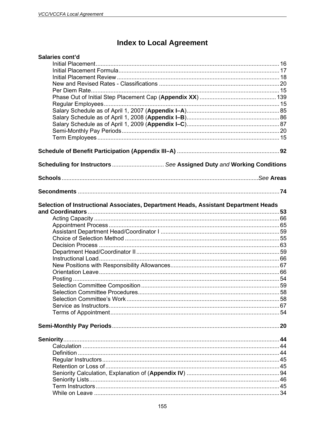| Salaries cont'd |                                                                      |  |
|-----------------|----------------------------------------------------------------------|--|
|                 |                                                                      |  |
|                 |                                                                      |  |
|                 |                                                                      |  |
|                 |                                                                      |  |
|                 |                                                                      |  |
|                 |                                                                      |  |
|                 |                                                                      |  |
|                 |                                                                      |  |
|                 |                                                                      |  |
|                 |                                                                      |  |
|                 |                                                                      |  |
|                 |                                                                      |  |
|                 |                                                                      |  |
|                 | Scheduling for Instructors  See Assigned Duty and Working Conditions |  |
|                 |                                                                      |  |
|                 |                                                                      |  |
|                 |                                                                      |  |
|                 |                                                                      |  |
|                 |                                                                      |  |
|                 |                                                                      |  |
|                 |                                                                      |  |
|                 |                                                                      |  |
|                 |                                                                      |  |
|                 |                                                                      |  |
| Seniority       |                                                                      |  |
|                 |                                                                      |  |
|                 |                                                                      |  |
|                 |                                                                      |  |
|                 |                                                                      |  |
|                 |                                                                      |  |
|                 |                                                                      |  |
|                 |                                                                      |  |
|                 |                                                                      |  |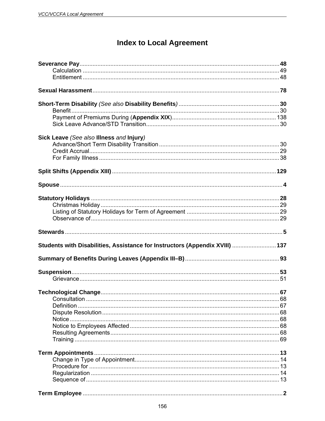| Sick Leave (See also Illness and Injury)                                     |  |
|------------------------------------------------------------------------------|--|
|                                                                              |  |
|                                                                              |  |
|                                                                              |  |
|                                                                              |  |
|                                                                              |  |
|                                                                              |  |
|                                                                              |  |
|                                                                              |  |
|                                                                              |  |
|                                                                              |  |
|                                                                              |  |
|                                                                              |  |
| Students with Disabilities, Assistance for Instructors (Appendix XVIII)  137 |  |
|                                                                              |  |
|                                                                              |  |
|                                                                              |  |
|                                                                              |  |
|                                                                              |  |
|                                                                              |  |
|                                                                              |  |
| Definition                                                                   |  |
|                                                                              |  |
|                                                                              |  |
|                                                                              |  |
|                                                                              |  |
|                                                                              |  |
|                                                                              |  |
|                                                                              |  |
|                                                                              |  |
|                                                                              |  |
|                                                                              |  |
|                                                                              |  |
|                                                                              |  |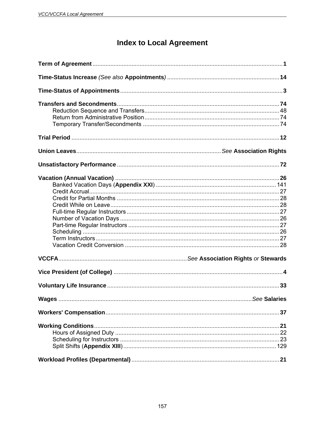| Wages. |  |
|--------|--|
|        |  |
|        |  |
|        |  |
|        |  |
|        |  |
|        |  |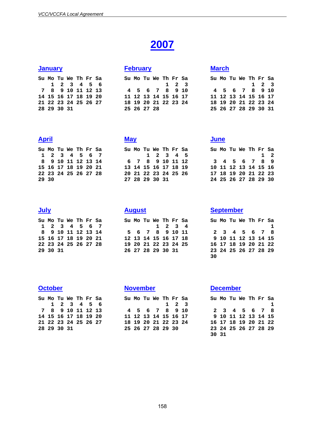| Su Mo Tu We Th Fr Sa |             |  |  |
|----------------------|-------------|--|--|
|                      | 1 2 3 4 5 6 |  |  |
| 7 8 9 10 11 12 13    |             |  |  |
| 14 15 16 17 18 19 20 |             |  |  |
| 21 22 23 24 25 26 27 |             |  |  |
| 28 29 30 31          |             |  |  |

**Su Mo Tu We Th Fr Sa 1 2 3 4 5 6 7 8 9 10 11 12 13 14 15 16 17 18 19 20 21 22 23 24 25 26 27 28** 

### **January March Construction Construction Construction Construction Construction Construction Construction March**

|             | Su Mo Tu We Th Fr Sa |             |  |
|-------------|----------------------|-------------|--|
|             |                      | $1 \t2 \t3$ |  |
|             | 4 5 6 7 8 9 10       |             |  |
|             | 11 12 13 14 15 16 17 |             |  |
|             | 18 19 20 21 22 23 24 |             |  |
| 25 26 27 28 |                      |             |  |

| Su Mo Tu We Th Fr Sa |           |  |  |
|----------------------|-----------|--|--|
|                      | 1 2 3 4 5 |  |  |
| 6 7 8 9 10 11 12     |           |  |  |
| 13 14 15 16 17 18 19 |           |  |  |
| 20 21 22 23 24 25 26 |           |  |  |
| 27 28 29 30 31       |           |  |  |

|  |  | Su Mo Tu We Th Fr Sa |             |  |
|--|--|----------------------|-------------|--|
|  |  |                      | $1 \t2 \t3$ |  |
|  |  | 4 5 6 7 8 9 10       |             |  |
|  |  | 11 12 13 14 15 16 17 |             |  |
|  |  | 18 19 20 21 22 23 24 |             |  |
|  |  | 25 26 27 28 29 30 31 |             |  |

### **April May June**

| Su Mo Tu We Th Fr Sa |  |  |            |
|----------------------|--|--|------------|
|                      |  |  | $1\quad 2$ |
| 3 4 5 6 7 8 9        |  |  |            |
| 10 11 12 13 14 15 16 |  |  |            |
| 17 18 19 20 21 22 23 |  |  |            |
| 24 25 26 27 28 29 30 |  |  |            |

**29 30** 

**Su Mo Tu We Th Fr Sa 1 2 3 4 5 6 7 8 9 10 11 12 13 14 15 16 17 18 19 20 21 22 23 24 25 26 27 28 29 30 31** 

|--|--|--|--|--|--|

|  |  | Su Mo Tu We Th Fr Sa |  |
|--|--|----------------------|--|
|  |  | $1 \t2 \t3 \t4$      |  |
|  |  | 5 6 7 8 9 10 11      |  |
|  |  | 12 13 14 15 16 17 18 |  |
|  |  | 19 20 21 22 23 24 25 |  |
|  |  | 26 27 28 29 30 31    |  |

### **July 31 Marshall August 2018 September** 31 Marshall September

|    | Su Mo Tu We Th Fr Sa |  |  |   |
|----|----------------------|--|--|---|
|    |                      |  |  | 1 |
|    | 2 3 4 5 6 7 8        |  |  |   |
|    | 9 10 11 12 13 14 15  |  |  |   |
|    | 16 17 18 19 20 21 22 |  |  |   |
|    | 23 24 25 26 27 28 29 |  |  |   |
| 30 |                      |  |  |   |

|             |  | Su Mo Tu We Th Fr Sa |  |
|-------------|--|----------------------|--|
|             |  | 1 2 3 4 5 6          |  |
|             |  | 7 8 9 10 11 12 13    |  |
|             |  | 14 15 16 17 18 19 20 |  |
|             |  | 21 22 23 24 25 26 27 |  |
| 28 29 30 31 |  |                      |  |

### **October November November December**

| Su Mo Tu We Th Fr Sa |  |             |  |
|----------------------|--|-------------|--|
|                      |  | $1 \t2 \t3$ |  |
| 4 5 6 7 8 9 10       |  |             |  |
| 11 12 13 14 15 16 17 |  |             |  |
| 18 19 20 21 22 23 24 |  |             |  |
| 25 26 27 28 29 30    |  |             |  |

|       | Su Mo Tu We Th Fr Sa |  |  |   |
|-------|----------------------|--|--|---|
|       |                      |  |  | 1 |
|       | 2 3 4 5 6 7 8        |  |  |   |
|       | 9 10 11 12 13 14 15  |  |  |   |
|       | 16 17 18 19 20 21 22 |  |  |   |
|       | 23 24 25 26 27 28 29 |  |  |   |
| 30 31 |                      |  |  |   |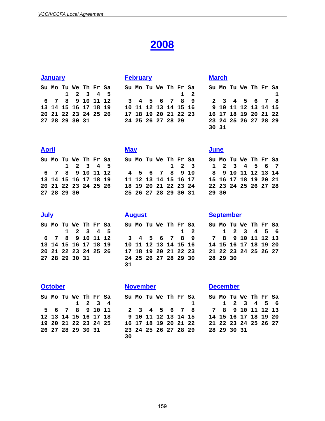| Su Mo Tu We Th Fr Sa |  |                     |  |
|----------------------|--|---------------------|--|
|                      |  | $1 \t2 \t3 \t4 \t5$ |  |
| 6 7 8 9 10 11 12     |  |                     |  |
| 13 14 15 16 17 18 19 |  |                     |  |
| 20 21 22 23 24 25 26 |  |                     |  |
| 27 28 29 30 31       |  |                     |  |

### **January March Tebruary February March**

|  | Su Mo Tu We Th Fr Sa |  |            |
|--|----------------------|--|------------|
|  |                      |  | $1\quad 2$ |
|  | 3 4 5 6 7 8 9        |  |            |
|  | 10 11 12 13 14 15 16 |  |            |
|  | 17 18 19 20 21 22 23 |  |            |
|  | 24 25 26 27 28 29    |  |            |

**Su Mo Tu We Th Fr Sa** 

 **4 5 6 7 8 9 10 11 12 13 14 15 16 17 18 19 20 21 22 23 24 25 26 27 28 29 30 31** 

 **1 2 3** 

| Su Mo Tu We Th Fr Sa |  |                     |  |
|----------------------|--|---------------------|--|
|                      |  | $1 \t2 \t3 \t4 \t5$ |  |
| 6 7 8 9 10 11 12     |  |                     |  |
| 13 14 15 16 17 18 19 |  |                     |  |
| 20 21 22 23 24 25 26 |  |                     |  |
| 27 28 29 30          |  |                     |  |

### **Su Mo Tu We Th Fr Sa 1 2 3 4 5 6 7 8 9 10 11 12 13 14 15 16 17 18 19 20 21 22 23 24 25 26 27 28 29 30 31**

|    | Su Mo Tu We Th Fr Sa |  |  |            |
|----|----------------------|--|--|------------|
|    |                      |  |  | $1\quad 2$ |
|    | 3 4 5 6 7 8 9        |  |  |            |
|    | 10 11 12 13 14 15 16 |  |  |            |
|    | 17 18 19 20 21 22 23 |  |  |            |
|    | 24 25 26 27 28 29 30 |  |  |            |
| 31 |                      |  |  |            |

| Su Mo Tu We Th Fr Sa |  |                 |  |
|----------------------|--|-----------------|--|
|                      |  | $1 \t2 \t3 \t4$ |  |
| 5 6 7 8 9 10 11      |  |                 |  |
| 12 13 14 15 16 17 18 |  |                 |  |
| 19 20 21 22 23 24 25 |  |                 |  |
| 26 27 28 29 30 31    |  |                 |  |

### **October November December**

|    |  | Su Mo Tu We Th Fr Sa |  |   |
|----|--|----------------------|--|---|
|    |  |                      |  | 1 |
|    |  | 2 3 4 5 6 7 8        |  |   |
|    |  | 9 10 11 12 13 14 15  |  |   |
|    |  | 16 17 18 19 20 21 22 |  |   |
|    |  | 23 24 25 26 27 28 29 |  |   |
| 30 |  |                      |  |   |

|       | Su Mo Tu We Th Fr Sa |  |   |
|-------|----------------------|--|---|
|       |                      |  | 1 |
|       | 2 3 4 5 6 7 8        |  |   |
|       | 9 10 11 12 13 14 15  |  |   |
|       | 16 17 18 19 20 21 22 |  |   |
|       | 23 24 25 26 27 28 29 |  |   |
| 30 31 |                      |  |   |

### **April May June**

|       | Su Mo Tu We Th Fr Sa |  |  |  |
|-------|----------------------|--|--|--|
|       | 1 2 3 4 5 6 7        |  |  |  |
|       | 8 9 10 11 12 13 14   |  |  |  |
|       | 15 16 17 18 19 20 21 |  |  |  |
|       | 22 23 24 25 26 27 28 |  |  |  |
| 29 30 |                      |  |  |  |

### **July 31 Marshall August 31 September**

|          |  | Su Mo Tu We Th Fr Sa |  |
|----------|--|----------------------|--|
|          |  | 1 2 3 4 5 6          |  |
|          |  | 7 8 9 10 11 12 13    |  |
|          |  | 14 15 16 17 18 19 20 |  |
|          |  | 21 22 23 24 25 26 27 |  |
| 28 29 30 |  |                      |  |

| Su Mo Tu We Th Fr Sa |  |             |  |
|----------------------|--|-------------|--|
|                      |  | 1 2 3 4 5 6 |  |
| 7 8 9 10 11 12 13    |  |             |  |
| 14 15 16 17 18 19 20 |  |             |  |
| 21 22 23 24 25 26 27 |  |             |  |
| 28 29 30 31          |  |             |  |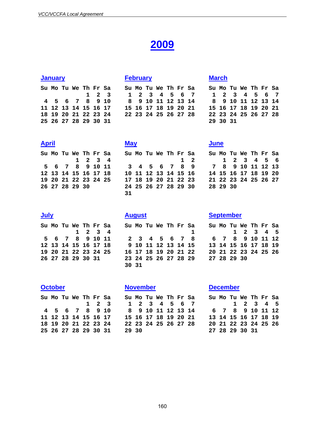| Su Mo Tu We Th Fr Sa |  |                   |  |
|----------------------|--|-------------------|--|
|                      |  | $1\quad 2\quad 3$ |  |
| 4 5 6 7 8 9 10       |  |                   |  |
| 11 12 13 14 15 16 17 |  |                   |  |
| 18 19 20 21 22 23 24 |  |                   |  |
| 25 26 27 28 29 30 31 |  |                   |  |

| Su Mo Tu We Th Fr Sa |  |                 |  |
|----------------------|--|-----------------|--|
|                      |  | $1 \t2 \t3 \t4$ |  |
| 5 6 7 8 9 10 11      |  |                 |  |
| 12 13 14 15 16 17 18 |  |                 |  |
| 19 20 21 22 23 24 25 |  |                 |  |
| 26 27 28 29 30       |  |                 |  |

### **January March Communist School February March March March**

|  |  | Su Mo Tu We Th Fr Sa |  |
|--|--|----------------------|--|
|  |  | 1 2 3 4 5 6 7        |  |
|  |  | 8 9 10 11 12 13 14   |  |
|  |  | 15 16 17 18 19 20 21 |  |
|  |  | 22 23 24 25 26 27 28 |  |
|  |  |                      |  |

|    | Su Mo Tu We Th Fr Sa |  |  |            |
|----|----------------------|--|--|------------|
|    |                      |  |  | $1\quad 2$ |
|    | 3 4 5 6 7 8 9        |  |  |            |
|    | 10 11 12 13 14 15 16 |  |  |            |
|    | 17 18 19 20 21 22 23 |  |  |            |
|    | 24 25 26 27 28 29 30 |  |  |            |
| 31 |                      |  |  |            |

### **Su Mo Tu We Th Fr Sa 1 2 3 4 5 6 7 8 9 10 11 12 13 14 15 16 17 18 19 20 21 22 23 24 25 26 27 28 29 30 31**

| Su Mo Tu We Th Fr Sa |  |  |    |
|----------------------|--|--|----|
|                      |  |  | 1. |
| 2 3 4 5 6 7 8        |  |  |    |
| 9 10 11 12 13 14 15  |  |  |    |
| 16 17 18 19 20 21 22 |  |  |    |
| 23 24 25 26 27 28 29 |  |  |    |
| 30 31                |  |  |    |

| Su Mo Tu We Th Fr Sa |  |                   |  |
|----------------------|--|-------------------|--|
|                      |  | $1\quad 2\quad 3$ |  |
| 4 5 6 7 8 9 10       |  |                   |  |
| 11 12 13 14 15 16 17 |  |                   |  |
| 18 19 20 21 22 23 24 |  |                   |  |
| 25 26 27 28 29 30 31 |  |                   |  |

|       |  | Su Mo Tu We Th Fr Sa |  |
|-------|--|----------------------|--|
|       |  | 1 2 3 4 5 6 7        |  |
|       |  | 8 9 10 11 12 13 14   |  |
|       |  | 15 16 17 18 19 20 21 |  |
|       |  | 22 23 24 25 26 27 28 |  |
| 29 30 |  |                      |  |

| Su Mo Tu We Th Fr Sa |  |  |  |
|----------------------|--|--|--|
| 1 2 3 4 5 6 7        |  |  |  |
| 8 9 10 11 12 13 14   |  |  |  |
| 15 16 17 18 19 20 21 |  |  |  |
| 22 23 24 25 26 27 28 |  |  |  |
| 29 30 31             |  |  |  |

### **April May June**

| Su Mo Tu We Th Fr Sa |             |  |  |
|----------------------|-------------|--|--|
|                      | 1 2 3 4 5 6 |  |  |
| 7 8 9 10 11 12 13    |             |  |  |
| 14 15 16 17 18 19 20 |             |  |  |
| 21 22 23 24 25 26 27 |             |  |  |
| 28 29 30             |             |  |  |

### **July August August September**

|             |  | Su Mo Tu We Th Fr Sa |  |
|-------------|--|----------------------|--|
|             |  | $1 \t2 \t3 \t4 \t5$  |  |
|             |  | 6 7 8 9 10 11 12     |  |
|             |  | 13 14 15 16 17 18 19 |  |
|             |  | 20 21 22 23 24 25 26 |  |
| 27 28 29 30 |  |                      |  |

### **October November November December**

|  | Su Mo Tu We Th Fr Sa |  |  |
|--|----------------------|--|--|
|  | $1 \t2 \t3 \t4 \t5$  |  |  |
|  | 6 7 8 9 10 11 12     |  |  |
|  | 13 14 15 16 17 18 19 |  |  |
|  | 20 21 22 23 24 25 26 |  |  |
|  | 27 28 29 30 31       |  |  |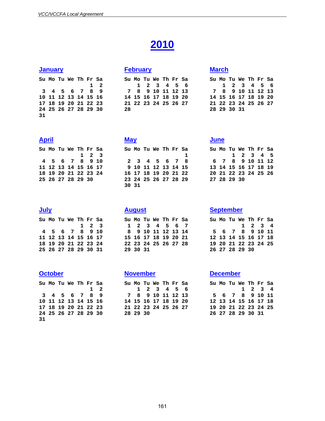|    | Su Mo Tu We Th Fr Sa |  |  |            |
|----|----------------------|--|--|------------|
|    |                      |  |  | $1\quad 2$ |
|    | 3 4 5 6 7 8 9        |  |  |            |
|    | 10 11 12 13 14 15 16 |  |  |            |
|    | 17 18 19 20 21 22 23 |  |  |            |
|    | 24 25 26 27 28 29 30 |  |  |            |
| 31 |                      |  |  |            |

### **January Communist Science Communist Science Communist Communist Communist Communist Communist Communist Communist Communist Communist Communist Communist Communist Communist Communist Communist Communist Communist Communi**

|    |  | Su Mo Tu We Th Fr Sa |  |
|----|--|----------------------|--|
|    |  | 1 2 3 4 5 6          |  |
|    |  | 7 8 9 10 11 12 13    |  |
|    |  | 14 15 16 17 18 19 20 |  |
|    |  | 21 22 23 24 25 26 27 |  |
| 28 |  |                      |  |

### **April May June**

### **Su Mo Tu We Th Fr Sa 1 2 3 4 5 6 7 8 9 10 11 12 13 14 15 16 17 18 19 20 21 22 23 24 25 26 27 28 29 30**

|       | Su Mo Tu We Th Fr Sa |  |   |
|-------|----------------------|--|---|
|       |                      |  | 1 |
|       | 2 3 4 5 6 7 8        |  |   |
|       | 9 10 11 12 13 14 15  |  |   |
|       | 16 17 18 19 20 21 22 |  |   |
|       | 23 24 25 26 27 28 29 |  |   |
| 30 31 |                      |  |   |

| Su Mo Tu We Th Fr Sa |  |                   |  |
|----------------------|--|-------------------|--|
|                      |  | $1\quad 2\quad 3$ |  |
| 4 5 6 7 8 9 10       |  |                   |  |
| 11 12 13 14 15 16 17 |  |                   |  |
| 18 19 20 21 22 23 24 |  |                   |  |
| 25 26 27 28 29 30 31 |  |                   |  |

|    | Su Mo Tu We Th Fr Sa |  |  |  |  |            |  |  |  |
|----|----------------------|--|--|--|--|------------|--|--|--|
|    |                      |  |  |  |  | $1\quad 2$ |  |  |  |
|    | 3 4 5 6 7 8 9        |  |  |  |  |            |  |  |  |
|    | 10 11 12 13 14 15 16 |  |  |  |  |            |  |  |  |
|    | 17 18 19 20 21 22 23 |  |  |  |  |            |  |  |  |
|    | 24 25 26 27 28 29 30 |  |  |  |  |            |  |  |  |
| 31 |                      |  |  |  |  |            |  |  |  |

| Su Mo Tu We Th Fr Sa |  |  |  |
|----------------------|--|--|--|
| 1 2 3 4 5 6 7        |  |  |  |
| 8 9 10 11 12 13 14   |  |  |  |
| 15 16 17 18 19 20 21 |  |  |  |
| 22 23 24 25 26 27 28 |  |  |  |
| 29 30 31             |  |  |  |

| Su Mo Tu We Th Fr Sa |  |             |  |
|----------------------|--|-------------|--|
|                      |  | 1 2 3 4 5 6 |  |
| 7 8 9 10 11 12 13    |  |             |  |
| 14 15 16 17 18 19 20 |  |             |  |
| 21 22 23 24 25 26 27 |  |             |  |
| 28 29 30             |  |             |  |

| Su Mo Tu We Th Fr Sa |             |  |  |
|----------------------|-------------|--|--|
|                      | 1 2 3 4 5 6 |  |  |
| 7 8 9 10 11 12 13    |             |  |  |
| 14 15 16 17 18 19 20 |             |  |  |
| 21 22 23 24 25 26 27 |             |  |  |
| 28 29 30 31          |             |  |  |

| Su Mo Tu We Th Fr Sa |                     |  |  |
|----------------------|---------------------|--|--|
|                      | $1 \t2 \t3 \t4 \t5$ |  |  |
| 6 7 8 9 10 11 12     |                     |  |  |
| 13 14 15 16 17 18 19 |                     |  |  |
| 20 21 22 23 24 25 26 |                     |  |  |
| 27 28 29 30          |                     |  |  |

### **July 31 Marshall August 2018 September**

|  | Su Mo Tu We Th Fr Sa |                 |  |
|--|----------------------|-----------------|--|
|  |                      | $1 \t2 \t3 \t4$ |  |
|  | 5 6 7 8 9 10 11      |                 |  |
|  | 12 13 14 15 16 17 18 |                 |  |
|  | 19 20 21 22 23 24 25 |                 |  |
|  | 26 27 28 29 30       |                 |  |

### **October November November Interventional Section**

|  |  | Su Mo Tu We Th Fr Sa |  |
|--|--|----------------------|--|
|  |  | $1 \t2 \t3 \t4$      |  |
|  |  | 5 6 7 8 9 10 11      |  |
|  |  | 12 13 14 15 16 17 18 |  |
|  |  | 19 20 21 22 23 24 25 |  |
|  |  | 26 27 28 29 30 31    |  |